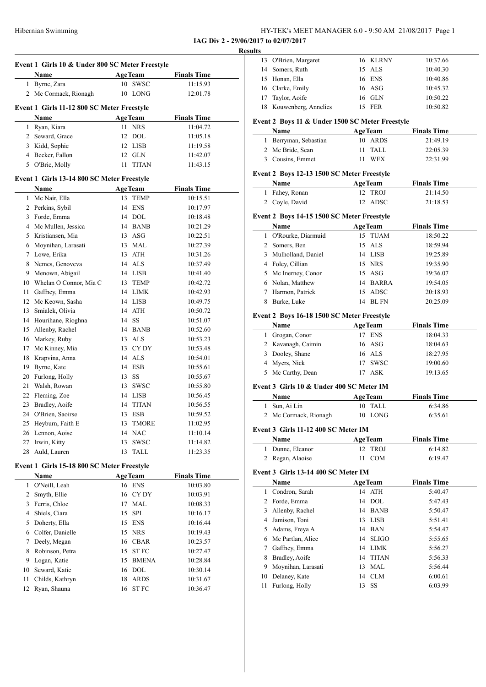| HY-TEK's MEET MANAGER 6.0 - 9:50 AM 21/08/2017 Page 1 |
|-------------------------------------------------------|
|-------------------------------------------------------|

**IAG Div 2 - 29/06/2017 to 02/07/2017 Results**

|        | Event 1 Girls 10 & Under 800 SC Meter Freestyle |          |                |                    |  |
|--------|-------------------------------------------------|----------|----------------|--------------------|--|
|        | Name                                            |          | <b>AgeTeam</b> | <b>Finals Time</b> |  |
| 1      | Byrne, Zara                                     | 10       | SWSC           | 11:15.93           |  |
|        | 2 Mc Cormack, Rionagh                           | 10       | LONG           | 12:01.78           |  |
|        |                                                 |          |                |                    |  |
|        | Event 1 Girls 11-12 800 SC Meter Freestyle      |          |                |                    |  |
|        | Name                                            |          | <b>AgeTeam</b> | <b>Finals Time</b> |  |
| 1      | Ryan, Kiara                                     | 11       | <b>NRS</b>     | 11:04.72           |  |
|        | 2 Seward, Grace                                 | 12       | DOL.           | 11:05.18           |  |
|        | 3 Kidd, Sophie                                  |          | 12 LISB        | 11:19.58           |  |
|        | 4 Becker, Fallon                                |          | $12$ GLN       | 11:42.07           |  |
| 5      | O'Bric, Molly                                   | 11       | <b>TITAN</b>   | 11:43.15           |  |
|        | Event 1 Girls 13-14 800 SC Meter Freestyle      |          |                |                    |  |
|        | Name                                            |          | <b>AgeTeam</b> | <b>Finals Time</b> |  |
| 1      | Mc Nair, Ella                                   | 13       | <b>TEMP</b>    | 10:15.51           |  |
|        | 2 Perkins, Sybil                                |          | 14 ENS         | 10:17.97           |  |
|        | 3 Forde, Emma                                   |          | $14$ DOL       | 10:18.48           |  |
|        | 4 Mc Mullen, Jessica                            |          | 14 BANB        | 10:21.29           |  |
|        | 5 Kristiansen, Mia                              |          | $13$ ASG       | 10:22.51           |  |
|        | 6 Moynihan, Larasati                            |          | 13 MAL         | 10:27.39           |  |
|        | 7 Lowe, Erika                                   |          | 13 ATH         | 10:31.26           |  |
|        | 8 Nemes, Genoveva                               |          | $14$ ALS       | 10:37.49           |  |
|        | 9 Menown, Abigail                               |          | 14 LISB        | 10:41.40           |  |
|        | 10 Whelan O Connor, Mia C                       |          | 13 TEMP        | 10:42.72           |  |
|        | 11 Gaffney, Emma                                |          | 14 LIMK        | 10:42.93           |  |
|        | 12 Mc Keown, Sasha                              |          | 14 LISB        | 10:49.75           |  |
|        | 13 Smialek, Olivia                              |          | 14 ATH         | 10:50.72           |  |
|        | 14 Hourihane, Ríoghna                           |          | 14 SS          | 10:51.07           |  |
|        | 15 Allenby, Rachel                              |          | 14 BANB        | 10:52.60           |  |
|        | 16 Markey, Ruby                                 |          | 13 ALS         | 10:53.23           |  |
|        | 17 Mc Kinney, Mia                               |          | 13 CYDY        | 10:53.48           |  |
| 18     | Krapvina, Anna                                  |          | 14 ALS         | 10:54.01           |  |
| 19     | Byrne, Kate                                     |          | 14 ESB         | 10:55.61           |  |
|        | 20 Furlong, Holly                               |          | 13 SS          | 10:55.67           |  |
| 21     | Walsh, Rowan                                    |          | 13 SWSC        | 10:55.80           |  |
| 22     | Fleming, Zoe                                    |          | 14 LISB        | 10:56.45           |  |
| 23     | Bradley, Aoife                                  | 14       | <b>TITAN</b>   | 10:56.55           |  |
|        | 24 O'Brien, Saoirse                             | 13       | <b>ESB</b>     | 10:59.52           |  |
| 25     | Heyburn, Faith E                                | 13       | <b>TMORE</b>   | 11:02.95           |  |
| 26     | Lennon, Aoise                                   | 14       | <b>NAC</b>     | 11:10.14           |  |
| 27     | Irwin, Kitty                                    | 13       | SWSC           | 11:14.82           |  |
| 28     | Auld, Lauren                                    | 13       | TALL           | 11:23.35           |  |
|        | Event 1 Girls 15-18 800 SC Meter Freestyle      |          |                |                    |  |
|        | <b>Name</b>                                     |          | <b>AgeTeam</b> | <b>Finals Time</b> |  |
| 1      | O'Neill, Leah                                   | 16       | <b>ENS</b>     | 10:03.80           |  |
| 2      | Smyth, Ellie                                    | 16       | CY DY          | 10:03.91           |  |
| 3      | Ferris, Chloe                                   | 17       | <b>MAL</b>     | 10:08.33           |  |
| 4      | Shiels, Ciara                                   | 15       | ${\rm SPL}$    | 10:16.17           |  |
| 5      | Doherty, Ella                                   | 15       | <b>ENS</b>     | 10:16.44           |  |
| 6      | Colfer, Danielle                                | 15       | <b>NRS</b>     | 10:19.43           |  |
|        |                                                 |          | <b>CBAR</b>    |                    |  |
| 7<br>8 | Deely, Megan<br>Robinson, Petra                 | 16<br>15 | <b>STFC</b>    | 10:23.57           |  |
|        |                                                 | 15       | <b>BMENA</b>   | 10:27.47           |  |
| 9      | Logan, Katie<br>Seward, Katie                   |          |                | 10:28.84           |  |
| 10     |                                                 | 16       | DOL            | 10:30.14           |  |
| 11     | Childs, Kathryn                                 | 18       | <b>ARDS</b>    | 10:31.67           |  |
| 12     | Ryan, Shauna                                    | 16       | <b>STFC</b>    | 10:36.47           |  |

|    | 13 O'Brien, Margaret                               |    | 16 KLRNY       | 10:37.66           |  |
|----|----------------------------------------------------|----|----------------|--------------------|--|
|    | 14 Somers, Ruth                                    |    | 15 ALS         | 10:40.30           |  |
|    | 15 Honan, Ella                                     |    | 16 ENS         | 10:40.86           |  |
|    | 16 Clarke, Emily                                   |    | 16 ASG         | 10:45.32           |  |
| 17 | Taylor, Aoife                                      |    | 16 GLN         | 10:50.22           |  |
|    | 18 Kouwenberg, Annelies                            |    | 15 FER         | 10:50.82           |  |
|    | Event 2 Boys 11 & Under 1500 SC Meter Freestyle    |    |                |                    |  |
|    | Name                                               |    | <b>AgeTeam</b> | <b>Finals Time</b> |  |
| 1  | Berryman, Sebastian                                |    | 10 ARDS        | 21:49.19           |  |
|    | 2 Mc Bride, Sean                                   | 11 | TALL           | 22:05.39           |  |
|    | 3 Cousins, Emmet                                   | 11 | <b>WEX</b>     | 22:31.99           |  |
|    |                                                    |    |                |                    |  |
|    | Event 2 Boys 12-13 1500 SC Meter Freestyle         |    |                |                    |  |
|    | Name                                               |    | <b>AgeTeam</b> | <b>Finals Time</b> |  |
|    | 1 Fahey, Ronan                                     |    | 12 TROJ        | 21:14.50           |  |
|    | 2 Coyle, David                                     | 12 | ADSC           | 21:18.53           |  |
|    | Event 2 Boys 14-15 1500 SC Meter Freestyle         |    |                |                    |  |
|    | Name                                               |    | <b>AgeTeam</b> | <b>Finals Time</b> |  |
|    | 1 O'Rourke, Diarmuid                               |    | 15 TUAM        | 18:50.22           |  |
|    | 2 Somers, Ben                                      |    | 15 ALS         | 18:59.94           |  |
|    | 3 Mulholland, Daniel                               |    | 14 LISB        | 19:25.89           |  |
|    | 4 Foley, Cillian                                   |    | 15 NRS         | 19:35.90           |  |
|    | 5 Mc Inerney, Conor                                |    | 15 ASG         | 19:36.07           |  |
|    | 6 Nolan, Matthew                                   |    | 14 BARRA       | 19:54.05           |  |
|    | 7 Harmon, Patrick                                  |    | 15 ADSC        | 20:18.93           |  |
| 8  | Burke, Luke                                        |    | 14 BL FN       | 20:25.09           |  |
|    |                                                    |    |                |                    |  |
|    | Event 2 Boys 16-18 1500 SC Meter Freestyle<br>Name |    | <b>AgeTeam</b> | <b>Finals Time</b> |  |
|    | 1 Grogan, Conor                                    |    | 17 ENS         | 18:04.33           |  |
|    | 2 Kavanagh, Caimin                                 |    | 16 ASG         | 18:04.63           |  |
|    | 3 Dooley, Shane                                    |    | 16 ALS         | 18:27.95           |  |
| 4  | Myers, Nick                                        |    | 17 SWSC        | 19:00.60           |  |
|    | 5 Mc Carthy, Dean                                  |    | 17 ASK         | 19:13.65           |  |
|    |                                                    |    |                |                    |  |
|    | Event 3 Girls 10 & Under 400 SC Meter IM           |    |                |                    |  |
|    | Name                                               |    | <b>AgeTeam</b> | <b>Finals Time</b> |  |
|    | 1 Sun, Ai Lin                                      | 10 | TALL           | 6:34.86            |  |
|    | 2 Mc Cormack, Rionagh                              |    | 10 LONG        | 6:35.61            |  |
|    | Event 3 Girls 11-12 400 SC Meter IM                |    |                |                    |  |
|    | Name                                               |    | <b>AgeTeam</b> | <b>Finals Time</b> |  |
| 1  | Dunne, Eleanor                                     | 12 | <b>TROJ</b>    | 6:14.82            |  |
|    | 2 Regan, Alaoise                                   | 11 | <b>COM</b>     | 6:19.47            |  |
|    | Event 3 Girls 13-14 400 SC Meter IM                |    |                |                    |  |
|    | Name                                               |    | <b>AgeTeam</b> | <b>Finals Time</b> |  |
|    | 1 Condron, Sarah                                   |    | 14 ATH         | 5:40.47            |  |
|    | 2 Forde, Emma                                      |    | 14 DOL         | 5:47.43            |  |
|    | 3 Allenby, Rachel                                  |    | 14 BANB        | 5:50.47            |  |
|    | 4 Jamison, Toni                                    |    | 13 LISB        | 5:51.41            |  |
|    | 5 Adams, Freya A                                   |    | 14 BAN         | 5:54.47            |  |
|    | 6 Mc Partlan, Alice                                |    | 14 SLIGO       | 5:55.65            |  |
| 7  | Gaffney, Emma                                      |    | 14 LIMK        | 5:56.27            |  |
| 8  | Bradley, Aoife                                     |    | 14 TITAN       | 5:56.33            |  |
| 9  | Moynihan, Larasati                                 |    | 13 MAL         | 5:56.44            |  |
| 10 | Delaney, Kate                                      |    | 14 CLM         | 6:00.61            |  |
| 11 | Furlong, Holly                                     | 13 | SS             | 6:03.99            |  |
|    |                                                    |    |                |                    |  |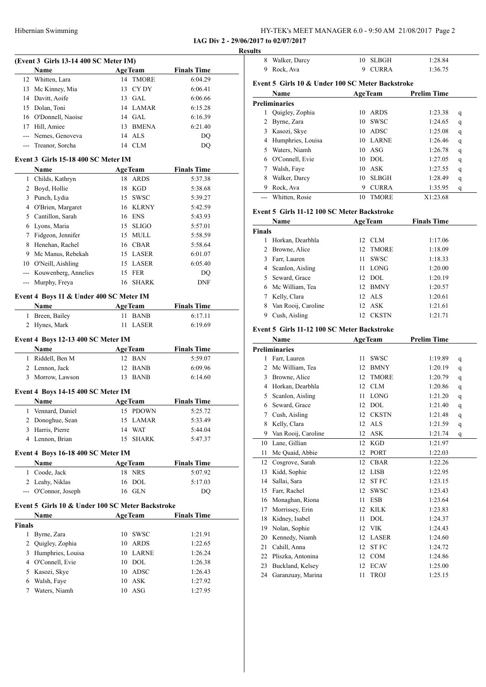| HY-TEK's MEET MANAGER 6.0 - 9:50 AM 21/08/2017 Page 2 |  |
|-------------------------------------------------------|--|
|-------------------------------------------------------|--|

#### **(Event 3 Girls 13-14 400 SC Meter IM)**

|    | <b>Name</b>          | <b>AgeTeam</b> | <b>Finals Time</b> |  |
|----|----------------------|----------------|--------------------|--|
|    | 12 Whitten, Lara     | 14 TMORE       | 6:04.29            |  |
|    | 13 Mc Kinney, Mia    | 13 CYDY        | 6:06.41            |  |
|    | 14 Davitt, Aoife     | $13$ GAL       | 6:06.66            |  |
|    | 15 Dolan, Toni       | 14 LAMAR       | 6:15.28            |  |
|    | 16 O'Donnell, Naoise | $14$ GAL       | 6:16.39            |  |
| 17 | Hill, Amiee          | 13 BMENA       | 6:21.40            |  |
|    | --- Nemes, Genoveva  | 14 ALS         | DO.                |  |
|    | --- Treanor, Sorcha  | 14 CLM         | DO                 |  |

#### **Event 3 Girls 15-18 400 SC Meter IM**

|    | <b>Name</b>          |    | <b>AgeTeam</b> | <b>Finals Time</b> |
|----|----------------------|----|----------------|--------------------|
|    | Childs, Kathryn      | 18 | ARDS           | 5:37.38            |
|    | Boyd, Hollie         |    | 18 KGD         | 5:38.68            |
|    | Punch, Lydia         |    | 15 SWSC        | 5:39.27            |
| 4  | O'Brien, Margaret    |    | 16 KLRNY       | 5:42.59            |
| 5. | Cantillon, Sarah     |    | 16 ENS         | 5:43.93            |
| 6. | Lyons, Maria         |    | 15 SLIGO       | 5:57.01            |
|    | Fidgeon, Jennifer    |    | 15 MULL        | 5:58.59            |
| 8  | Henehan, Rachel      |    | 16 CBAR        | 5:58.64            |
| 9  | Mc Manus, Rebekah    |    | 15 LASER       | 6:01.07            |
| 10 | O'Neill, Aishling    |    | 15 LASER       | 6:05.40            |
|    | Kouwenberg, Annelies |    | 15 FER         | DO                 |
|    | Murphy, Freya        |    | 16 SHARK       | <b>DNF</b>         |

#### **Event 4 Boys 11 & Under 400 SC Meter IM**

| <b>Name</b>     | <b>AgeTeam</b> | <b>Finals Time</b> |
|-----------------|----------------|--------------------|
| 1 Breen, Bailey | 11 BANB        | 6:17.11            |
| 2 Hynes, Mark   | 11 LASER       | 6:19.69            |

#### **Event 4 Boys 12-13 400 SC Meter IM**

| <b>Name</b>      | <b>AgeTeam</b> | <b>Finals Time</b> |  |
|------------------|----------------|--------------------|--|
| 1 Riddell, Ben M | 12 BAN         | 5:59.07            |  |
| 2 Lennon, Jack   | 12 BANB        | 6:09.96            |  |
| 3 Morrow, Lawson | 13 BANB        | 6:14.60            |  |

#### **Event 4 Boys 14-15 400 SC Meter IM**

| <b>Name</b>      | <b>AgeTeam</b> | <b>Finals Time</b> |
|------------------|----------------|--------------------|
| Vennard, Daniel  | 15 PDOWN       | 5:25.72            |
| 2 Donoghue, Sean | 15 LAMAR       | 5:33.49            |
| 3 Harris, Pierre | 14 WAT         | 5:44.04            |
| 4 Lennon, Brian  | 15 SHARK       | 5:47.37            |

#### **Event 4 Boys 16-18 400 SC Meter IM**

| <b>Name</b>          | <b>AgeTeam</b> | <b>Finals Time</b> |  |
|----------------------|----------------|--------------------|--|
| 1 Coode, Jack        | 18 NRS         | 5:07.92            |  |
| 2 Leahy, Niklas      | 16 DOL         | 5:17.03            |  |
| --- O'Connor, Joseph | 16 GLN         | DO                 |  |

#### **Event 5 Girls 10 & Under 100 SC Meter Backstroke**

|               | Name                |    | <b>AgeTeam</b> | <b>Finals Time</b> |  |
|---------------|---------------------|----|----------------|--------------------|--|
| <b>Finals</b> |                     |    |                |                    |  |
|               | Byrne, Zara         | 10 | <b>SWSC</b>    | 1:21.91            |  |
|               | 2 Quigley, Zophia   | 10 | ARDS           | 1:22.65            |  |
|               | 3 Humphries, Louisa |    | 10 LARNE       | 1:26.24            |  |
|               | 4 O'Connell, Evie   | 10 | DOL            | 1:26.38            |  |
|               | 5 Kasozi, Skye      | 10 | ADSC           | 1:26.43            |  |
| 6             | Walsh, Faye         | 10 | ASK            | 1:27.92            |  |
|               | Waters, Niamh       | 10 | ASG            | 1:27.95            |  |

| <b>Results</b> |                                                  |     |                |                    |   |
|----------------|--------------------------------------------------|-----|----------------|--------------------|---|
| 8              | Walker, Darcy                                    | 10. | <b>SLBGH</b>   | 1:28.84            |   |
| 9              | Rock. Ava                                        | 9   | <b>CURRA</b>   | 1:36.75            |   |
|                | Event 5 Girls 10 & Under 100 SC Meter Backstroke |     |                |                    |   |
|                |                                                  |     |                |                    |   |
|                | <b>Name</b>                                      |     | <b>AgeTeam</b> | <b>Prelim Time</b> |   |
|                | <b>Preliminaries</b>                             |     |                |                    |   |
|                | Quigley, Zophia                                  | 10  | ARDS           | 1:23.38            | q |
|                | 2 Byrne, Zara                                    | 10  | <b>SWSC</b>    | 1:24.65            | q |

|    | 3 Kasozi, Skye      | 10 | ADSC         | 1:25.08  | q |  |
|----|---------------------|----|--------------|----------|---|--|
|    | 4 Humphries, Louisa | 10 | <b>LARNE</b> | 1:26.46  | q |  |
| 5. | Waters, Niamh       | 10 | – ASG        | 1:26.78  | q |  |
|    | 6 O'Connell, Evie   | 10 | DOL.         | 1:27.05  | q |  |
|    | Walsh, Faye         |    | 10 ASK       | 1:27.55  | q |  |
| 8  | Walker, Darcy       | 10 | <b>SLBGH</b> | 1:28.49  | q |  |
| 9  | Rock, Ava           | 9  | <b>CURRA</b> | 1:35.95  | q |  |
|    | Whitten, Rosie      |    | TMORE        | X1:23.68 |   |  |

#### **Event 5 Girls 11-12 100 SC Meter Backstroke**

|                | Name                                        | <b>AgeTeam</b> |              | <b>Finals Time</b> |   |
|----------------|---------------------------------------------|----------------|--------------|--------------------|---|
| <b>Finals</b>  |                                             |                |              |                    |   |
| 1              | Horkan, Dearbhla                            | 12             | <b>CLM</b>   | 1:17.06            |   |
| $\overline{2}$ | Browne, Alice                               | 12             | <b>TMORE</b> | 1:18.09            |   |
| 3              | Farr, Lauren                                | 11             | <b>SWSC</b>  | 1:18.33            |   |
| $\overline{4}$ | Scanlon, Aisling                            | 11             | <b>LONG</b>  | 1:20.00            |   |
| 5.             | Seward, Grace                               | 12             | <b>DOL</b>   | 1:20.19            |   |
| 6              | Mc William, Tea                             | 12             | <b>BMNY</b>  | 1:20.57            |   |
| 7              | Kelly, Clara                                | 12             | <b>ALS</b>   | 1:20.61            |   |
| 8              | Van Rooij, Caroline                         | 12             | <b>ASK</b>   | 1:21.61            |   |
| 9              | Cush, Aisling                               | 12             | <b>CKSTN</b> | 1:21.71            |   |
|                | Event 5 Girls 11-12 100 SC Meter Backstroke |                |              |                    |   |
|                | Name                                        | <b>AgeTeam</b> |              | <b>Prelim Time</b> |   |
|                | <b>Preliminaries</b>                        |                |              |                    |   |
| 1              | Farr, Lauren                                | 11             | <b>SWSC</b>  | 1:19.89            | q |
| $\overline{c}$ | Mc William, Tea                             | 12             | <b>BMNY</b>  | 1:20.19            | q |
|                | 3 Browne, Alice                             | 12             | <b>TMORE</b> | 1:20.79            | q |
| 4              | Horkan, Dearbhla                            | 12             | <b>CLM</b>   | 1:20.86            | q |
| 5              | Scanlon, Aisling                            | 11             | <b>LONG</b>  | 1:21.20            | q |
| 6              | Seward, Grace                               | 12             | <b>DOL</b>   | 1:21.40            | q |
| 7              | Cush, Aisling                               | 12             | <b>CKSTN</b> | 1:21.48            | q |
| 8              | Kelly, Clara                                | 12             | <b>ALS</b>   | 1:21.59            | q |
| 9              | Van Rooij, Caroline                         | 12             | <b>ASK</b>   | 1:21.74            | q |
| 10             | Lane, Gillian                               | 12             | <b>KGD</b>   | 1:21.97            |   |
| 11             | Mc Quaid, Abbie                             | 12             | <b>PORT</b>  | 1:22.03            |   |
| 12             | Cosgrove, Sarah                             | 12             | <b>CBAR</b>  | 1:22.26            |   |
| 13             | Kidd, Sophie                                | 12             | <b>LISB</b>  | 1:22.95            |   |
| 14             | Sallai, Sara                                | 12             | <b>STFC</b>  | 1:23.15            |   |
| 15             | Farr, Rachel                                | 12             | <b>SWSC</b>  | 1:23.43            |   |
| 16             | Monaghan, Riona                             | 11             | <b>ESB</b>   | 1:23.64            |   |
| 17             | Morrissey, Erin                             | 12             | <b>KILK</b>  | 1:23.83            |   |
| 18             | Kidney, Isabel                              | 11             | <b>DOL</b>   | 1:24.37            |   |
| 19             | Nolan, Sophie                               | 12             | <b>VIK</b>   | 1:24.43            |   |
| 20             | Kennedy, Niamh                              | 12             | LASER        | 1:24.60            |   |
| 21             | Cahill, Anna                                | 12             | <b>STFC</b>  | 1:24.72            |   |
| 22             | Pliszka, Antonina                           | 12             | <b>COM</b>   | 1:24.86            |   |
| 23             | Buckland, Kelsey                            | 12             | <b>ECAV</b>  | 1:25.00            |   |
| 24             | Garanzuay, Marina                           | 11             | <b>TROJ</b>  | 1:25.15            |   |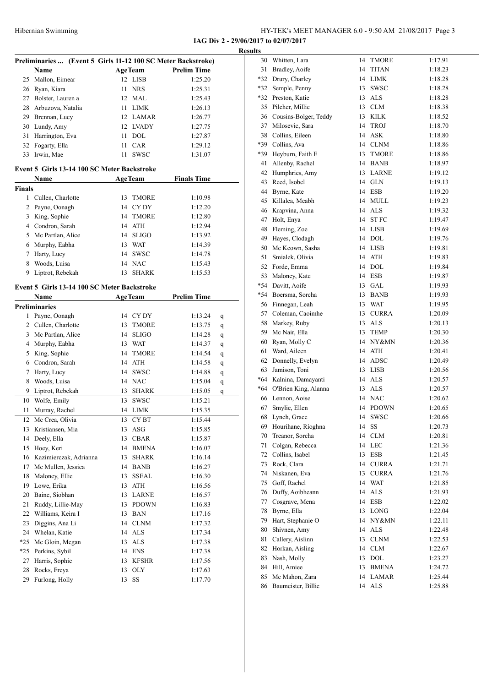L

**IAG Div 2 - 29/06/2017 to 02/07/2017**

|               |                                                              |                           |                               | <b>Results</b> |
|---------------|--------------------------------------------------------------|---------------------------|-------------------------------|----------------|
|               | Preliminaries  (Event 5 Girls 11-12 100 SC Meter Backstroke) |                           |                               |                |
|               | Name                                                         | <b>AgeTeam</b><br>12 LISB | <b>Prelim Time</b><br>1:25.20 |                |
| 25            | Mallon, Eimear                                               |                           |                               |                |
|               | 26 Ryan, Kiara                                               | 11 NRS                    | 1:25.31                       |                |
|               | 27 Bolster, Lauren a                                         | 12 MAL                    | 1:25.43                       |                |
|               | 28 Arbuzova, Natalia                                         | 11 LIMK                   | 1:26.13                       |                |
|               | 29 Brennan, Lucy                                             | 12 LAMAR                  | 1:26.77                       |                |
|               | 30 Lundy, Amy                                                | 12 LVADY                  | 1:27.75                       |                |
|               | 31 Harrington, Eva                                           | 11 DOL                    | 1:27.87                       |                |
|               | 32 Fogarty, Ella                                             | 11 CAR                    | 1:29.12                       |                |
|               | 33 Irwin, Mae                                                | 11 SWSC                   | 1:31.07                       |                |
|               | Event 5 Girls 13-14 100 SC Meter Backstroke                  |                           |                               |                |
|               | Name                                                         | <b>AgeTeam</b>            | <b>Finals Time</b>            |                |
| <b>Finals</b> |                                                              |                           |                               |                |
|               | 1 Cullen, Charlotte                                          | 13 TMORE                  | 1:10.98                       |                |
|               | 2 Payne, Oonagh                                              | 14 CYDY                   | 1:12.20                       |                |
|               | 3 King, Sophie                                               | 14 TMORE                  | 1:12.80                       |                |
|               | 4 Condron, Sarah                                             | 14 ATH                    | 1:12.94                       |                |
|               | 5 Mc Partlan, Alice                                          | 14 SLIGO                  | 1:13.92                       |                |
|               | 6 Murphy, Eabha                                              | 13 WAT                    | 1:14.39                       |                |
|               | 7 Harty, Lucy                                                | 14 SWSC                   | 1:14.78                       |                |
|               | 8 Woods, Luisa                                               | 14 NAC                    | 1:15.43                       |                |
|               | 9 Liptrot, Rebekah                                           | 13 SHARK                  | 1:15.53                       |                |
|               |                                                              |                           |                               |                |
|               | Event 5 Girls 13-14 100 SC Meter Backstroke                  |                           |                               |                |
|               | Name                                                         | <b>AgeTeam</b>            | <b>Prelim Time</b>            |                |
|               | <b>Preliminaries</b>                                         |                           |                               |                |
|               | 1 Payne, Oonagh                                              | 14 CYDY                   | 1:13.24<br>q                  |                |
|               | 2 Cullen, Charlotte                                          | 13 TMORE                  | 1:13.75<br>q                  |                |
|               | 3 Mc Partlan, Alice                                          | 14 SLIGO                  | 1:14.28<br>q                  |                |
|               | 4 Murphy, Eabha                                              | 13 WAT                    | 1:14.37<br>q                  |                |
|               | 5 King, Sophie                                               | 14 TMORE                  | 1:14.54<br>q                  |                |
|               | 6 Condron, Sarah                                             | 14 ATH                    | 1:14.58<br>q                  |                |
| 7             | Harty, Lucy                                                  | 14 SWSC                   | 1:14.88<br>q                  |                |
| 8             | Woods, Luisa                                                 | 14 NAC                    | 1:15.04<br>q                  |                |
| 9             | Liptrot, Rebekah                                             | 13 SHARK                  | 1:15.05<br>q                  |                |
| 10            | Wolfe, Emily                                                 | 13 SWSC                   | 1:15.21                       |                |
| 11            | Murray, Rachel                                               | 14 LIMK                   | 1:15.35                       |                |
| 12            | Mc Crea, Olivia                                              | CY BT<br>13               | 1:15.44                       |                |
| 13            | Kristiansen, Mia                                             | ASG<br>13                 | 1:15.85                       |                |
| 14            | Deely, Ella                                                  | <b>CBAR</b><br>13         | 1:15.87                       |                |
| 15            | Hoey, Keri                                                   | 14 BMENA                  | 1:16.07                       |                |
| 16            | Kazimierczak, Adrianna                                       | SHARK<br>13               | 1:16.14                       |                |
| 17            | Mc Mullen, Jessica                                           | 14 BANB                   | 1:16.27                       |                |
| 18            | Maloney, Ellie                                               | 13<br><b>SSEAL</b>        | 1:16.30                       |                |
| 19            | Lowe, Erika                                                  | 13 ATH                    | 1:16.56                       |                |
| 20            | Baine, Siobhan                                               | 13 LARNE                  | 1:16.57                       |                |
| 21            | Ruddy, Lillie-May                                            | 13<br><b>PDOWN</b>        | 1:16.83                       |                |
| 22            | Williams, Keira I                                            | 13<br>BAN                 | 1:17.16                       |                |
|               |                                                              |                           |                               |                |
| 23            | Diggins, Ana Li                                              | 14 CLNM                   | 1:17.32                       |                |
|               | 24 Whelan, Katie                                             | 14 ALS                    | 1:17.34                       |                |
| *25           | Mc Gloin, Megan                                              | 13<br>ALS                 | 1:17.38                       |                |
| *25           | Perkins, Sybil                                               | 14 ENS                    | 1:17.38                       |                |
| 27            | Harris, Sophie                                               | 13 KFSHR                  | 1:17.56                       |                |
| 28            | Rocks, Freya                                                 | 13 OLY                    | 1:17.63                       |                |
| 29            | Furlong, Holly                                               | SS<br>13                  | 1:17.70                       |                |

| 30    | Whitten, Lara         | 14 | TMORE                       | 1:17.91 |
|-------|-----------------------|----|-----------------------------|---------|
| 31    | Bradley, Aoife        | 14 | TITAN                       | 1:18.23 |
| $*32$ | Drury, Charley        | 14 | <b>LIMK</b>                 | 1:18.28 |
| *32   | Semple, Penny         | 13 | SWSC                        | 1:18.28 |
| $*32$ | Preston, Katie        | 13 | <b>ALS</b>                  | 1:18.28 |
| 35    | Pilcher, Millie       | 13 | <b>CLM</b>                  | 1:18.38 |
| 36    | Cousins-Bolger, Teddy | 13 | <b>KILK</b>                 | 1:18.52 |
| 37    | Milosevic, Sara       | 14 | TROJ                        | 1:18.70 |
| 38    | Collins, Eileen       | 14 | <b>ASK</b>                  | 1:18.80 |
| *39   | Collins, Ava          | 14 | <b>CLNM</b>                 | 1:18.86 |
| *39   | Heyburn, Faith E      | 13 | TMORE                       | 1:18.86 |
| 41    | Allenby, Rachel       | 14 | <b>BANB</b>                 | 1:18.97 |
| 42    | Humphries, Amy        | 13 | <b>LARNE</b>                | 1:19.12 |
| 43    | Reed, Isobel          | 14 | GLN                         | 1:19.13 |
| 44    | Byrne, Kate           | 14 | <b>ESB</b>                  | 1:19.20 |
| 45    | Killalea, Meabh       | 14 | <b>MULL</b>                 | 1:19.23 |
| 46    | Krapvina, Anna        | 14 | <b>ALS</b>                  | 1:19.32 |
| 47    | Holt, Enya            | 14 | <b>STFC</b>                 | 1:19.47 |
| 48    | Fleming, Zoe          | 14 | <b>LISB</b>                 | 1:19.69 |
| 49    | Hayes, Clodagh        | 14 | DOL                         | 1:19.76 |
| 50    | Mc Keown, Sasha       | 14 | LISB                        | 1:19.81 |
| 51    | Smialek, Olivia       | 14 | ATH                         | 1:19.83 |
| 52    | Forde, Emma           | 14 | <b>DOL</b>                  | 1:19.84 |
| 53    | Maloney, Kate         | 14 | <b>ESB</b>                  | 1:19.87 |
| $*54$ | Davitt, Aoife         | 13 | GAL                         | 1:19.93 |
| $*54$ | Boersma, Sorcha       | 13 | <b>BANB</b>                 | 1:19.93 |
| 56    | Finnegan, Leah        | 13 | <b>WAT</b>                  | 1:19.95 |
| 57    | Coleman, Caoimhe      | 13 | <b>CURRA</b>                | 1:20.09 |
| 58    | Markey, Ruby          | 13 | <b>ALS</b>                  | 1:20.13 |
| 59    | Mc Nair, Ella         | 13 | <b>TEMP</b>                 | 1:20.30 |
| 60    | Ryan, Molly C         | 14 | NY&MN                       | 1:20.36 |
| 61    | Ward, Aileen          | 14 | ATH                         | 1:20.41 |
| 62    | Donnelly, Evelyn      | 14 | ADSC                        | 1:20.49 |
| 63    | Jamison, Toni         | 13 | <b>LISB</b>                 | 1:20.56 |
| *64   | Kalnina, Damayanti    | 14 | <b>ALS</b>                  | 1:20.57 |
| *64   | O'Brien King, Alanna  | 13 | <b>ALS</b>                  | 1:20.57 |
| 66    | Lennon, Aoise         | 14 | <b>NAC</b>                  | 1:20.62 |
| 67    | Smylie, Ellen         | 14 | <b>PDOWN</b>                | 1:20.65 |
| 68    | Lynch, Grace          | 14 | SWSC                        | 1:20.66 |
| 69    | Hourihane, Ríoghna    | 14 | SS                          | 1:20.73 |
| 70    | Treanor, Sorcha       | 14 | CLM                         | 1:20.81 |
| 71    | Colgan, Rebecca       | 14 | ${\rm LEC}$                 | 1:21.36 |
| 72    | Collins, Isabel       | 13 | <b>ESB</b>                  | 1:21.45 |
| 73    | Rock, Clara           | 14 | <b>CURRA</b>                | 1:21.71 |
| 74    | Niskanen, Eva         | 13 | <b>CURRA</b>                | 1:21.76 |
| 75    | Goff, Rachel          | 14 | <b>WAT</b>                  | 1:21.85 |
| 76    | Duffy, Aoibheann      | 14 | $\mathbf{ALS}\xspace$       | 1:21.93 |
| 77    | Cosgrave, Mena        | 14 | <b>ESB</b>                  | 1:22.02 |
| 78    | Byrne, Ella           | 13 | <b>LONG</b>                 | 1:22.04 |
| 79    | Hart, Stephanie O     | 14 | NY&MN                       | 1:22.11 |
| 80    | Shivnen, Amy          | 14 | $\ensuremath{\mathbf{ALS}}$ | 1:22.48 |
| 81    | Callery, Aislinn      | 13 | <b>CLNM</b>                 | 1:22.53 |
| 82    | Horkan, Aisling       | 14 | CLM                         | 1:22.67 |
| 83    | Nash, Molly           | 13 | DOL                         | 1:23.27 |
| 84    | Hill, Amiee           | 13 | <b>BMENA</b>                | 1:24.72 |
| 85    | Mc Mahon, Zara        | 14 | LAMAR                       | 1:25.44 |
| 86    | Baumeister, Billie    | 14 |                             |         |
|       |                       |    | $\ensuremath{\mathbf{ALS}}$ | 1:25.88 |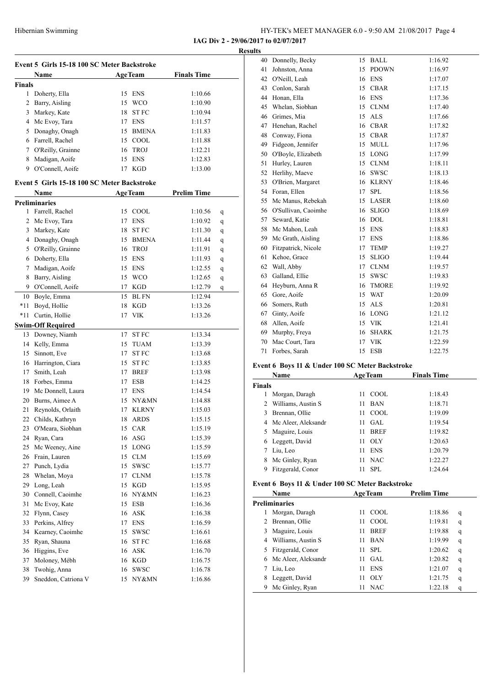| HY-TEK's MEET MANAGER 6.0 - 9:50 AM 21/08/2017 Page 4 |  |
|-------------------------------------------------------|--|
|-------------------------------------------------------|--|

**IAG Div 2 - 29/06/2017 to 02/07/2017 Results**

|               | Event 5 Girls 15-18 100 SC Meter Backstroke |    |                |                    |   |
|---------------|---------------------------------------------|----|----------------|--------------------|---|
|               | Name                                        |    | <b>AgeTeam</b> | <b>Finals Time</b> |   |
| <b>Finals</b> |                                             |    |                |                    |   |
| $\mathbf{1}$  | Doherty, Ella                               | 15 | <b>ENS</b>     | 1:10.66            |   |
| 2             | Barry, Aisling                              | 15 | <b>WCO</b>     | 1:10.90            |   |
| 3             | Markey, Kate                                | 18 | ST FC          | 1:10.94            |   |
|               | 4 Mc Evoy, Tara                             | 17 | <b>ENS</b>     | 1:11.57            |   |
| 5             | Donaghy, Onagh                              |    | 15 BMENA       | 1:11.83            |   |
|               | 6 Farrell, Rachel                           |    | 15 COOL        | 1:11.88            |   |
|               | 7 O'Reilly, Grainne                         | 16 | <b>TROJ</b>    | 1:12.21            |   |
| 8             | Madigan, Aoife                              |    | 15 ENS         | 1:12.83            |   |
|               | 9 O'Connell, Aoife                          | 17 | <b>KGD</b>     | 1:13.00            |   |
|               |                                             |    |                |                    |   |
|               | Event 5 Girls 15-18 100 SC Meter Backstroke |    |                | <b>Prelim Time</b> |   |
|               | Name                                        |    | <b>AgeTeam</b> |                    |   |
| $\mathbf{1}$  | <b>Preliminaries</b>                        | 15 |                |                    |   |
|               | Farrell, Rachel                             |    | COOL           | 1:10.56            | q |
|               | 2 Mc Evoy, Tara                             | 17 | <b>ENS</b>     | 1:10.92            | q |
| 3             | Markey, Kate                                | 18 | <b>STFC</b>    | 1:11.30            | q |
|               | 4 Donaghy, Onagh                            |    | 15 BMENA       | 1:11.44            | q |
| 5             | O'Reilly, Grainne                           |    | 16 TROJ        | 1:11.91            | q |
|               | 6 Doherty, Ella                             |    | 15 ENS         | 1:11.93            | q |
| $\tau$        | Madigan, Aoife                              |    | 15 ENS         | 1:12.55            | q |
| 8             | Barry, Aisling                              |    | 15 WCO         | 1:12.65            | q |
|               | 9 O'Connell, Aoife                          | 17 | <b>KGD</b>     | 1:12.79            | q |
| 10            | Boyle, Emma                                 | 15 | <b>BL FN</b>   | 1:12.94            |   |
| *11           | Boyd, Hollie                                | 18 | KGD            | 1:13.26            |   |
| $*11$         | Curtin, Hollie                              | 17 | VIK            | 1:13.26            |   |
|               | <b>Swim-Off Required</b>                    |    |                |                    |   |
|               | 13 Downey, Niamh                            | 17 | ST FC          | 1:13.34            |   |
|               | 14 Kelly, Emma                              | 15 | <b>TUAM</b>    | 1:13.39            |   |
|               | 15 Sinnott, Eve                             | 17 | ST FC          | 1:13.68            |   |
|               | 16 Harrington, Ciara                        | 15 | ST FC          | 1:13.85            |   |
| 17            | Smith, Leah                                 | 17 | <b>BREF</b>    | 1:13.98            |   |
|               | 18 Forbes, Emma                             | 17 | <b>ESB</b>     | 1:14.25            |   |
|               | 19 Mc Donnell, Laura                        | 17 | <b>ENS</b>     | 1:14.54            |   |
|               | 20 Burns, Aimee A                           |    | 15 NY&MN       | 1:14.88            |   |
| 21            | Reynolds, Orlaith                           | 17 | <b>KLRNY</b>   | 1:15.03            |   |
| 22            | Childs, Kathryn                             | 18 | <b>ARDS</b>    | 1:15.15            |   |
| 23            | O'Meara, Siobhan                            |    | 15 CAR         | 1:15.19            |   |
| 24            | Ryan, Cara                                  |    | 16 ASG         | 1:15.39            |   |
| 25            | Mc Weeney, Aine                             |    | 15 LONG        | 1:15.59            |   |
| 26            | Frain, Lauren                               | 15 | CLM            | 1:15.69            |   |
| 27            | Punch, Lydia                                | 15 | <b>SWSC</b>    | 1:15.77            |   |
| 28            | Whelan, Moya                                | 17 | <b>CLNM</b>    | 1:15.78            |   |
| 29            | Long, Leah                                  |    | 15 KGD         | 1:15.95            |   |
|               | 30 Connell, Caoimhe                         |    | 16 NY&MN       | 1:16.23            |   |
| 31            | Mc Evoy, Kate                               |    | 15 ESB         | 1:16.36            |   |
| 32            | Flynn, Casey                                |    | 16 ASK         | 1:16.38            |   |
| 33            | Perkins, Alfrey                             |    | 17 ENS         | 1:16.59            |   |
|               | 34 Kearney, Caoimhe                         | 15 | SWSC           | 1:16.61            |   |
| 35            | Ryan, Shauna                                |    | 16 ST FC       | 1:16.68            |   |
| 36            | Higgins, Eve                                |    | 16 ASK         | 1:16.70            |   |
| 37            | Moloney, Mébh                               |    | 16 KGD         | 1:16.75            |   |
| 38            | Twohig, Anna                                | 16 | SWSC           | 1:16.78            |   |
| 39            | Sneddon, Catriona V                         |    | 15 NY&MN       | 1:16.86            |   |
|               |                                             |    |                |                    |   |

| IJ |                      |    |              |         |
|----|----------------------|----|--------------|---------|
| 40 | Donnelly, Becky      | 15 | <b>BALL</b>  | 1:16.92 |
| 41 | Johnston, Anna       | 15 | <b>PDOWN</b> | 1:16.97 |
| 42 | O'Neill, Leah        | 16 | <b>ENS</b>   | 1:17.07 |
| 43 | Conlon, Sarah        | 15 | <b>CBAR</b>  | 1:17.15 |
| 44 | Honan, Ella          | 16 | <b>ENS</b>   | 1:17.36 |
| 45 | Whelan, Siobhan      | 15 | <b>CLNM</b>  | 1:17.40 |
| 46 | Grimes, Mia          | 15 | <b>ALS</b>   | 1:17.66 |
| 47 | Henehan, Rachel      | 16 | <b>CBAR</b>  | 1:17.82 |
| 48 | Conway, Fiona        | 15 | <b>CBAR</b>  | 1:17.87 |
| 49 | Fidgeon, Jennifer    | 15 | <b>MULL</b>  | 1:17.96 |
| 50 | O'Boyle, Elizabeth   | 15 | LONG         | 1:17.99 |
| 51 | Hurley, Lauren       | 15 | <b>CLNM</b>  | 1:18.11 |
| 52 | Herlihy, Maeve       | 16 | <b>SWSC</b>  | 1:18.13 |
| 53 | O'Brien, Margaret    | 16 | <b>KLRNY</b> | 1:18.46 |
| 54 | Foran, Ellen         | 17 | <b>SPL</b>   | 1:18.56 |
| 55 | Mc Manus, Rebekah    | 15 | <b>LASER</b> | 1:18.60 |
| 56 | O'Sullivan, Caoimhe  | 16 | <b>SLIGO</b> | 1:18.69 |
| 57 | Seward, Katie        | 16 | <b>DOL</b>   | 1:18.81 |
| 58 | Mc Mahon, Leah       | 15 | <b>ENS</b>   | 1:18.83 |
|    | 59 Mc Grath, Aisling | 17 | <b>ENS</b>   | 1:18.86 |
| 60 | Fitzpatrick, Nicole  | 17 | <b>TEMP</b>  | 1:19.27 |
| 61 | Kehoe, Grace         | 15 | <b>SLIGO</b> | 1:19.44 |
| 62 | Wall, Abby           | 17 | <b>CLNM</b>  | 1:19.57 |
| 63 | Galland, Ellie       | 15 | <b>SWSC</b>  | 1:19.83 |
| 64 | Heyburn, Anna R      | 16 | <b>TMORE</b> | 1:19.92 |
| 65 | Gore, Aoife          | 15 | <b>WAT</b>   | 1:20.09 |
| 66 | Somers, Ruth         | 15 | <b>ALS</b>   | 1:20.81 |
| 67 | Ginty, Aoife         | 16 | <b>LONG</b>  | 1:21.12 |
| 68 | Allen, Aoife         | 15 | <b>VIK</b>   | 1:21.41 |
| 69 | Murphy, Freya        | 16 | <b>SHARK</b> | 1:21.75 |
| 70 | Mac Court, Tara      | 17 | <b>VIK</b>   | 1:22.59 |
| 71 | Forbes, Sarah        | 15 | <b>ESB</b>   | 1:22.75 |
|    |                      |    |              |         |

#### **Event 6 Boys 11 & Under 100 SC Meter Backstroke**

| <b>Name</b>   |                       |    | <b>AgeTeam</b> | <b>Finals Time</b> |
|---------------|-----------------------|----|----------------|--------------------|
| <b>Finals</b> |                       |    |                |                    |
| 1             | Morgan, Daragh        | 11 | COOL.          | 1:18.43            |
| 2             | Williams, Austin S    | 11 | <b>BAN</b>     | 1:18.71            |
| 3             | Brennan, Ollie        | 11 | COOL.          | 1:19.09            |
|               | 4 Mc Aleer, Aleksandr | 11 | GAL.           | 1:19.54            |
| 5.            | Maguire, Louis        | 11 | <b>BREF</b>    | 1:19.82            |
| 6             | Leggett, David        | 11 | OLY            | 1:20.63            |
|               | Liu, Leo              | 11 | <b>ENS</b>     | 1:20.79            |
| 8             | Mc Ginley, Ryan       | 11 | <b>NAC</b>     | 1:22.27            |
|               | Fitzgerald, Conor     | 11 | SPL            | 1:24.64            |

#### **Event 6 Boys 11 & Under 100 SC Meter Backstroke**

|    | Name                  | <b>AgeTeam</b>    | <b>Prelim Time</b> |   |
|----|-----------------------|-------------------|--------------------|---|
|    | <b>Preliminaries</b>  |                   |                    |   |
|    | Morgan, Daragh        | COOL.<br>11       | 1:18.86            | q |
|    | 2 Brennan, Ollie      | COOL.<br>11       | 1:19.81            | q |
| 3  | Maguire, Louis        | <b>BREF</b><br>11 | 1:19.88            | q |
|    | Williams, Austin S    | <b>BAN</b><br>11  | 1:19.99            | q |
| 5. | Fitzgerald, Conor     | SPL.<br>11        | 1:20.62            | q |
|    | 6 Mc Aleer, Aleksandr | GAL<br>11         | 1:20.82            | q |
|    | Liu, Leo              | <b>ENS</b><br>11  | 1:21.07            | q |
|    | Leggett, David        | <b>OLY</b><br>11  | 1:21.75            | q |
|    | Mc Ginley, Ryan       | <b>NAC</b><br>11  | 1:22.18            | q |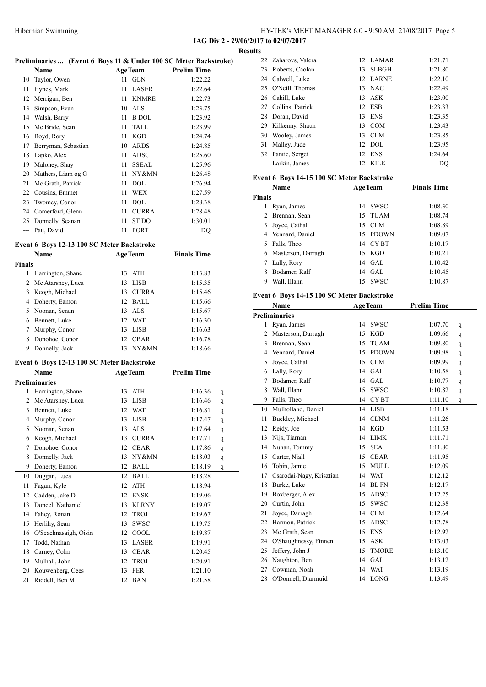**IAG Div 2 - 29/06/2017 to 02/07/2017 Results**

| Preliminaries  (Event 6 Boys 11 & Under 100 SC Meter Backstroke) |  |  |
|------------------------------------------------------------------|--|--|
|                                                                  |  |  |

|    | Name                |      | <b>AgeTeam</b> | <b>Prelim Time</b> |
|----|---------------------|------|----------------|--------------------|
|    | 10 Taylor, Owen     | 11 - | <b>GLN</b>     | 1:22.22            |
| 11 | Hynes, Mark         | 11   | <b>LASER</b>   | 1:22.64            |
| 12 | Merrigan, Ben       | 11   | <b>KNMRE</b>   | 1:22.73            |
| 13 | Simpson, Evan       | 10   | ALS            | 1:23.75            |
| 14 | Walsh, Barry        | 11   | <b>B</b> DOL   | 1:23.92            |
| 15 | Mc Bride, Sean      | 11   | <b>TALL</b>    | 1:23.99            |
| 16 | Boyd, Rory          | 11   | KGD            | 1:24.74            |
| 17 | Berryman, Sebastian | 10   | <b>ARDS</b>    | 1:24.85            |
| 18 | Lapko, Alex         | 11   | ADSC           | 1:25.60            |
| 19 | Maloney, Shay       | 11   | <b>SSEAL</b>   | 1:25.96            |
| 20 | Mathers, Liam og G  | 11   | NY&MN          | 1:26.48            |
| 21 | Mc Grath, Patrick   | 11   | <b>DOL</b>     | 1:26.94            |
| 22 | Cousins, Emmet      | 11   | WEX            | 1:27.59            |
| 23 | Twomey, Conor       | 11   | DOL            | 1:28.38            |
| 24 | Comerford, Glenn    | 11   | <b>CURRA</b>   | 1:28.48            |
| 25 | Donnelly, Seanan    | 11   | ST DO          | 1:30.01            |
|    | Pau, David          | 11   | <b>PORT</b>    | DQ                 |

#### **Event 6 Boys 12-13 100 SC Meter Backstroke**

|        | <b>Name</b>       |    | <b>AgeTeam</b> | <b>Finals Time</b> |  |
|--------|-------------------|----|----------------|--------------------|--|
| Finals |                   |    |                |                    |  |
| 1      | Harrington, Shane |    | 13 ATH         | 1:13.83            |  |
| 2      | Mc Atarsney, Luca |    | 13 LISB        | 1:15.35            |  |
| 3      | Keogh, Michael    | 13 | <b>CURRA</b>   | 1:15.46            |  |
| 4      | Doherty, Eamon    |    | 12 BALL        | 1:15.66            |  |
| 5.     | Noonan, Senan     |    | 13 ALS         | 1:15.67            |  |
| 6      | Bennett, Luke     |    | 12 WAT         | 1:16.30            |  |
| 7      | Murphy, Conor     |    | 13 LISB        | 1:16.63            |  |
| 8      | Donohoe, Conor    | 12 | <b>CBAR</b>    | 1:16.78            |  |
| 9      | Donnelly, Jack    | 13 | NY&MN          | 1:18.66            |  |

#### **Event 6 Boys 12-13 100 SC Meter Backstroke**

|                | Name                  |    | <b>AgeTeam</b> | <b>Prelim Time</b> |   |
|----------------|-----------------------|----|----------------|--------------------|---|
|                | <b>Preliminaries</b>  |    |                |                    |   |
| 1              | Harrington, Shane     | 13 | <b>ATH</b>     | 1:16.36            | q |
| 2              | Mc Atarsney, Luca     | 13 | <b>LISB</b>    | 1:16.46            | q |
| 3              | Bennett, Luke         | 12 | <b>WAT</b>     | 1:16.81            | q |
| $\overline{4}$ | Murphy, Conor         | 13 | <b>LISB</b>    | 1:17.47            | q |
| 5              | Noonan, Senan         | 13 | <b>ALS</b>     | 1:17.64            | q |
| 6              | Keogh, Michael        | 13 | <b>CURRA</b>   | 1:17.71            | q |
| 7              | Donohoe, Conor        | 12 | <b>CBAR</b>    | 1:17.86            | q |
| 8              | Donnelly, Jack        | 13 | NY&MN          | 1:18.03            | q |
| 9              | Doherty, Eamon        | 12 | <b>BALL</b>    | 1:18.19            | q |
| 10             | Duggan, Luca          | 12 | <b>BALL</b>    | 1:18.28            |   |
| 11             | Fagan, Kyle           | 12 | ATH            | 1:18.94            |   |
| 12             | Cadden, Jake D        | 12 | <b>ENSK</b>    | 1:19.06            |   |
| 13             | Doncel, Nathaniel     | 13 | <b>KLRNY</b>   | 1:19.07            |   |
| 14             | Fahey, Ronan          | 12 | <b>TROJ</b>    | 1:19.67            |   |
| 15             | Herlihy, Sean         | 13 | <b>SWSC</b>    | 1:19.75            |   |
| 16             | O'Seachnasaigh, Oisin | 12 | COOL           | 1:19.87            |   |
| 17             | Todd, Nathan          | 13 | <b>LASER</b>   | 1:19.91            |   |
| 18             | Carney, Colm          | 13 | <b>CBAR</b>    | 1:20.45            |   |
| 19             | Mulhall, John         | 12 | <b>TROJ</b>    | 1:20.91            |   |
| 20             | Kouwenberg, Cees      | 13 | <b>FER</b>     | 1:21.10            |   |
| 21             | Riddell, Ben M        | 12 | <b>BAN</b>     | 1:21.58            |   |

| ILS |                     |          |         |
|-----|---------------------|----------|---------|
|     | 22 Zaharovs, Valera | 12 LAMAR | 1:21.71 |
|     | 23 Roberts, Caolan  | 13 SLBGH | 1:21.80 |
|     | 24 Calwell, Luke    | 12 LARNE | 1:22.10 |
|     | 25 O'Neill, Thomas  | 13 NAC   | 1:22.49 |
|     | 26 Cahill, Luke     | $13$ ASK | 1:23.00 |
|     | 27 Collins, Patrick | 12 ESB   | 1:23.33 |
| 28  | Doran, David        | 13 ENS   | 1:23.35 |
|     | 29 Kilkenny, Shaun  | 13 COM   | 1:23.43 |
|     | 30 Wooley, James    | 13 CLM   | 1:23.85 |
| 31  | Malley, Jude        | $12$ DOL | 1:23.95 |
|     | 32 Pantic, Sergei   | 12 ENS   | 1:24.64 |
|     | Larkin, James       | 12 KILK  | DO      |
|     |                     |          |         |

#### **Event 6 Boys 14-15 100 SC Meter Backstroke**

|               | Name                 |    | <b>AgeTeam</b> | <b>Finals Time</b> |  |
|---------------|----------------------|----|----------------|--------------------|--|
| <b>Finals</b> |                      |    |                |                    |  |
|               | Ryan, James          |    | 14 SWSC        | 1:08.30            |  |
| 2             | Brennan, Sean        |    | 15 TUAM        | 1:08.74            |  |
| 3             | Joyce, Cathal        |    | 15 CLM         | 1:08.89            |  |
|               | 4 Vennard, Daniel    |    | 15 PDOWN       | 1:09.07            |  |
| 5.            | Falls, Theo          |    | 14 CYBT        | 1:10.17            |  |
|               | 6 Masterson, Darragh |    | 15 KGD         | 1:10.21            |  |
| 7             | Lally, Rory          |    | 14 GAL         | 1:10.42            |  |
| 8             | Bodamer, Ralf        | 14 | GAL            | 1:10.45            |  |
| 9             | Wall, Illann         | 15 | <b>SWSC</b>    | 1:10.87            |  |

#### **Event 6 Boys 14-15 100 SC Meter Backstroke**

| <b>Name</b> |                          |    | <b>AgeTeam</b>   | <b>Prelim Time</b> |   |
|-------------|--------------------------|----|------------------|--------------------|---|
|             | <b>Preliminaries</b>     |    |                  |                    |   |
| 1           | Ryan, James              | 14 | <b>SWSC</b>      | 1:07.70            | q |
| 2           | Masterson, Darragh       | 15 | <b>KGD</b>       | 1:09.66            | q |
| 3           | Brennan, Sean            | 15 | <b>TUAM</b>      | 1:09.80            | q |
| 4           | Vennard, Daniel          | 15 | <b>PDOWN</b>     | 1:09.98            | q |
| 5           | Joyce, Cathal            | 15 | CLM              | 1:09.99            | q |
| 6           | Lally, Rory              | 14 | <b>GAL</b>       | 1:10.58            | q |
| 7           | Bodamer, Ralf            | 14 | <b>GAL</b>       | 1:10.77            | q |
| 8           | Wall, Illann             | 15 | <b>SWSC</b>      | 1:10.82            | q |
| 9           | Falls, Theo              | 14 | CY <sub>BT</sub> | 1:11.10            | q |
| 10          | Mulholland, Daniel       | 14 | <b>LISB</b>      | 1:11.18            |   |
| 11          | Buckley, Michael         | 14 | <b>CLNM</b>      | 1:11.26            |   |
| 12          | Reidy, Joe               | 14 | <b>KGD</b>       | 1:11.53            |   |
| 13          | Nijs, Tiarnan            | 14 | <b>LIMK</b>      | 1:11.71            |   |
| 14          | Nunan, Tommy             | 15 | <b>SEA</b>       | 1:11.80            |   |
| 15          | Carter, Niall            | 15 | <b>CBAR</b>      | 1:11.95            |   |
| 16          | Tobin, Jamie             | 15 | <b>MULL</b>      | 1:12.09            |   |
| 17          | Csarodai-Nagy, Krisztian | 14 | <b>WAT</b>       | 1:12.12            |   |
| 18          | Burke, Luke              | 14 | <b>BLFN</b>      | 1:12.17            |   |
| 19          | Boxberger, Alex          | 15 | <b>ADSC</b>      | 1:12.25            |   |
| 20          | Curtin, John             | 15 | <b>SWSC</b>      | 1:12.38            |   |
| 21          | Joyce, Darragh           | 14 | <b>CLM</b>       | 1:12.64            |   |
| 22          | Harmon, Patrick          | 15 | <b>ADSC</b>      | 1:12.78            |   |
| 23          | Mc Grath, Sean           | 15 | <b>ENS</b>       | 1:12.92            |   |
| 24          | O'Shaughnessy, Finnen    | 15 | <b>ASK</b>       | 1:13.03            |   |
| 25          | Jeffery, John J          | 15 | <b>TMORE</b>     | 1:13.10            |   |
| 26          | Naughton, Ben            | 14 | <b>GAL</b>       | 1:13.12            |   |
| 27          | Cowman, Noah             | 14 | <b>WAT</b>       | 1:13.19            |   |
| 28          | O'Donnell, Diarmuid      | 14 | <b>LONG</b>      | 1:13.49            |   |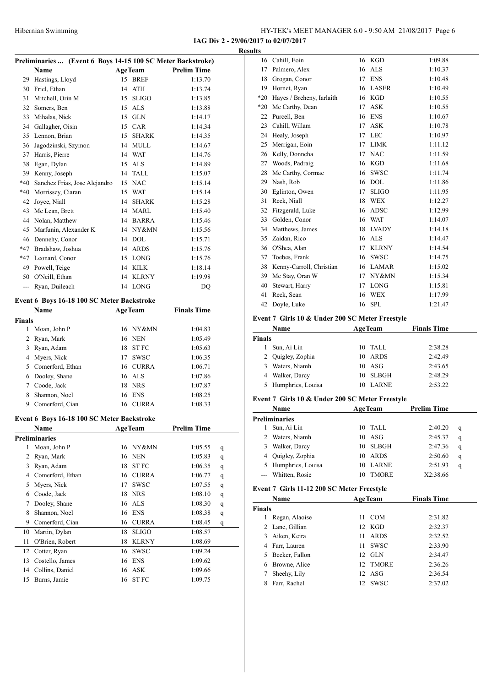**IAG Div 2 - 29/06/2017 to 02/07/2017**

|                | Preliminaries  (Event 6 Boys 14-15 100 SC Meter Backstroke) |    |                       |                    |   |
|----------------|-------------------------------------------------------------|----|-----------------------|--------------------|---|
|                | <b>Name</b>                                                 |    | <b>AgeTeam</b>        | <b>Prelim Time</b> |   |
| 29             | Hastings, Lloyd                                             |    | 15 BREF               | 1:13.70            |   |
|                | 30 Friel, Ethan                                             |    | 14 ATH                | 1:13.74            |   |
|                | 31 Mitchell, Orin M                                         |    | 15 SLIGO              | 1:13.85            |   |
|                | 32 Somers, Ben                                              |    | 15 ALS                | 1:13.88            |   |
|                | 33 Mihalas, Nick                                            |    | 15 GLN                | 1:14.17            |   |
|                | 34 Gallagher, Oisin                                         |    | 15 CAR                | 1:14.34            |   |
|                | 35 Lennon, Brian                                            |    | 15 SHARK              | 1:14.35            |   |
|                | 36 Jagodzinski, Szymon                                      |    | 14 MULL               | 1:14.67            |   |
|                | 37 Harris, Pierre                                           |    | 14 WAT                | 1:14.76            |   |
|                | 38 Egan, Dylan                                              |    | 15 ALS                | 1:14.89            |   |
|                | 39 Kenny, Joseph                                            |    | 14 TALL               | 1:15.07            |   |
| $*40$          | Sanchez Frias, Jose Alejandro                               |    | 15 NAC                | 1:15.14            |   |
| *40            | Morrissey, Ciaran                                           |    | 15 WAT                | 1:15.14            |   |
| 42             | Joyce, Niall                                                |    | 14 SHARK              | 1:15.28            |   |
|                | 43 Mc Lean, Brett                                           |    | 14 MARL               | 1:15.40            |   |
|                | 44 Nolan, Matthew                                           |    | 14 BARRA              | 1:15.46            |   |
|                | 45 Marfunin, Alexander K                                    |    | 14 NY&MN              | 1:15.56            |   |
|                | 46 Dennehy, Conor                                           |    | 14 DOL                | 1:15.71            |   |
|                | *47 Bradshaw, Joshua                                        |    | 14 ARDS               | 1:15.76            |   |
|                | *47 Leonard, Conor                                          |    | 15 LONG               | 1:15.76            |   |
|                | 49 Powell, Teige                                            |    | 14 KILK               | 1:18.14            |   |
|                | 50 O'Neill, Ethan                                           |    | 14 KLRNY              | 1:19.98            |   |
|                | --- Ryan, Duileach                                          |    | 14 LONG               | DQ                 |   |
|                |                                                             |    |                       |                    |   |
|                | Event 6 Boys 16-18 100 SC Meter Backstroke<br>Name          |    | <b>AgeTeam</b>        | <b>Finals Time</b> |   |
| <b>Finals</b>  |                                                             |    |                       |                    |   |
|                | 1 Moan, John P                                              |    | 16 NY&MN              | 1:04.83            |   |
|                | 2 Ryan, Mark                                                |    | 16 NEN                | 1:05.49            |   |
|                | 3 Ryan, Adam                                                |    | 18 ST FC              | 1:05.63            |   |
|                | 4 Myers, Nick                                               |    | 17 SWSC               | 1:06.35            |   |
|                | 5 Comerford, Ethan                                          |    | 16 CURRA              |                    |   |
|                |                                                             |    |                       | 1:06.71            |   |
|                | 6 Dooley, Shane                                             |    | 16 ALS                | 1:07.86            |   |
|                | 7 Coode, Jack                                               |    | 18 NRS                | 1:07.87            |   |
| 8              | Shannon, Noel                                               |    | 16 ENS                | 1:08.25            |   |
|                | 9 Comerford, Cian                                           |    | 16 CURRA              | 1:08.33            |   |
|                | Event 6 Boys 16-18 100 SC Meter Backstroke                  |    |                       |                    |   |
|                | Name                                                        |    | <b>AgeTeam</b>        | <b>Prelim Time</b> |   |
|                | <b>Preliminaries</b>                                        |    |                       |                    |   |
| 1              | Moan, John P                                                | 16 | NY&MN                 | 1:05.55            | q |
| $\overline{c}$ | Ryan, Mark                                                  | 16 | NEN                   | 1:05.83            | q |
| 3              | Ryan, Adam                                                  | 18 | <b>STFC</b>           | 1:06.35            | q |
|                | 4 Comerford, Ethan                                          | 16 | <b>CURRA</b>          | 1:06.77            | q |
| 5              | Myers, Nick                                                 | 17 | <b>SWSC</b>           | 1:07.55            | q |
| 6              | Coode, Jack                                                 | 18 | <b>NRS</b>            | 1:08.10            | q |
| 7              | Dooley, Shane                                               | 16 | <b>ALS</b>            | 1:08.30            | q |
| 8              | Shannon, Noel                                               | 16 | <b>ENS</b>            | 1:08.38            | q |
| 9              | Comerford, Cian                                             | 16 | <b>CURRA</b>          | 1:08.45            | q |
| 10             | Martin, Dylan                                               | 18 | <b>SLIGO</b>          | 1:08.57            |   |
| 11             | O'Brien, Robert                                             | 18 | <b>KLRNY</b>          | 1:08.69            |   |
| 12             | Cotter, Ryan                                                | 16 | <b>SWSC</b>           | 1:09.24            |   |
| 13             | Costello, James                                             | 16 | <b>ENS</b>            | 1:09.62            |   |
| 14             | Collins, Daniel                                             | 16 | ${\rm ASK}$           | 1:09.66            |   |
| 15             | Burns, Jamie                                                | 16 | ${\rm ST}$ ${\rm FC}$ | 1:09.75            |   |
|                |                                                             |    |                       |                    |   |

| Results |                           |    |              |         |
|---------|---------------------------|----|--------------|---------|
|         | 16 Cahill, Eoin           |    | 16 KGD       | 1:09.88 |
| 17      | Palmero, Alex             | 16 | ALS          | 1:10.37 |
| 18      | Grogan, Conor             | 17 | <b>ENS</b>   | 1:10.48 |
| 19      | Hornet, Ryan              | 16 | <b>LASER</b> | 1:10.49 |
| $*20$   | Hayes / Breheny, Iarlaith | 16 | <b>KGD</b>   | 1:10.55 |
| $*20$   | Mc Carthy, Dean           | 17 | <b>ASK</b>   | 1:10.55 |
| 22      | Purcell, Ben              | 16 | <b>ENS</b>   | 1:10.67 |
| 23      | Cahill, Willam            | 17 | <b>ASK</b>   | 1:10.78 |
| 24      | Healy, Joseph             | 17 | <b>LEC</b>   | 1:10.97 |
| 25      | Merrigan, Eoin            | 17 | <b>LIMK</b>  | 1:11.12 |
| 26      | Kelly, Donncha            | 17 | <b>NAC</b>   | 1:11.59 |
| 27      | Woods, Padraig            | 16 | <b>KGD</b>   | 1:11.68 |
| 28      | Mc Carthy, Cormac         | 16 | <b>SWSC</b>  | 1:11.74 |
| 29      | Nash, Rob                 | 16 | <b>DOL</b>   | 1:11.86 |
| 30      | Eglinton, Owen            | 17 | $\rm SLIGO$  | 1:11.95 |
| 31      | Reck, Niall               | 18 | WEX          | 1:12.27 |
| 32      | Fitzgerald, Luke          | 16 | <b>ADSC</b>  | 1:12.99 |
| 33      | Golden, Conor             | 16 | <b>WAT</b>   | 1:14.07 |
| 34      | Matthews, James           |    | 18 LVADY     | 1:14.18 |
| 35      | Zaidan, Rico              | 16 | ALS          | 1:14.47 |
| 36      | O'Shea, Alan              | 17 | <b>KLRNY</b> | 1:14.54 |
| 37      | Toebes, Frank             | 16 | <b>SWSC</b>  | 1:14.75 |
| 38      | Kenny-Carroll, Christian  | 16 | LAMAR        | 1:15.02 |
| 39      | Mc Stay, Oran W           | 17 | NY&MN        | 1:15.34 |
| 40      | Stewart, Harry            | 17 | <b>LONG</b>  | 1:15.81 |
| 41      | Reck, Sean                | 16 | WEX          | 1:17.99 |
| 42      | Doyle, Luke               | 16 | <b>SPL</b>   | 1:21.47 |
|         |                           |    |              |         |

#### **Event 7 Girls 10 & Under 200 SC Meter Freestyle**

| Name                | <b>AgeTeam</b>    | <b>Finals Time</b> |  |
|---------------------|-------------------|--------------------|--|
| Finals              |                   |                    |  |
| Sun, Ai Lin         | 10 TALL           | 2:38.28            |  |
| 2 Quigley, Zophia   | ARDS<br>10        | 2:42.49            |  |
| Waters, Niamh<br>3  | 10 <sub>ASG</sub> | 2:43.65            |  |
| 4 Walker, Darcy     | - SLBGH<br>10     | 2:48.29            |  |
| 5 Humphries, Louisa | LARNE             | 2:53.22            |  |

#### **Event 7 Girls 10 & Under 200 SC Meter Freestyle**

|    | Name                 |     | <b>AgeTeam</b> | <b>Prelim Time</b> |   |
|----|----------------------|-----|----------------|--------------------|---|
|    | <b>Preliminaries</b> |     |                |                    |   |
|    | Sun, Ai Lin          | 10. | TALL           | 2:40.20            | q |
| 2  | Waters, Niamh        | 10  | ASG            | 2:45.37            | q |
| 3. | Walker, Darcy        | 10  | SLBGH          | 2:47.36            | q |
|    | 4 Quigley, Zophia    | 10  | ARDS           | 2:50.60            | q |
|    | 5 Humphries, Louisa  | 10  | <b>LARNE</b>   | 2:51.93            | q |
|    | --- Whitten, Rosie   |     | TMORE          | X2:38.66           |   |

#### **Event 7 Girls 11-12 200 SC Meter Freestyle**

|        | <b>Name</b>    |                  | <b>AgeTeam</b> | <b>Finals Time</b> |
|--------|----------------|------------------|----------------|--------------------|
| Finals |                |                  |                |                    |
|        | Regan, Alaoise |                  | 11 COM         | 2:31.82            |
| 2      | Lane, Gillian  |                  | 12 KGD         | 2:32.37            |
| 3      | Aiken, Keira   | 11               | <b>ARDS</b>    | 2:32.52            |
| 4      | Farr, Lauren   | 11               | <b>SWSC</b>    | 2:33.90            |
| 5.     | Becker, Fallon | 12 <sup>12</sup> | - GL N         | 2:34.47            |
| 6      | Browne, Alice  | 12 <sup>1</sup>  | <b>TMORE</b>   | 2:36.26            |
|        | Sheehy, Lily   |                  | $12$ ASG       | 2:36.54            |
|        | Farr, Rachel   | 12               | <b>SWSC</b>    | 2:37.02            |
|        |                |                  |                |                    |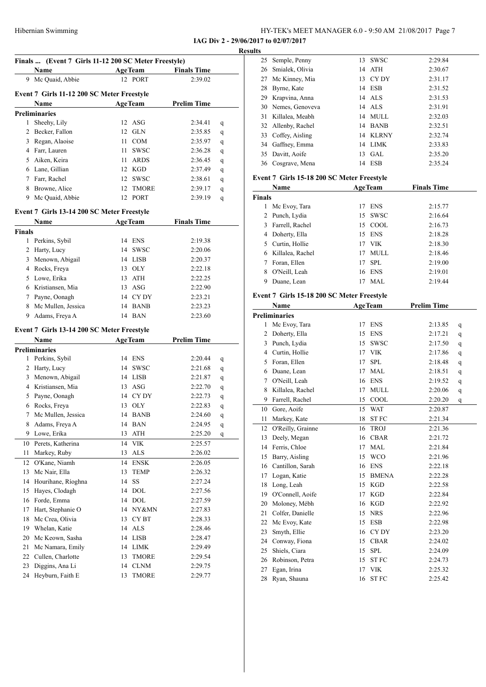**IAG Div 2 - 29/06/2017 to 02/07/2017**

|               | Name                                       | AgeTeam        |                             | <b>Finals Time</b> |         |
|---------------|--------------------------------------------|----------------|-----------------------------|--------------------|---------|
|               | 9 Mc Quaid, Abbie                          | 12 PORT        |                             | 2:39.02            |         |
|               | Event 7 Girls 11-12 200 SC Meter Freestyle |                |                             |                    |         |
|               | Name                                       | <b>AgeTeam</b> |                             | <b>Prelim Time</b> |         |
|               | <b>Preliminaries</b>                       |                |                             |                    |         |
| 1             | Sheehy, Lily                               | 12 ASG         |                             | 2:34.41            | q       |
| 2             | Becker, Fallon                             | 12 GLN         |                             | 2:35.85            | q       |
|               | 3 Regan, Alaoise                           | 11 COM         |                             | 2:35.97            | q       |
|               | 4 Farr, Lauren                             | 11 SWSC        |                             | 2:36.28            | q       |
|               | 5 Aiken, Keira                             | 11 ARDS        |                             | 2:36.45            | q       |
|               | 6 Lane, Gillian                            | 12 KGD         |                             | 2:37.49            | q       |
|               | 7 Farr, Rachel                             | 12 SWSC        |                             | 2:38.61            | q       |
|               | 8 Browne, Alice                            | 12             | TMORE                       | 2:39.17            | q       |
|               | 9 Mc Quaid, Abbie                          | 12 PORT        |                             | 2:39.19            | q       |
|               |                                            |                |                             |                    |         |
|               | Event 7 Girls 13-14 200 SC Meter Freestyle |                |                             |                    |         |
|               | Name                                       | <b>AgeTeam</b> |                             | <b>Finals Time</b> |         |
| <b>Finals</b> |                                            |                |                             |                    |         |
|               | 1 Perkins, Sybil                           | 14 ENS         |                             | 2:19.38            |         |
| 2             | Harty, Lucy                                | 14 SWSC        |                             | 2:20.06            |         |
| 3             | Menown, Abigail                            | 14 LISB        |                             | 2:20.37            |         |
|               | 4 Rocks, Freya                             | 13 OLY         |                             | 2:22.18            |         |
|               | 5 Lowe, Erika                              | 13 ATH         |                             | 2:22.25            |         |
|               | 6 Kristiansen, Mia                         | 13 ASG         |                             | 2:22.90            |         |
|               | 7 Payne, Oonagh                            | 14 CYDY        |                             | 2:23.21            |         |
|               | 8 Mc Mullen, Jessica                       | 14 BANB        |                             | 2:23.23            |         |
| 9             | Adams, Freya A                             | 14 BAN         |                             | 2:23.60            |         |
|               | Event 7 Girls 13-14 200 SC Meter Freestyle |                |                             |                    |         |
|               | Name                                       | <b>AgeTeam</b> |                             | <b>Prelim Time</b> |         |
|               | <b>Preliminaries</b>                       |                |                             |                    |         |
| 1             | Perkins, Sybil                             | 14 ENS         |                             | 2:20.44            | q       |
| 2             | Harty, Lucy                                | 14 SWSC        |                             | 2:21.68            | q       |
| 3             | Menown, Abigail                            | 14 LISB        |                             | 2:21.87            | q       |
|               | 4 Kristiansen, Mia                         | 13 ASG         |                             | 2:22.70            | q       |
| 5             | Payne, Oonagh                              | 14 CYDY        |                             | 2:22.73            | q       |
|               | 6 Rocks, Freya                             | 13 OLY         |                             | 2:22.83            | q       |
|               | 7 Mc Mullen, Jessica                       | 14 BANB        |                             | 2:24.60            | $\bf q$ |
| 8             | Adams, Freya A                             | 14             | BAN                         | 2:24.95            | q       |
| 9             | Lowe, Erika                                | 13             | ATH                         | 2:25.20            | q       |
| 10            | Perets, Katherina                          | 14             | <b>VIK</b>                  | 2:25.57            |         |
| 11            | Markey, Ruby                               | 13             | $\mathbf{ALS}\xspace$       | 2:26.02            |         |
| 12            | O'Kane, Niamh                              | 14             | ${\rm ENSK}$                | 2:26.05            |         |
| 13            | Mc Nair, Ella                              | 13             | <b>TEMP</b>                 | 2:26.32            |         |
| 14            | Hourihane, Ríoghna                         | SS<br>14       |                             | 2:27.24            |         |
| 15            | Hayes, Clodagh                             | 14             | $\rm DOL$                   | 2:27.56            |         |
| 16            | Forde, Emma                                | 14             | <b>DOL</b>                  | 2:27.59            |         |
| 17            | Hart, Stephanie O                          | 14             | NY&MN                       | 2:27.83            |         |
| 18            | Mc Crea, Olivia                            | 13             | CY BT                       | 2:28.33            |         |
| 19            | Whelan, Katie                              | 14             | $\ensuremath{\mathbf{ALS}}$ | 2:28.46            |         |
| 20            | Mc Keown, Sasha                            | 14             | <b>LISB</b>                 | 2:28.47            |         |
| 21            | Mc Namara, Emily                           | 14             | LIMK                        | 2:29.49            |         |
| 22            | Cullen, Charlotte                          | 13             | TMORE                       | 2:29.54            |         |
| 23            | Diggins, Ana Li                            | 14             | <b>CLNM</b>                 | 2:29.75            |         |
| 24            | Heyburn, Faith E                           | 13             | TMORE                       | 2:29.77            |         |

| Results |                    |    |             |         |
|---------|--------------------|----|-------------|---------|
|         | 25 Semple, Penny   | 13 | <b>SWSC</b> | 2:29.84 |
|         | 26 Smialek, Olivia |    | 14 ATH      | 2:30.67 |
|         | 27 Mc Kinney, Mia  |    | 13 CYDY     | 2:31.17 |
|         | 28 Byrne, Kate     |    | 14 ESB      | 2:31.52 |
|         | 29 Krapvina, Anna  |    | $14$ ALS    | 2:31.53 |
|         | 30 Nemes, Genoveva |    | $14$ ALS    | 2:31.91 |
|         | 31 Killalea, Meabh |    | 14 MULL     | 2:32.03 |
|         | 32 Allenby, Rachel |    | 14 BANB     | 2:32.51 |
|         | 33 Coffey, Aisling |    | 14 KLRNY    | 2:32.74 |
|         | 34 Gaffney, Emma   |    | 14 LIMK     | 2:33.83 |
|         | 35 Davitt, Aoife   |    | $13$ GAL    | 2:35.20 |
|         | 36 Cosgrave, Mena  | 14 | ESB         | 2:35.24 |
|         |                    |    |             |         |

#### **Event 7 Girls 15-18 200 SC Meter Freestyle**

| Name          |                  |    | <b>AgeTeam</b> | <b>Finals Time</b> |  |
|---------------|------------------|----|----------------|--------------------|--|
| <b>Finals</b> |                  |    |                |                    |  |
|               | Mc Evoy, Tara    | 17 | <b>ENS</b>     | 2:15.77            |  |
|               | 2 Punch, Lydia   |    | 15 SWSC        | 2:16.64            |  |
| 3             | Farrell, Rachel  |    | 15 COOL        | 2:16.73            |  |
|               | 4 Doherty, Ella  |    | 15 ENS         | 2:18.28            |  |
| 5.            | Curtin, Hollie   |    | 17 VIK         | 2:18.30            |  |
| 6.            | Killalea, Rachel | 17 | MULL           | 2:18.46            |  |
|               | Foran, Ellen     | 17 | SPL            | 2:19.00            |  |
| 8             | O'Neill, Leah    |    | 16 ENS         | 2:19.01            |  |
|               | Duane, Lean      |    | MAL            | 2:19.44            |  |

#### **Event 7 Girls 15-18 200 SC Meter Freestyle**

| <b>Name</b><br><b>AgeTeam</b> |    |               | <b>Prelim Time</b> |   |  |  |  |
|-------------------------------|----|---------------|--------------------|---|--|--|--|
| <b>Preliminaries</b>          |    |               |                    |   |  |  |  |
| Mc Evoy, Tara                 | 17 | <b>ENS</b>    | 2:13.85            | q |  |  |  |
| Doherty, Ella                 | 15 | <b>ENS</b>    | 2:17.21            | q |  |  |  |
| Punch, Lydia                  | 15 | <b>SWSC</b>   | 2:17.50            | q |  |  |  |
| Curtin, Hollie                | 17 | <b>VIK</b>    | 2:17.86            | q |  |  |  |
| Foran, Ellen                  | 17 | <b>SPL</b>    | 2:18.48            | q |  |  |  |
| Duane, Lean                   | 17 | <b>MAL</b>    | 2:18.51            | q |  |  |  |
| O'Neill, Leah                 | 16 | <b>ENS</b>    | 2:19.52            | q |  |  |  |
| Killalea, Rachel              | 17 | <b>MULL</b>   | 2:20.06            | q |  |  |  |
| Farrell, Rachel               | 15 | $_{\rm COOL}$ | 2:20.20            | q |  |  |  |
| Gore, Aoife                   | 15 | <b>WAT</b>    | 2:20.87            |   |  |  |  |
| Markey, Kate                  | 18 | <b>STFC</b>   | 2:21.34            |   |  |  |  |
| O'Reilly, Grainne             | 16 | <b>TROJ</b>   | 2:21.36            |   |  |  |  |
| Deely, Megan                  | 16 | <b>CBAR</b>   | 2:21.72            |   |  |  |  |
| Ferris, Chloe                 | 17 | <b>MAL</b>    | 2:21.84            |   |  |  |  |
| Barry, Aisling                | 15 | <b>WCO</b>    | 2:21.96            |   |  |  |  |
| Cantillon, Sarah              | 16 | <b>ENS</b>    | 2:22.18            |   |  |  |  |
| Logan, Katie                  | 15 | <b>BMENA</b>  | 2:22.28            |   |  |  |  |
| Long, Leah                    | 15 | <b>KGD</b>    | 2:22.58            |   |  |  |  |
| O'Connell, Aoife              | 17 | <b>KGD</b>    | 2:22.84            |   |  |  |  |
| Moloney, Mébh                 | 16 | <b>KGD</b>    | 2:22.92            |   |  |  |  |
| Colfer, Danielle              | 15 | <b>NRS</b>    | 2:22.96            |   |  |  |  |
| Mc Evoy, Kate                 | 15 | <b>ESB</b>    | 2:22.98            |   |  |  |  |
| Smyth, Ellie                  | 16 | CY DY         | 2:23.20            |   |  |  |  |
| Conway, Fiona                 | 15 | <b>CBAR</b>   | 2:24.02            |   |  |  |  |
| Shiels, Ciara                 | 15 | <b>SPL</b>    | 2:24.09            |   |  |  |  |
| Robinson, Petra               | 15 | <b>STFC</b>   | 2:24.73            |   |  |  |  |
| Egan, Irina                   | 17 | <b>VIK</b>    | 2:25.32            |   |  |  |  |
| Ryan, Shauna                  | 16 | <b>STFC</b>   | 2:25.42            |   |  |  |  |
|                               |    |               |                    |   |  |  |  |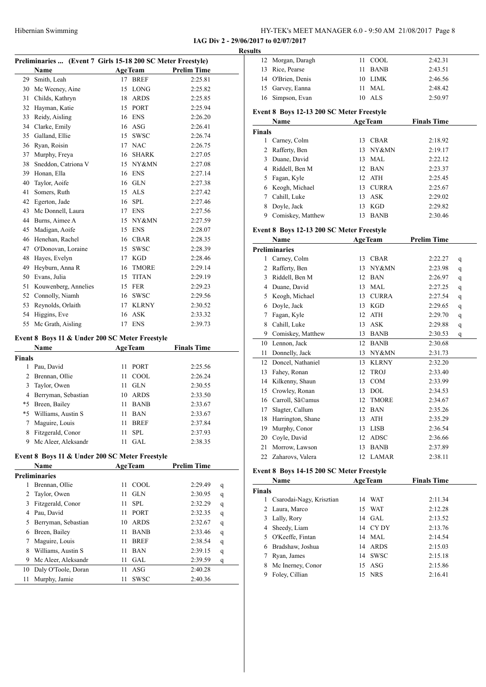**IAG Div 2 - 29/06/2017 to 02/07/2017**

|               | Preliminaries  (Event 7 Girls 15-18 200 SC Meter Freestyle) |    |                |                    |   |
|---------------|-------------------------------------------------------------|----|----------------|--------------------|---|
|               | Name                                                        |    | <b>AgeTeam</b> | <b>Prelim Time</b> |   |
|               | 29 Smith, Leah                                              | 17 | <b>BREF</b>    | 2:25.81            |   |
|               | 30 Mc Weeney, Aine                                          | 15 | LONG           | 2:25.82            |   |
| 31            | Childs, Kathryn                                             | 18 | ARDS           | 2:25.85            |   |
|               | 32 Hayman, Katie                                            | 15 | PORT           | 2:25.94            |   |
| 33            | Reidy, Aisling                                              | 16 | ENS            | 2:26.20            |   |
|               | 34 Clarke, Emily                                            | 16 | ASG            | 2:26.41            |   |
|               | 35 Galland, Ellie                                           | 15 | SWSC           | 2:26.74            |   |
|               | 36 Ryan, Roisin                                             | 17 | <b>NAC</b>     | 2:26.75            |   |
|               |                                                             |    |                |                    |   |
| 37            | Murphy, Freya                                               | 16 | SHARK          | 2:27.05            |   |
| 38            | Sneddon, Catriona V                                         | 15 | NY&MN          | 2:27.08            |   |
|               | 39 Honan, Ella                                              | 16 | ENS            | 2:27.14            |   |
| 40            | Taylor, Aoife                                               |    | 16 GLN         | 2:27.38            |   |
| 41            | Somers, Ruth                                                |    | 15 ALS         | 2:27.42            |   |
| 42            | Egerton, Jade                                               |    | 16 SPL         | 2:27.46            |   |
| 43            | Mc Donnell, Laura                                           | 17 | <b>ENS</b>     | 2:27.56            |   |
|               | 44 Burns, Aimee A                                           | 15 | NY&MN          | 2:27.59            |   |
| 45            | Madigan, Aoife                                              | 15 | <b>ENS</b>     | 2:28.07            |   |
| 46            | Henehan, Rachel                                             | 16 | CBAR           | 2:28.35            |   |
| 47            | O'Donovan, Loraine                                          | 15 | SWSC           | 2:28.39            |   |
| 48            | Hayes, Evelyn                                               | 17 | KGD            | 2:28.46            |   |
| 49            | Heyburn, Anna R                                             | 16 | TMORE          | 2:29.14            |   |
| 50            | Evans, Julia                                                | 15 | TITAN          | 2:29.19            |   |
| 51            | Kouwenberg, Annelies                                        | 15 | FER            | 2:29.23            |   |
|               | 52 Connolly, Niamh                                          |    | 16 SWSC        | 2:29.56            |   |
| 53            | Reynolds, Orlaith                                           | 17 | KLRNY          | 2:30.52            |   |
| 54            | Higgins, Eve                                                | 16 | <b>ASK</b>     | 2:33.32            |   |
| 55            | Mc Grath, Aisling                                           |    | 17 ENS         | 2:39.73            |   |
|               |                                                             |    |                |                    |   |
|               | Event 8 Boys 11 & Under 200 SC Meter Freestyle<br>Name      |    | <b>AgeTeam</b> | <b>Finals Time</b> |   |
| <b>Finals</b> |                                                             |    |                |                    |   |
|               | 1 Pau, David                                                | 11 | PORT           | 2:25.56            |   |
|               | 2 Brennan, Ollie                                            | 11 | COOL           | 2:26.24            |   |
| 3             | Taylor, Owen                                                | 11 | GLN            | 2:30.55            |   |
|               | 4 Berryman, Sebastian                                       |    | <b>ARDS</b>    |                    |   |
|               |                                                             | 10 |                | 2:33.50            |   |
|               | *5 Breen, Bailey                                            | 11 | BANB           | 2:33.67            |   |
|               | *5 Williams, Austin S                                       |    | $11$ BAN       | 2:33.67            |   |
| 7             | Maguire, Louis                                              | 11 | <b>BREF</b>    | 2:37.84            |   |
| 8             | Fitzgerald, Conor                                           | 11 | SPL            | 2:37.93            |   |
| 9.            | Mc Aleer, Aleksandr                                         | 11 | GAL            | 2:38.35            |   |
|               | Event 8 Boys 11 & Under 200 SC Meter Freestyle              |    |                |                    |   |
|               | Name                                                        |    | <b>AgeTeam</b> | <b>Prelim Time</b> |   |
|               | <b>Preliminaries</b>                                        |    |                |                    |   |
| 1             | Brennan, Ollie                                              | 11 | COOL           | 2:29.49            | q |
| 2             | Taylor, Owen                                                | 11 | <b>GLN</b>     | 2:30.95            | q |
| 3             | Fitzgerald, Conor                                           | 11 | SPL            | 2:32.29            | q |
|               | 4 Pau, David                                                | 11 | PORT           | 2:32.35            | q |
| 5             | Berryman, Sebastian                                         | 10 | ARDS           | 2:32.67            | q |
| 6             | Breen, Bailey                                               | 11 | BANB           | 2:33.46            |   |
| 7             | Maguire, Louis                                              | 11 | <b>BREF</b>    | 2:38.54            | q |
| 8             | Williams, Austin S                                          | 11 | BAN            | 2:39.15            | q |
| 9             |                                                             | 11 |                |                    | q |
|               | Mc Aleer, Aleksandr                                         |    | GAL            | 2:39.59            | q |
| 10            | Daly O'Toole, Doran                                         | 11 | ASG<br>SWSC    | 2:40.28            |   |
| 11            | Murphy, Jamie                                               | 11 |                | 2:40.36            |   |

| esults        |                                           |    |                |                    |   |  |
|---------------|-------------------------------------------|----|----------------|--------------------|---|--|
|               | 12 Morgan, Daragh                         |    | 11 COOL        | 2:42.31            |   |  |
|               | 13 Rice, Pearse                           | 11 | <b>BANB</b>    | 2:43.51            |   |  |
|               | 14 O'Brien, Denis                         |    | 10 LIMK        | 2:46.56            |   |  |
|               | 15 Garvey, Eanna                          | 11 | MAL            | 2:48.42            |   |  |
| 16            | Simpson, Evan                             |    | 10 ALS         | 2:50.97            |   |  |
|               | Event 8 Boys 12-13 200 SC Meter Freestyle |    |                |                    |   |  |
|               | Name                                      |    | <b>AgeTeam</b> | <b>Finals Time</b> |   |  |
| <b>Finals</b> |                                           |    |                |                    |   |  |
|               | 1 Carney, Colm                            |    | 13 CBAR        | 2:18.92            |   |  |
|               | 2 Rafferty, Ben                           | 13 | NY&MN          | 2:19.17            |   |  |
|               | 3 Duane, David                            | 13 | <b>MAL</b>     | 2:22.12            |   |  |
|               | 4 Riddell, Ben M                          |    | 12 BAN         | 2:23.37            |   |  |
|               | 5 Fagan, Kyle                             |    | 12 ATH         | 2:25.45            |   |  |
|               | 6 Keogh, Michael                          |    | 13 CURRA       | 2:25.67            |   |  |
|               | 7 Cahill, Luke                            | 13 | ASK            | 2:29.02            |   |  |
|               | 8 Doyle, Jack                             |    | 13 KGD         | 2:29.82            |   |  |
|               | 9 Comiskey, Matthew                       |    | 13 BANB        | 2:30.46            |   |  |
|               |                                           |    |                |                    |   |  |
|               | Event 8 Boys 12-13 200 SC Meter Freestyle |    |                |                    |   |  |
|               | Name                                      |    | <b>AgeTeam</b> | <b>Prelim Time</b> |   |  |
|               | <b>Preliminaries</b>                      |    |                |                    |   |  |
|               | 1 Carney, Colm                            | 13 | <b>CBAR</b>    | 2:22.27            | q |  |
|               | 2 Rafferty, Ben                           | 13 | NY&MN          | 2:23.98            | q |  |
|               | 3 Riddell, Ben M                          | 12 | <b>BAN</b>     | 2:26.97            | q |  |
|               | 4 Duane, David                            | 13 | <b>MAL</b>     | 2:27.25            | q |  |
|               | 5 Keogh, Michael                          |    | 13 CURRA       | 2:27.54            | q |  |
|               | 6 Doyle, Jack                             | 13 | KGD            | 2:29.65            | q |  |
|               | 7 Fagan, Kyle                             |    | 12 ATH         | 2:29.70            | q |  |
|               | 8 Cahill, Luke                            | 13 | <b>ASK</b>     | 2:29.88            | q |  |
|               | 9 Comiskey, Matthew                       | 13 | <b>BANB</b>    | 2:30.53            | q |  |
|               | 10 Lennon, Jack                           | 12 | <b>BANB</b>    | 2:30.68            |   |  |
|               | 11 Donnelly, Jack                         | 13 | NY&MN          | 2:31.73            |   |  |
|               | 12 Doncel, Nathaniel                      | 13 | <b>KLRNY</b>   | 2:32.20            |   |  |
|               | 13 Fahey, Ronan                           | 12 | <b>TROJ</b>    | 2:33.40            |   |  |
|               | 14 Kilkenny, Shaun                        | 13 | <b>COM</b>     | 2:33.99            |   |  |
|               | 15 Crowley, Ronan                         | 13 | <b>DOL</b>     | 2:34.53            |   |  |
|               | 16 Carroll, Sã©amus                       | 12 | <b>TMORE</b>   | 2:34.67            |   |  |
| 17            | Slagter, Callum                           | 12 | <b>BAN</b>     | 2:35.26            |   |  |
|               | 18 Harrington, Shane                      |    | 13 ATH         | 2:35.29            |   |  |
| 19            | Murphy, Conor                             | 13 | LISB           | 2:36.54            |   |  |
|               | 20 Coyle, David                           |    | 12 ADSC        | 2:36.66            |   |  |
| 21            | Morrow, Lawson                            | 13 | <b>BANB</b>    | 2:37.89            |   |  |
|               | 22 Zaharovs, Valera                       |    | 12 LAMAR       | 2:38.11            |   |  |
|               | Event 8 Boys 14-15 200 SC Meter Freestyle |    |                |                    |   |  |
|               | Name                                      |    | <b>AgeTeam</b> | <b>Finals Time</b> |   |  |
| <b>Finals</b> |                                           |    |                |                    |   |  |
|               | 1 Csarodai-Nagy, Krisztian                |    | 14 WAT         | 2:11.34            |   |  |
|               | 2 Laura, Marco                            | 15 | WAT            | 2:12.28            |   |  |
|               | 3 Lally, Rory                             | 14 | GAL            | 2:13.52            |   |  |
|               | 4 Sheedy, Liam                            |    | 14 CYDY        | 2:13.76            |   |  |
|               | 5 O'Keeffe, Fintan                        | 14 | MAL            | 2:14.54            |   |  |
|               | 6 Bradshaw, Joshua                        | 14 | <b>ARDS</b>    | 2:15.03            |   |  |
|               | 7 Ryan, James                             | 14 | <b>SWSC</b>    | 2:15.18            |   |  |

 Mc Inerney, Conor 15 ASG 2:15.86 Foley, Cillian 15 NRS 2:16.41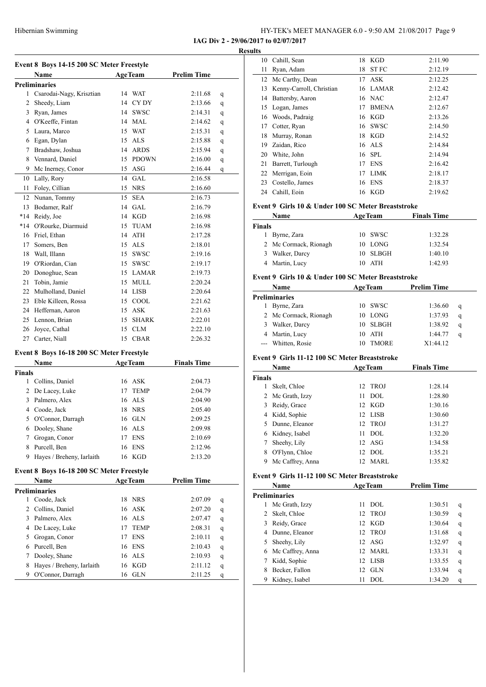|               | Event 8 Boys 14-15 200 SC Meter Freestyle         |                        |                    |        |
|---------------|---------------------------------------------------|------------------------|--------------------|--------|
|               | Name                                              | <b>AgeTeam</b>         | <b>Prelim Time</b> |        |
|               | <b>Preliminaries</b>                              |                        |                    |        |
| 1             | Csarodai-Nagy, Krisztian                          | 14<br>WAT              | 2:11.68            | q      |
|               | 2 Sheedy, Liam                                    | 14<br>CY DY            | 2:13.66            | q      |
|               | 3 Ryan, James                                     | 14 SWSC                | 2:14.31            | q      |
|               | 4 O'Keeffe, Fintan                                | 14 MAL                 | 2:14.62            | q      |
|               | 5 Laura, Marco                                    | 15 WAT                 | 2:15.31            | q      |
|               | 6 Egan, Dylan                                     | 15 ALS                 | 2:15.88            | q      |
|               | 7 Bradshaw, Joshua                                | 14 ARDS                | 2:15.94            | q      |
|               | 8 Vennard, Daniel                                 | 15 PDOWN               | 2:16.00            | q      |
| 9             | Mc Inerney, Conor                                 | 15 ASG                 | 2:16.44            | q      |
| 10            | Lally, Rory                                       | 14 GAL                 | 2:16.58            |        |
| 11            | Foley, Cillian                                    | 15 NRS                 | 2:16.60            |        |
| 12            | Nunan, Tommy                                      | 15<br><b>SEA</b>       | 2:16.73            |        |
|               |                                                   |                        |                    |        |
| 13            | Bodamer, Ralf                                     | 14 GAL                 | 2:16.79            |        |
|               | *14 Reidy, Joe                                    | 14 KGD                 | 2:16.98            |        |
|               | *14 O'Rourke, Diarmuid                            | <b>TUAM</b><br>15      | 2:16.98            |        |
|               | 16 Friel, Ethan                                   | 14 ATH                 | 2:17.28            |        |
|               | 17 Somers, Ben                                    | 15 ALS                 | 2:18.01            |        |
|               | 18 Wall, Illann                                   | 15 SWSC                | 2:19.16            |        |
|               | 19 O'Riordan, Cian                                | 15 SWSC                | 2:19.17            |        |
|               | 20 Donoghue, Sean                                 | 15 LAMAR               | 2:19.73            |        |
| 21            | Tobin, Jamie                                      | 15 MULL                | 2:20.24            |        |
|               | 22 Mulholland, Daniel                             | 14 LISB                | 2:20.64            |        |
|               | 23 Eble Killeen, Rossa                            | 15 COOL                | 2:21.62            |        |
|               | 24 Heffernan, Aaron                               | 15 ASK                 | 2:21.63            |        |
| 25            | Lennon, Brian                                     | <b>SHARK</b><br>15     | 2:22.01            |        |
| 26            | Joyce, Cathal                                     | <b>CLM</b><br>15       | 2:22.10            |        |
| 27            | Carter, Niall                                     | <b>CBAR</b><br>15      | 2:26.32            |        |
|               |                                                   |                        |                    |        |
|               | Event 8 Boys 16-18 200 SC Meter Freestyle<br>Name | <b>AgeTeam</b>         | <b>Finals Time</b> |        |
| <b>Finals</b> |                                                   |                        |                    |        |
| 1             | Collins, Daniel                                   | 16 ASK                 | 2:04.73            |        |
| 2             | De Lacey, Luke                                    | 17<br><b>TEMP</b>      | 2:04.79            |        |
| 3             | Palmero, Alex                                     | ALS<br>16              | 2:04.90            |        |
|               |                                                   | <b>NRS</b>             |                    |        |
|               | 4 Coode, Jack                                     | 18                     | 2:05.40            |        |
|               | 5 O'Connor, Darragh                               | 16 GLN                 | 2:09.25            |        |
|               | 6 Dooley, Shane                                   | 16 ALS                 | 2:09.98            |        |
| 7             | Grogan, Conor                                     | <b>ENS</b><br>17       | 2:10.69            |        |
| 8             | Purcell, Ben                                      | <b>ENS</b><br>16       | 2:12.96            |        |
| 9             | Hayes / Breheny, Iarlaith                         | KGD<br>16              | 2:13.20            |        |
|               | Event 8 Boys 16-18 200 SC Meter Freestyle         |                        |                    |        |
|               | Name                                              | <b>AgeTeam</b>         | <b>Prelim Time</b> |        |
|               | <b>Preliminaries</b>                              |                        |                    |        |
| 1             | Coode, Jack                                       | <b>NRS</b><br>18       | 2:07.09            | q      |
| 2             | Collins, Daniel                                   | <b>ASK</b><br>16       | 2:07.20            | q      |
| 3             | Palmero, Alex                                     | <b>ALS</b><br>16       | 2:07.47            | q      |
|               | 4 De Lacey, Luke                                  | 17<br><b>TEMP</b>      | 2:08.31            | q      |
|               | 5 Grogan, Conor                                   | 17<br><b>ENS</b>       | 2:10.11            | q      |
|               | 6 Purcell, Ben                                    | 16<br><b>ENS</b>       | 2:10.43            | q      |
|               |                                                   |                        |                    |        |
|               |                                                   |                        |                    |        |
| 7<br>8        | Dooley, Shane<br>Hayes / Breheny, Iarlaith        | 16<br>ALS<br>KGD<br>16 | 2:10.93<br>2:11.12 | q<br>q |

| <b>Results</b> |    |                          |    |              |         |  |
|----------------|----|--------------------------|----|--------------|---------|--|
|                | 10 | Cahill, Sean             | 18 | <b>KGD</b>   | 2:11.90 |  |
|                | 11 | Ryan, Adam               | 18 | <b>STFC</b>  | 2:12.19 |  |
|                |    | 12 Mc Carthy, Dean       |    | 17 ASK       | 2:12.25 |  |
|                | 13 | Kenny-Carroll, Christian |    | 16 LAMAR     | 2:12.42 |  |
|                | 14 | Battersby, Aaron         | 16 | <b>NAC</b>   | 2:12.47 |  |
|                | 15 | Logan, James             | 17 | <b>BMENA</b> | 2:12.67 |  |
|                | 16 | Woods, Padraig           |    | 16 KGD       | 2:13.26 |  |
|                | 17 | Cotter, Ryan             | 16 | SWSC         | 2:14.50 |  |
|                | 18 | Murray, Ronan            | 18 | KGD          | 2:14.52 |  |
|                | 19 | Zaidan, Rico             |    | 16 ALS       | 2:14.84 |  |
|                | 20 | White, John              | 16 | SPL          | 2:14.94 |  |
|                | 21 | Barrett, Turlough        | 17 | <b>ENS</b>   | 2:16.42 |  |
|                |    | 22 Merrigan, Eoin        | 17 | <b>LIMK</b>  | 2:18.17 |  |
|                | 23 | Costello, James          | 16 | <b>ENS</b>   | 2:18.37 |  |
|                |    | 24 Cahill, Eoin          | 16 | KGD          | 2:19.62 |  |

#### **Event 9 Girls 10 & Under 100 SC Meter Breaststroke**

|        | Name                  |     | <b>AgeTeam</b> | <b>Finals Time</b> |  |
|--------|-----------------------|-----|----------------|--------------------|--|
| Finals |                       |     |                |                    |  |
|        | Byrne, Zara           |     | 10 SWSC        | 1:32.28            |  |
|        | 2 Mc Cormack, Rionagh |     | 10 LONG        | 1:32.54            |  |
|        | 3 Walker, Darcy       |     | 10 SLBGH       | 1:40.10            |  |
|        | 4 Martin, Lucy        | 10. | ATH            | 1:42.93            |  |

#### **Event 9 Girls 10 & Under 100 SC Meter Breaststroke**

|                      | <b>Name</b>           |     | <b>AgeTeam</b> | <b>Prelim Time</b> |   |
|----------------------|-----------------------|-----|----------------|--------------------|---|
| <b>Preliminaries</b> |                       |     |                |                    |   |
|                      | Byrne, Zara           |     | 10 SWSC        | 1:36.60            | q |
|                      | 2 Mc Cormack, Rionagh |     | LONG           | 1:37.93            | q |
| 3.                   | Walker, Darcy         | 10. | <b>SLBGH</b>   | 1:38.92            | q |
|                      | 4 Martin, Lucy        | 10  | ATH            | 1:44.77            | a |
|                      | --- Whitten, Rosie    |     | <b>TMORE</b>   | X1:44.12           |   |

#### **Event 9 Girls 11-12 100 SC Meter Breaststroke**

|               | Name             |     | <b>AgeTeam</b> | <b>Finals Time</b> |  |
|---------------|------------------|-----|----------------|--------------------|--|
| <b>Finals</b> |                  |     |                |                    |  |
|               | Skelt, Chloe     |     | 12 TROJ        | 1:28.14            |  |
|               | 2 Mc Grath, Izzy | 11  | DOL.           | 1:28.80            |  |
| 3             | Reidy, Grace     |     | 12 KGD         | 1:30.16            |  |
|               | 4 Kidd, Sophie   |     | 12 LISB        | 1:30.60            |  |
| 5.            | Dunne, Eleanor   |     | 12 TROJ        | 1:31.27            |  |
|               | 6 Kidney, Isabel | 11  | DOL            | 1:32.20            |  |
|               | Sheehy, Lily     |     | $12$ ASG       | 1:34.58            |  |
| 8             | O'Flynn, Chloe   |     | 12 DOL         | 1:35.21            |  |
| 9             | Mc Caffrey, Anna | 12. | MARL           | 1:35.82            |  |

#### **Event 9 Girls 11-12 100 SC Meter Breaststroke**

|                | Name                 | <b>AgeTeam</b>  |            | <b>Prelim Time</b> |   |
|----------------|----------------------|-----------------|------------|--------------------|---|
|                | <b>Preliminaries</b> |                 |            |                    |   |
| l              | Mc Grath, Izzy       | 11              | DOL.       | 1:30.51            | q |
| $\mathfrak{D}$ | Skelt, Chloe         |                 | 12 TROJ    | 1:30.59            | q |
| 3              | Reidy, Grace         | 12 <sub>1</sub> | KGD        | 1:30.64            | q |
| 4              | Dunne, Eleanor       |                 | 12 TROJ    | 1:31.68            | q |
| 5              | Sheehy, Lily         |                 | $12$ ASG   | 1:32.97            | q |
| 6              | Mc Caffrey, Anna     | 12.             | MARL       | 1:33.31            | q |
|                | Kidd, Sophie         | 12.             | LISB       | 1:33.55            | q |
| 8              | Becker, Fallon       | 12.             | <b>GLN</b> | 1:33.94            | q |
| 9              | Kidney, Isabel       | 11              | DOL.       | 1:34.20            | q |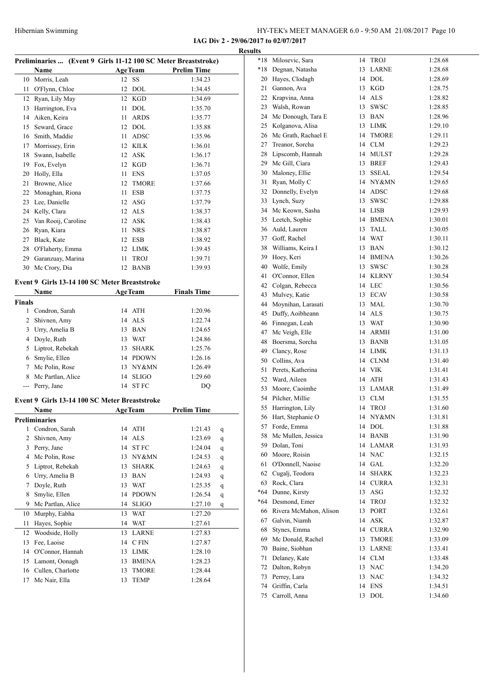**IAG Div 2 - 29/06/2017 to 02/07/2017**

|               |                                                                |                    |                    |             | <b>Results</b> |                               |
|---------------|----------------------------------------------------------------|--------------------|--------------------|-------------|----------------|-------------------------------|
|               | Preliminaries  (Event 9 Girls 11-12 100 SC Meter Breaststroke) |                    |                    |             | *18            | Milosevic, Sara               |
|               | Name                                                           | <b>AgeTeam</b>     | <b>Prelim Time</b> |             | *18            | Degnan, Natasl                |
|               | 10 Morris, Leah                                                | 12 SS              | 1:34.23            |             | 20             | Hayes, Clodagl                |
| 11            | O'Flynn, Chloe                                                 | 12<br>DOL          | 1:34.45            |             | 21             | Gannon, Ava                   |
|               | 12 Ryan, Lily May                                              | 12 KGD             | 1:34.69            |             | 22             | Krapvina, Anna                |
|               | 13 Harrington, Eva                                             | 11 DOL             | 1:35.70            |             | 23             | Walsh, Rowan                  |
|               | 14 Aiken, Keira                                                | <b>ARDS</b><br>11  | 1:35.77            |             | 24             | Mc Donough,                   |
| 15            | Seward, Grace                                                  | 12 DOL             | 1:35.88            |             | 25             | Kolganova, Ali                |
|               | 16 Smith, Maddie                                               | ADSC<br>11         | 1:35.96            |             | 26             | Mc Grath, Racl                |
|               | 17 Morrissey, Erin                                             | 12 KILK            | 1:36.01            |             | 27             | Treanor, Sorcha               |
| 18            | Swann, Isabelle                                                | 12 ASK             | 1:36.17            |             |                | 28 Lipscomb, Han              |
|               | 19 Fox, Evelyn                                                 | 12 KGD             | 1:36.71            |             | 29             | Mc Gill, Ciara                |
| 20            | Holly, Ella                                                    | <b>ENS</b><br>11   | 1:37.05            |             | 30             | Maloney, Ellie                |
| 21            | Browne, Alice                                                  | 12<br><b>TMORE</b> | 1:37.66            |             | 31             | Ryan, Molly C                 |
| 22            | Monaghan, Riona                                                | ESB<br>11          | 1:37.75            |             | 32             | Donnelly, Evel                |
|               | 23 Lee, Danielle                                               | 12 ASG             | 1:37.79            |             | 33             | Lynch, Suzy                   |
|               | 24 Kelly, Clara                                                | 12 ALS             | 1:38.37            |             | 34             | Mc Keown, Sa                  |
| 25            | Van Rooij, Caroline                                            | 12 ASK             | 1:38.43            |             | 35             | Leetch, Sophie                |
| 26            | Ryan, Kiara                                                    | NRS<br>11          | 1:38.87            |             | 36             | Auld, Lauren                  |
| 27            | Black, Kate                                                    | 12 ESB             | 1:38.92            |             | 37             | Goff, Rachel                  |
| 28            | O'Flaherty, Emma                                               | 12 LIMK            | 1:39.45            |             | 38             | Williams, Keira               |
|               | 29 Garanzuay, Marina                                           | <b>TROJ</b><br>11  | 1:39.71            |             | 39             | Hoey, Keri                    |
|               | 30 Mc Crory, Dia                                               | 12 BANB            | 1:39.93            |             | 40             | Wolfe, Emily                  |
|               |                                                                |                    |                    |             | 41             | O'Connor, Elle                |
|               | Event 9 Girls 13-14 100 SC Meter Breaststroke                  |                    |                    |             |                | 42 Colgan, Rebeco             |
|               | Name                                                           | <b>AgeTeam</b>     | <b>Finals Time</b> |             | 43             | Mulvey, Katie                 |
| <b>Finals</b> |                                                                |                    |                    |             | 44             | Moynihan, Lar                 |
|               | 1 Condron, Sarah                                               | 14 ATH             | 1:20.96            |             | 45             | Duffy, Aoibhea                |
| 2             | Shivnen, Amy                                                   | 14 ALS             | 1:22.74            |             | 46             | Finnegan, Leal                |
| 3             | Urry, Amelia B                                                 | 13 BAN             | 1:24.65            |             | 47             | Mc Veigh, Elle                |
| 4             | Doyle, Ruth                                                    | WAT<br>13          | 1:24.86            |             | 48             | Boersma, Sorcl                |
| 5             | Liptrot, Rebekah                                               | SHARK<br>13        | 1:25.76            |             | 49             | Clancy, Rose                  |
|               | 6 Smylie, Ellen                                                | 14 PDOWN           | 1:26.16            |             | 50             | Collins, Ava                  |
| 7             | Mc Polin, Rose                                                 | 13 NY&MN           | 1:26.49            |             | 51             | Perets, Katheri               |
| 8             | Mc Partlan, Alice                                              | 14 SLIGO           | 1:29.60            |             | 52             | Ward, Aileen                  |
|               | --- Perry, Jane                                                | 14 STFC            | DQ                 |             | 53             | Moore, Caoiml                 |
|               |                                                                |                    |                    |             | 54             | Pilcher, Millie               |
|               | Event 9 Girls 13-14 100 SC Meter Breaststroke                  |                    |                    |             | 55             | Harrington, Lil               |
|               | Name                                                           | <b>AgeTeam</b>     | <b>Prelim Time</b> |             |                | 56 Hart, Stephanie            |
|               | Preliminaries                                                  |                    |                    |             | 57             | Forde, Emma                   |
| 1             | Condron, Sarah                                                 | 14 ATH             | 1:21.43            | q           | 58             | Mc Mullen, Jes                |
| 2             | Shivnen, Amy                                                   | 14 ALS             | 1:23.69            | q           | 59             | Dolan, Toni                   |
| 3             | Perry, Jane                                                    | 14 ST FC           | 1:24.04            | q           | 60             | Moore, Roisin                 |
| 4             | Mc Polin, Rose                                                 | NY&MN<br>13        | 1:24.53            | q           | 61             | O'Donnell, Nao                |
| 5             | Liptrot, Rebekah                                               | <b>SHARK</b><br>13 | 1:24.63            | q           | 62             | Cugalj, Teodor                |
| 6             | Urry, Amelia B                                                 | <b>BAN</b><br>13   | 1:24.93            | q           | 63             | Rock, Clara                   |
| 7             | Doyle, Ruth                                                    | <b>WAT</b><br>13   | 1:25.35            | q           | *64            | Dunne, Kirsty                 |
| 8             | Smylie, Ellen                                                  | <b>PDOWN</b><br>14 | 1:26.54            | $\mathbf q$ | *64            | Desmond, Eme                  |
| 9             | Mc Partlan, Alice                                              | <b>SLIGO</b><br>14 | 1:27.10            | q           |                | Rivera McMah                  |
| 10            | Murphy, Eabha                                                  | <b>WAT</b><br>13   | 1:27.20            |             | 66             |                               |
| 11            | Hayes, Sophie                                                  | 14 WAT             | 1:27.61            |             | 67             | Galvin, Niamh                 |
| 12            | Woodside, Holly                                                | LARNE<br>13        | 1:27.83            |             | 68             | Stynes, Emma                  |
| 13            | Fee, Laoise                                                    | 14 CFIN            | 1:27.87            |             | 69             | Mc Donald, Ra                 |
| 14            | O'Connor, Hannah                                               | LIMK<br>13         | 1:28.10            |             | 70             | Baine, Siobhan                |
| 15            | Lamont, Oonagh                                                 | <b>BMENA</b><br>13 | 1:28.23            |             | 71             | Delaney, Kate                 |
| 16            | Cullen, Charlotte                                              | 13<br><b>TMORE</b> | 1:28.44            |             | 72             | Dalton, Robyn                 |
| 17            | Mc Nair, Ella                                                  | 13<br><b>TEMP</b>  | 1:28.64            |             | 73<br>74       | Perrey, Lara<br>Griffin Carla |

| $*18$ | Milosevic, Sara           | 14 | TROJ         | 1:28.68 |
|-------|---------------------------|----|--------------|---------|
| *18   | Degnan, Natasha           | 13 | LARNE        | 1:28.68 |
| 20    | Hayes, Clodagh            | 14 | DOL          | 1:28.69 |
| 21    | Gannon, Ava               | 13 | KGD          | 1:28.75 |
| 22    | Krapvina, Anna            | 14 | <b>ALS</b>   | 1:28.82 |
| 23    | Walsh, Rowan              | 13 | <b>SWSC</b>  | 1:28.85 |
| 24    | Mc Donough, Tara E        | 13 | <b>BAN</b>   | 1:28.96 |
| 25    | Kolganova, Alisa          | 13 | LIMK         | 1:29.10 |
| 26    | Mc Grath, Rachael E       | 14 | TMORE        | 1:29.11 |
| 27    | Treanor, Sorcha           | 14 | <b>CLM</b>   | 1:29.23 |
|       |                           |    |              |         |
| 28    | Lipscomb, Hannah          | 14 | MULST        | 1:29.28 |
| 29    | Mc Gill, Ciara            | 13 | <b>BREF</b>  | 1:29.43 |
| 30    | Maloney, Ellie            | 13 | SSEAL        | 1:29.54 |
| 31    | Ryan, Molly C             |    | 14 NY&MN     | 1:29.65 |
| 32    | Donnelly, Evelyn          |    | 14 ADSC      | 1:29.68 |
| 33    | Lynch, Suzy               | 13 | SWSC         | 1:29.88 |
| 34    | Mc Keown, Sasha           | 14 | LISB         | 1:29.93 |
| 35    | Leetch, Sophie            | 14 | BMENA        | 1:30.01 |
| 36    | Auld, Lauren              | 13 | TALL         | 1:30.05 |
| 37    | Goff, Rachel              | 14 | WAT          | 1:30.11 |
| 38    | Williams, Keira I         | 13 | <b>BAN</b>   | 1:30.12 |
| 39    | Hoey, Keri                | 14 | <b>BMENA</b> | 1:30.26 |
| 40    | Wolfe, Emily              | 13 | SWSC         | 1:30.28 |
| 41    | O'Connor, Ellen           | 14 | <b>KLRNY</b> | 1:30.54 |
| 42    | Colgan, Rebecca           | 14 | <b>LEC</b>   | 1:30.56 |
| 43    | Mulvey, Katie             | 13 | ECAV         | 1:30.58 |
| 44    | Moynihan, Larasati        | 13 | MAL          | 1:30.70 |
| 45    | Duffy, Aoibheann          | 14 | ALS          | 1:30.75 |
| 46    | Finnegan, Leah            | 13 | WAT          | 1:30.90 |
| 47    | Mc Veigh, Elle            | 14 | ARMH         | 1:31.00 |
| 48    | Boersma, Sorcha           | 13 | <b>BANB</b>  | 1:31.05 |
| 49    | Clancy, Rose              | 14 | LIMK         | 1:31.13 |
| 50    | Collins, Ava              | 14 | CLNM         | 1:31.40 |
| 51    | Perets, Katherina         | 14 | <b>VIK</b>   | 1:31.41 |
| 52    | Ward, Aileen              | 14 | ATH          | 1:31.43 |
| 53    | Moore, Caoimhe            | 13 | <b>LAMAR</b> | 1:31.49 |
| 54    | Pilcher, Millie           | 13 | <b>CLM</b>   | 1:31.55 |
| 55    | Harrington, Lily          | 14 | <b>TROJ</b>  | 1:31.60 |
| 56    | Hart, Stephanie O         | 14 | NY&MN        | 1:31.81 |
| 57    | Forde, Emma               | 14 | DOL          | 1:31.88 |
| 58    | Mc Mullen, Jessica        | 14 | BANB         | 1:31.90 |
| 59    | Dolan, Toni               | 14 | LAMAR        | 1:31.93 |
| 60    | Moore, Roisin             | 14 | <b>NAC</b>   | 1:32.15 |
| 61    | O'Donnell, Naoise         | 14 | GAL          | 1:32.20 |
| 62    | Cugali, Teodora           | 14 | <b>SHARK</b> | 1:32.23 |
| 63    | Rock, Clara               | 14 | <b>CURRA</b> | 1:32.31 |
|       | *64 Dunne, Kirsty         | 13 | ASG          | 1:32.32 |
|       | *64 Desmond, Emer         | 14 | TROJ         | 1:32.32 |
|       | 66 Rivera McMahon, Alison |    |              |         |
|       |                           | 13 | <b>PORT</b>  | 1:32.61 |
| 67    | Galvin, Niamh             | 14 | ASK          | 1:32.87 |
| 68    | Stynes, Emma              | 14 | <b>CURRA</b> | 1:32.90 |
| 69    | Mc Donald, Rachel         | 13 | TMORE        | 1:33.09 |
| 70    | Baine, Siobhan            | 13 | LARNE        | 1:33.41 |
| 71    | Delaney, Kate             | 14 | <b>CLM</b>   | 1:33.48 |
| 72    | Dalton, Robyn             | 13 | <b>NAC</b>   | 1:34.20 |
| 73    | Perrey, Lara              | 13 | NAC          | 1:34.32 |
| 74    | Griffin, Carla            | 14 | ENS          | 1:34.51 |
| 75    | Carroll, Anna             | 13 | DOL          | 1:34.60 |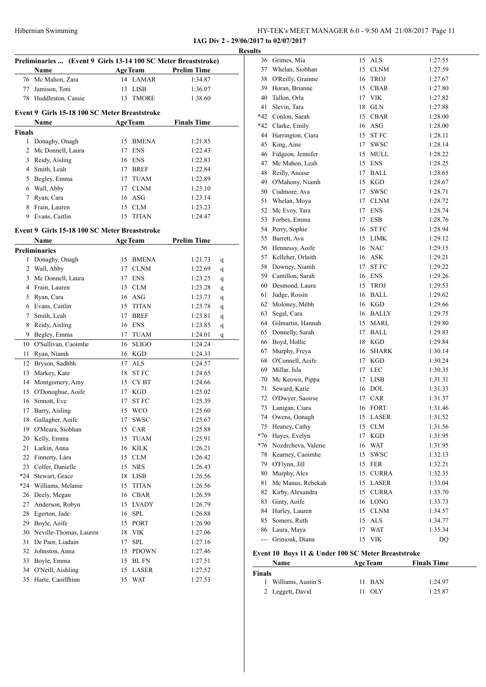| Hibernian Swimming | HY-TEK's MEET MANAGER 6.0 - 9:50 AM 21/08/2017 Page 11 |
|--------------------|--------------------------------------------------------|
|--------------------|--------------------------------------------------------|

|               |                                                                |    |                    |                                | <b>Results</b> |
|---------------|----------------------------------------------------------------|----|--------------------|--------------------------------|----------------|
|               | Preliminaries  (Event 9 Girls 13-14 100 SC Meter Breaststroke) |    |                    |                                |                |
|               | Name<br>76 Mc Mahon, Zara                                      |    | 14 LAMAR           | AgeTeam Prelim Time<br>1:34.87 |                |
|               | 77 Jamison, Toni                                               |    | 13 LISB            | 1:36.07                        |                |
|               | 78 Huddleston, Cassie                                          |    | 13 TMORE           | 1:38.60                        |                |
|               |                                                                |    |                    |                                |                |
|               | Event 9 Girls 15-18 100 SC Meter Breaststroke                  |    |                    |                                |                |
|               | Name                                                           |    | <b>AgeTeam</b>     | <b>Finals Time</b>             |                |
| <b>Finals</b> |                                                                |    |                    |                                |                |
|               | 1 Donaghy, Onagh<br>2 Mc Donnell, Laura                        |    | 15 BMENA<br>17 ENS | 1:21.85                        |                |
|               |                                                                |    | 16 ENS             | 1:22.43                        |                |
|               | 3 Reidy, Aisling<br>4 Smith, Leah                              |    | 17 BREF            | 1:22.83                        |                |
|               |                                                                |    | 17 TUAM            | 1:22.84                        |                |
|               | 5 Begley, Emma                                                 |    | 17 CLNM            | 1:22.89                        |                |
|               | 6 Wall, Abby                                                   |    |                    | 1:23.10                        |                |
|               | 7 Ryan, Cara                                                   |    | 16 ASG             | 1:23.14                        |                |
|               | 8 Frain, Lauren                                                |    | 15 CLM             | 1:23.23                        |                |
|               | 9 Evans, Caitlin                                               |    | 15 TITAN           | 1:24.47                        |                |
|               | Event 9 Girls 15-18 100 SC Meter Breaststroke                  |    |                    |                                |                |
|               | Name                                                           |    | <b>AgeTeam</b>     | <b>Prelim Time</b>             |                |
|               | <b>Preliminaries</b>                                           |    |                    |                                |                |
|               | 1 Donaghy, Onagh                                               |    | 15 BMENA           | 1:21.73                        | q              |
|               | 2 Wall, Abby                                                   |    | 17 CLNM            | 1:22.69                        | q              |
|               | 3 Mc Donnell, Laura                                            |    | 17 ENS             | 1:23.25                        | q              |
|               | 4 Frain, Lauren                                                |    | 15 CLM             | 1:23.28                        | q              |
|               | 5 Ryan, Cara                                                   |    | 16 ASG             | 1:23.73                        | q              |
|               | 6 Evans, Caitlin                                               |    | 15 TITAN           | 1:23.78                        | q              |
|               | 7 Smith, Leah                                                  |    | 17 BREF            | 1:23.81                        | q              |
|               | 8 Reidy, Aisling                                               |    | 16 ENS             | 1:23.85                        | q              |
|               | 9 Begley, Emma                                                 |    | 17 TUAM            | 1:24.01                        | q              |
|               | 10 O'Sullivan, Caoimhe                                         | 16 | <b>SLIGO</b>       | 1:24.24                        |                |
| 11            | Ryan, Niamh                                                    |    | 16 KGD             | 1:24.33                        |                |
|               | 12 Bryson, Sadhbh                                              |    | 17 ALS             | 1:24.57                        |                |
| 13            | Markey, Kate                                                   |    | 18 ST FC           | 1:24.65                        |                |
|               | 14 Montgomery, Amy                                             |    | 15 CYBT            | 1:24.66                        |                |
|               | 15 O'Donoghue, Aoife                                           |    | 17 KGD             | 1:25.02                        |                |
|               | 16 Sinnott, Eve                                                | 17 | <b>STFC</b>        | 1:25.39                        |                |
|               | 17 Barry, Aisling                                              |    | 15 WCO             | 1:25.60                        |                |
| 18            | Gallagher, Aoife                                               | 17 | SWSC               | 1:25.67                        |                |
| 19            | O'Meara, Siobhan                                               | 15 | CAR                | 1:25.88                        |                |
| 20            | Kelly, Emma                                                    | 15 | TUAM               | 1:25.91                        |                |
| 21            | Larkin, Anna                                                   | 16 | <b>KILK</b>        | 1:26.21                        |                |
| 22            | Finnerty, Lára                                                 |    | 15 CLM             | 1:26.42                        |                |
| 23            | Colfer, Danielle                                               |    | 15 NRS             | 1:26.43                        |                |
|               | *24 Stewart, Grace                                             |    | 18 LISB            | 1:26.56                        |                |
| *24           | Williams, Melanie                                              | 15 | <b>TITAN</b>       | 1:26.56                        |                |
|               | 26 Deely, Megan                                                |    | 16 CBAR            | 1:26.59                        |                |
| 27            | Anderson, Robyn                                                | 15 | <b>LVADY</b>       | 1:26.79                        |                |
| 28            | Egerton, Jade                                                  | 16 | ${\rm SPL}$        | 1:26.88                        |                |
| 29            | Boyle, Aoife                                                   | 15 | PORT               | 1:26.90                        |                |
|               | 30 Neville-Thomas, Lauren                                      |    | 18 VIK             | 1:27.06                        |                |
| 31            | De Paor, Liadain                                               | 17 | SPL                | 1:27.16                        |                |
| 32            | Johnston, Anna                                                 | 15 | <b>PDOWN</b>       | 1:27.46                        | Eve            |
| 33            | Boyle, Emma                                                    | 15 | BL FN              | 1:27.51                        |                |
| 34            | O'Neill, Aishling                                              |    | 15 LASER           | 1:27.52                        | Fin            |
| 35            | Harte, Caoilfhinn                                              |    | 15 WAT             | 1:27.53                        |                |

| IUS   |                     |    |              |         |
|-------|---------------------|----|--------------|---------|
|       | 36 Grimes, Mia      | 15 | ALS          | 1:27.55 |
| 37    | Whelan, Siobhan     | 15 | <b>CLNM</b>  | 1:27.59 |
| 38    | O'Reilly, Grainne   | 16 | TROJ         | 1:27.67 |
| 39    | Horan, Brianne      | 15 | CBAR         | 1:27.80 |
| 40    | Tallon, Orla        | 17 | <b>VIK</b>   | 1:27.82 |
| 41    | Slevin, Tara        | 18 | <b>GLN</b>   | 1:27.88 |
| $*42$ | Conlon, Sarah       | 15 | <b>CBAR</b>  | 1:28.00 |
| *42   | Clarke, Emily       | 16 | ASG          | 1:28.00 |
| 44    | Harrington, Ciara   | 15 | ST FC        | 1:28.11 |
| 45    | King, Aine          | 17 | SWSC         | 1:28.14 |
| 46    | Fidgeon, Jennifer   | 15 | MULL         | 1:28.22 |
| 47    | Mc Mahon, Leah      | 15 | ENS          | 1:28.25 |
| 48    | Reilly, Anoise      | 17 | BALL         | 1:28.65 |
| 49    | O'Mahony, Niamh     | 15 | KGD          | 1:28.67 |
| 50    | Cudmore, Ava        | 17 | SWSC         | 1:28.71 |
| 51    | Whelan, Moya        | 17 | <b>CLNM</b>  | 1:28.72 |
| 52    | Mc Evoy, Tara       | 17 | <b>ENS</b>   | 1:28.74 |
| 53    | Forbes, Emma        | 17 | ESB          | 1:28.76 |
| 54    | Perry, Sophie       | 16 | <b>STFC</b>  | 1:28.94 |
| 55    | Barrett, Ava        | 15 | LIMK         | 1:29.12 |
| 56    | Hennessy, Aoife     | 16 | <b>NAC</b>   | 1:29.15 |
| 57    | Kelleher, Orlaith   | 16 | ASK          | 1:29.21 |
| 58    | Downey, Niamh       | 17 | ST FC        | 1:29.22 |
|       | 59 Cantillon, Sarah | 16 | ENS          | 1:29.26 |
| 60    | Desmond, Laura      | 15 | TROJ         | 1:29.53 |
| 61    | Judge, Roisin       | 16 | BALL         | 1:29.62 |
| 62    | Moloney, Mébh       |    | 16 KGD       | 1:29.66 |
| 63    | Segal, Cara         |    | 16 BALLY     | 1:29.75 |
| 64    | Gilmartin, Hannah   | 15 | MARL         | 1:29.80 |
| 65    | Donnelly, Sarah     | 17 | BALL         | 1:29.83 |
| 66    | Boyd, Hollie        | 18 | KGD          | 1:29.84 |
| 67    | Murphy, Freya       | 16 | SHARK        | 1:30.14 |
| 68    | O'Connell, Aoife    | 17 | KGD          | 1:30.24 |
| 69    | Millar, Isla        | 17 | LEC          | 1:30.35 |
| 70    | Mc Keown, Pippa     | 17 | LISB         | 1:31.31 |
| 71    | Seward, Katie       | 16 | <b>DOL</b>   | 1:31.33 |
|       | 72 O'Dwyer, Saoirse | 17 | CAR          | 1:31.37 |
|       | 73 Lanigan, Ciara   |    | 16 FORT      | 1:31.46 |
|       | 74 Owens, Oonagh    |    | 15 LASER     | 1:31.52 |
|       | 75 Heaney, Cathy    |    | 15 CLM       | 1:31.56 |
| $*76$ | Hayes, Evelyn       | 17 | KGD          | 1:31.95 |
| $*76$ | Nozdrcheva, Valerie | 16 | WAT          | 1:31.95 |
| 78    | Kearney, Caoimhe    | 15 | SWSC         | 1:32.13 |
| 79    | O'Flynn, Jill       | 15 | <b>FER</b>   | 1:32.21 |
| 80    | Murphy, Alex        | 15 | <b>CURRA</b> | 1:32.35 |
| 81    | Mc Manus, Rebekah   | 15 | LASER        | 1:33.04 |
| 82    | Kirby, Alexandra    | 15 | <b>CURRA</b> | 1:33.70 |
| 83    | Ginty, Aoife        | 16 | <b>LONG</b>  | 1:33.73 |
| 84    | Hurley, Lauren      | 15 | <b>CLNM</b>  | 1:34.57 |
| 85    | Somers, Ruth        | 15 | <b>ALS</b>   | 1:34.77 |
|       | 86 Laura, Maya      | 17 | WAT          | 1:35.34 |
| ---   | Griniouk, Diana     | 15 | <b>VIK</b>   | DQ      |

# **Event 10 Boys 11 & Under 100 SC Meter Breaststroke**

| EVENT TO DOYS IT & UNDER TWO SUPPLIED DIVASISHING |                |                    |  |  |
|---------------------------------------------------|----------------|--------------------|--|--|
| Name                                              | <b>AgeTeam</b> | <b>Finals Time</b> |  |  |
| Finals                                            |                |                    |  |  |
| Williams, Austin S<br>1.                          | 11 BAN         | 1:24.97            |  |  |
| 2 Leggett, David                                  | - OLY          | 1:25.87            |  |  |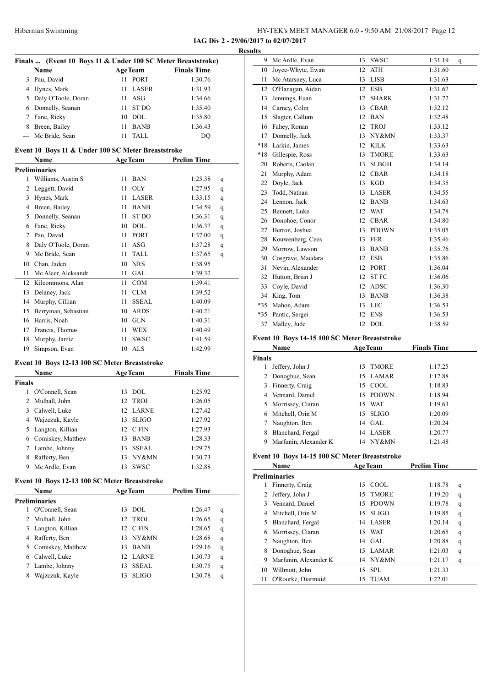HY-TEK's MEET MANAGER 6.0 - 9:50 AM 21/08/2017 Page 12

|                    | Finals  (Event 10 Boys 11 & Under 100 SC Meter Breaststroke) |    |                           |                    |        |
|--------------------|--------------------------------------------------------------|----|---------------------------|--------------------|--------|
|                    | Name                                                         |    | <b>AgeTeam</b><br>11 PORT | <b>Finals Time</b> |        |
|                    | 3 Pau, David                                                 |    |                           | 1:30.76            |        |
|                    | 4 Hynes, Mark                                                |    | 11 LASER                  | 1:31.93            |        |
|                    | 5 Daly O'Toole, Doran                                        |    | $11$ ASG                  | 1:34.66            |        |
|                    | 6 Donnelly, Seanan                                           |    | 11 ST DO                  | 1:35.40            |        |
|                    | 7 Fane, Ricky                                                |    | 10 DOL                    | 1:35.80            |        |
|                    | 8 Breen, Bailey<br>Mc Bride, Sean                            |    | 11 BANB                   | 1:36.43            |        |
|                    |                                                              |    | 11 TALL                   | DQ                 |        |
|                    | Event 10 Boys 11 & Under 100 SC Meter Breaststroke           |    |                           |                    |        |
|                    | <b>Name</b>                                                  |    | <b>AgeTeam</b>            | <b>Prelim Time</b> |        |
|                    | <b>Preliminaries</b>                                         |    |                           |                    |        |
| 1                  | Williams, Austin S                                           |    | 11 BAN                    | 1:25.38            | q      |
|                    | 2 Leggett, David                                             |    | 11 OLY                    | 1:27.95            | q      |
|                    | 3 Hynes, Mark                                                |    | 11 LASER                  | 1:33.15            | q      |
|                    | 4 Breen, Bailey                                              |    | 11 BANB                   | 1:34.59            | q      |
|                    | 5 Donnelly, Seanan                                           |    | 11 ST DO                  | 1:36.31            | q      |
|                    | 6 Fane, Ricky                                                |    | 10 DOL                    | 1:36.37            | q      |
|                    | 7 Pau, David                                                 |    | 11 PORT                   | 1:37.00            | q      |
|                    | 8 Daly O'Toole, Doran                                        |    | $11$ ASG                  | 1:37.28            | q      |
|                    | 9 Mc Bride, Sean                                             |    | 11 TALL                   | 1:37.65            | q      |
|                    | 10 Chan, Jaden                                               |    | 10 NRS                    | 1:38.95            |        |
|                    | 11 Mc Aleer, Aleksandr                                       |    | 11 GAL                    | 1:39.32            |        |
|                    | 12 Kilcommons, Alan                                          |    | 11 COM                    | 1:39.41            |        |
|                    | 13 Delaney, Jack                                             |    | 11 CLM                    | 1:39.52            |        |
|                    | 14 Murphy, Cillian                                           |    | 11 SSEAL                  | 1:40.09            |        |
|                    | 15 Berryman, Sebastian                                       |    | 10 ARDS                   | 1:40.21            |        |
|                    | 16 Harris, Noah                                              |    | 10 GLN                    | 1:40.31            |        |
|                    | 17 Francis, Thomas                                           |    | 11 WEX                    | 1:40.49            |        |
|                    | 18 Murphy, Jamie                                             |    | 11 SWSC                   | 1:41.59            |        |
| 19                 | Simpson, Evan                                                |    | 10 ALS                    | 1:42.99            |        |
|                    |                                                              |    |                           |                    |        |
|                    |                                                              |    |                           |                    |        |
|                    | Event 10 Boys 12-13 100 SC Meter Breaststroke                |    |                           |                    |        |
|                    | Name                                                         |    | <b>AgeTeam</b>            | <b>Finals Time</b> |        |
|                    |                                                              |    |                           |                    |        |
|                    | 1 O'Connell, Sean                                            |    | 13 DOL                    | 1:25.92            |        |
|                    | 2 Mulhall, John                                              |    | 12 TROJ                   | 1:26.05            |        |
|                    | 3 Calwell, Luke                                              |    | 12 LARNE                  | 1:27.42            |        |
| <b>Finals</b><br>4 | Wajzczuk, Kayle                                              | 13 | <b>SLIGO</b>              | 1:27.92            |        |
| 5                  | Langton, Killian                                             | 12 | C FIN                     | 1:27.93            |        |
|                    | 6 Comiskey, Matthew                                          | 13 | <b>BANB</b>               | 1:28.33            |        |
|                    | 7 Lambe, Johnny                                              | 13 | <b>SSEAL</b>              | 1:29.75            |        |
|                    | 8 Rafferty, Ben                                              | 13 | NY&MN                     | 1:30.73            |        |
|                    | 9 Mc Ardle, Evan                                             | 13 | <b>SWSC</b>               | 1:32.88            |        |
|                    | Event 10 Boys 12-13 100 SC Meter Breaststroke                |    |                           |                    |        |
|                    | Name                                                         |    | <b>AgeTeam</b>            | <b>Prelim Time</b> |        |
|                    | <b>Preliminaries</b>                                         |    |                           |                    |        |
|                    | 1 O'Connell, Sean                                            |    | 13 DOL                    | 1:26.47            | q      |
| 2                  | Mulhall, John                                                | 12 | <b>TROJ</b>               | 1:26.65            | q      |
|                    | 3 Langton, Killian                                           |    | 12 CFIN                   | 1:28.65            | q      |
|                    | 4 Rafferty, Ben                                              | 13 | NY&MN                     | 1:28.68            |        |
|                    |                                                              | 13 | <b>BANB</b>               | 1:29.16            | q      |
|                    | 5 Comiskey, Matthew<br>6 Calwell, Luke                       | 12 | LARNE                     | 1:30.73            | q      |
|                    | 7 Lambe, Johnny                                              | 13 | <b>SSEAL</b>              | 1:30.75            | q<br>q |

| uns   |                   |    |              |         |              |
|-------|-------------------|----|--------------|---------|--------------|
| 9     | Mc Ardle, Evan    | 13 | <b>SWSC</b>  | 1:31.19 | $\mathbf{q}$ |
| 10    | Joyce-Whyte, Ewan | 12 | <b>ATH</b>   | 1:31.60 |              |
| 11    | Mc Atarsney, Luca | 13 | <b>LISB</b>  | 1:31.63 |              |
| 12    | O'Flanagan, Aidan | 12 | <b>ESB</b>   | 1:31.67 |              |
| 13    | Jennings, Euan    | 12 | <b>SHARK</b> | 1:31.72 |              |
| 14    | Carney, Colm      | 13 | <b>CBAR</b>  | 1:32.12 |              |
| 15    | Slagter, Callum   | 12 | <b>BAN</b>   | 1:32.48 |              |
| 16    | Fahey, Ronan      | 12 | <b>TROJ</b>  | 1:33.12 |              |
| 17    | Donnelly, Jack    | 13 | NY&MN        | 1:33.37 |              |
| $*18$ | Larkin, James     | 12 | <b>KILK</b>  | 1:33.63 |              |
| $*18$ | Gillespie, Ross   | 13 | <b>TMORE</b> | 1:33.63 |              |
| 20    | Roberts, Caolan   | 13 | <b>SLBGH</b> | 1:34.14 |              |
| 21    | Murphy, Adam      | 12 | <b>CBAR</b>  | 1:34.18 |              |
| 22    | Doyle, Jack       | 13 | <b>KGD</b>   | 1:34.35 |              |
| 23    | Todd, Nathan      | 13 | <b>LASER</b> | 1:34.55 |              |
| 24    | Lennon, Jack      | 12 | <b>BANB</b>  | 1:34.63 |              |
| 25    | Bennett, Luke     | 12 | <b>WAT</b>   | 1:34.78 |              |
| 26    | Donohoe, Conor    | 12 | <b>CBAR</b>  | 1:34.80 |              |
| 27    | Herron, Joshua    | 13 | <b>PDOWN</b> | 1:35.05 |              |
| 28    | Kouwenberg, Cees  | 13 | <b>FER</b>   | 1:35.46 |              |
| 29    | Morrow, Lawson    | 13 | <b>BANB</b>  | 1:35.76 |              |
| 30    | Cosgrave, Macdara | 12 | <b>ESB</b>   | 1:35.86 |              |
| 31    | Nevin, Alexander  | 12 | <b>PORT</b>  | 1:36.04 |              |
| 32    | Hutton, Brian J   | 12 | <b>STFC</b>  | 1:36.06 |              |
| 33    | Coyle, David      | 12 | <b>ADSC</b>  | 1:36.30 |              |
| 34    | King, Tom         | 13 | <b>BANB</b>  | 1:36.38 |              |
| $*35$ | Mahon, Adam       | 13 | <b>LEC</b>   | 1:36.53 |              |
| $*35$ | Pantic, Sergei    | 12 | <b>ENS</b>   | 1:36.53 |              |
| 37    | Malley, Jude      | 12 | <b>DOL</b>   | 1:38.59 |              |
|       |                   |    |              |         |              |

#### **Event 10 Boys 14-15 100 SC Meter Breaststroke**

|               | <b>Name</b>           | <b>AgeTeam</b> |              | <b>Finals Time</b> |
|---------------|-----------------------|----------------|--------------|--------------------|
| <b>Finals</b> |                       |                |              |                    |
| T             | Jeffery, John J       | 15             | <b>TMORE</b> | 1:17.25            |
|               | 2 Donoghue, Sean      |                | 15 LAMAR     | 1:17.88            |
| 3             | Finnerty, Craig       |                | 15 COOL      | 1:18.83            |
|               | 4 Vennard, Daniel     |                | 15 PDOWN     | 1:18.94            |
|               | 5 Morrissey, Ciaran   | 15             | WAT          | 1:19.63            |
|               | 6 Mitchell, Orin M    | 15             | <b>SLIGO</b> | 1:20.09            |
|               | Naughton, Ben         |                | $14$ GAL     | 1:20.24            |
| 8             | Blanchard, Fergal     | 14             | LASER        | 1:20.77            |
|               | Marfunin, Alexander K | 14             | NY&MN        | 1:21.48            |

#### **Event 10 Boys 14-15 100 SC Meter Breaststroke**

|    | Name                  | <b>AgeTeam</b> |              | <b>Prelim Time</b> |   |
|----|-----------------------|----------------|--------------|--------------------|---|
|    | <b>Preliminaries</b>  |                |              |                    |   |
|    | Finnerty, Craig       | 15             | COOL         | 1:18.78            | q |
| 2  | Jeffery, John J       | 15             | <b>TMORE</b> | 1:19.20            | q |
| 3  | Vennard, Daniel       | 15             | <b>PDOWN</b> | 1:19.78            | q |
| 4  | Mitchell, Orin M      | 15             | <b>SLIGO</b> | 1:19.85            | q |
| 5  | Blanchard, Fergal     |                | 14 LASER     | 1:20.14            | q |
|    | 6 Morrissey, Ciaran   |                | 15 WAT       | 1:20.65            | q |
|    | Naughton, Ben         |                | 14 GAL       | 1:20.88            | q |
| 8  | Donoghue, Sean        |                | 15 LAMAR     | 1:21.03            | q |
| 9  | Marfunin, Alexander K | 14             | NY&MN        | 1:21.17            | q |
| 10 | Willmott, John        | 15             | SPL.         | 1:21.33            |   |
| 11 | O'Rourke, Diarmuid    | 15             | <b>TUAM</b>  | 1:22.01            |   |
|    |                       |                |              |                    |   |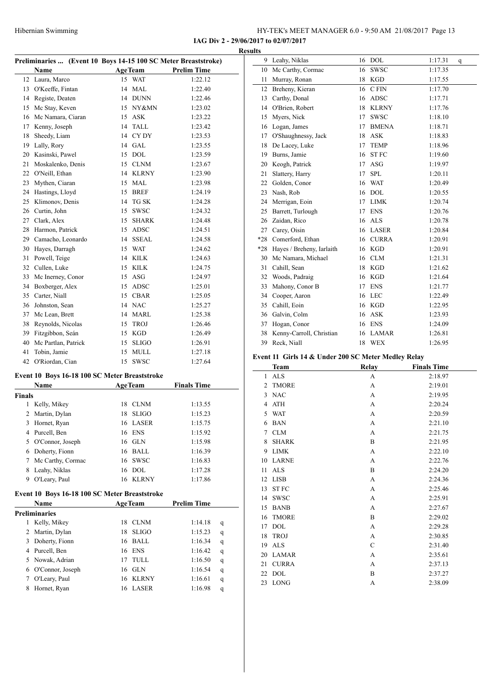**IAG Div 2 - 29/06/2017 to 02/07/2017 Results**

|               | Preliminaries  (Event 10 Boys 14-15 100 SC Meter Breaststroke) |    |                |                    |
|---------------|----------------------------------------------------------------|----|----------------|--------------------|
|               | <b>Name</b>                                                    |    | <b>AgeTeam</b> | <b>Prelim Time</b> |
| 12            | Laura, Marco                                                   |    | 15 WAT         | 1:22.12            |
|               | 13 O'Keeffe, Fintan                                            |    | 14 MAL         | 1:22.40            |
|               | 14 Registe, Deaten                                             |    | 14 DUNN        | 1:22.46            |
| 15            | Mc Stay, Keven                                                 |    | 15 NY&MN       | 1:23.02            |
|               | 16 Mc Namara, Ciaran                                           |    | 15 ASK         | 1:23.22            |
|               | 17 Kenny, Joseph                                               |    | 14 TALL        | 1:23.42            |
| 18            | Sheedy, Liam                                                   |    | 14 CYDY        | 1:23.53            |
| 19            | Lally, Rory                                                    |    | 14 GAL         | 1:23.55            |
|               | 20 Kasinski, Pawel                                             |    | 15 DOL         | 1:23.59            |
| 21            | Moskalenko, Denis                                              |    | 15 CLNM        | 1:23.67            |
|               | 22 O'Neill, Ethan                                              |    | 14 KLRNY       | 1:23.90            |
|               | 23 Mythen, Ciaran                                              |    | 15 MAL         | 1:23.98            |
|               | 24 Hastings, Lloyd                                             |    | 15 BREF        | 1:24.19            |
| 25            | Klimonov, Denis                                                |    | 14 TG SK       | 1:24.28            |
|               | 26 Curtin, John                                                |    | 15 SWSC        | 1:24.32            |
|               | 27 Clark, Alex                                                 |    | 15 SHARK       | 1:24.48            |
| 28            | Harmon, Patrick                                                |    | 15 ADSC        | 1:24.51            |
|               | 29 Camacho, Leonardo                                           |    | 14 SSEAL       | 1:24.58            |
|               | 30 Hayes, Darragh                                              |    | 15 WAT         | 1:24.62            |
| 31            | Powell, Teige                                                  |    | 14 KILK        | 1:24.63            |
|               | 32 Cullen, Luke                                                |    | 15 KILK        | 1:24.75            |
| 33            | Mc Inerney, Conor                                              |    | 15 ASG         | 1:24.97            |
| 34            | Boxberger, Alex                                                |    | 15 ADSC        | 1:25.01            |
|               | 35 Carter, Niall                                               |    | 15 CBAR        | 1:25.05            |
|               | 36 Johnston, Sean                                              |    | 14 NAC         | 1:25.27            |
|               | 37 Mc Lean, Brett                                              |    | 14 MARL        | 1:25.38            |
|               | 38 Reynolds, Nicolas                                           |    | 15 TROJ        | 1:26.46            |
|               | 39 Fitzgibbon, Seán                                            |    | 15 KGD         | 1:26.49            |
| 40            | Mc Partlan, Patrick                                            |    | 15 SLIGO       | 1:26.91            |
| 41            | Tobin, Jamie                                                   |    | 15 MULL        | 1:27.18            |
| 42            | O'Riordan, Cian                                                | 15 | <b>SWSC</b>    | 1:27.64            |
|               | Event 10 Boys 16-18 100 SC Meter Breaststroke                  |    |                |                    |
|               | <b>Name</b>                                                    |    | <b>AgeTeam</b> | <b>Finals Time</b> |
| <b>Finals</b> |                                                                |    |                |                    |
| 1             | Kelly, Mikey                                                   |    | 18 CLNM        | 1:13.55            |
|               | 2 Martin, Dylan                                                |    | 18 SLIGO       | 1:15.23            |
|               | 3 Hornet, Ryan                                                 |    | 16 LASER       | 1:15.75            |
|               | 4 Purcell, Ben                                                 |    | 16 ENS         | 1:15.92            |
|               | 5 O'Connor, Joseph                                             |    | 16 GLN         | 1:15.98            |
|               | 6 Doherty, Fionn                                               |    | 16 BALL        | 1:16.39            |
| 7             | Mc Carthy, Cormac                                              |    | 16 SWSC        | 1:16.83            |
| 8             | Leahy, Niklas                                                  |    | 16 DOL         | 1:17.28            |

#### **Event 10 Boys 16-18 100 SC Meter Breaststroke**

|   | <b>Name</b>          | <b>AgeTeam</b> |              | <b>Prelim Time</b> |   |
|---|----------------------|----------------|--------------|--------------------|---|
|   | <b>Preliminaries</b> |                |              |                    |   |
|   | Kelly, Mikey         | 18             | <b>CLNM</b>  | 1:14.18            | q |
| 2 | Martin, Dylan        | 18             | <b>SLIGO</b> | 1:15.23            | q |
| 3 | Doherty, Fionn       | 16             | BALL         | 1:16.34            | q |
| 4 | Purcell, Ben         | 16             | ENS          | 1:16.42            | q |
|   | 5 Nowak, Adrian      |                | <b>TULL</b>  | 1:16.50            | q |
| 6 | O'Connor, Joseph     | 16             | -GLN         | 1:16.54            | q |
|   | O'Leary, Paul        | 16             | KLRNY        | 1:16.61            | q |
|   | Hornet, Ryan         | 16             | <b>LASER</b> | 1:16.98            | q |

O'Leary, Paul 16 KLRNY 1:17.86

| 9     | Leahy, Niklas             | 16 | <b>DOL</b>   | 1:17.31<br>q |  |
|-------|---------------------------|----|--------------|--------------|--|
| 10    | Mc Carthy, Cormac         | 16 | <b>SWSC</b>  | 1:17.35      |  |
| 11    | Murray, Ronan             | 18 | <b>KGD</b>   | 1:17.55      |  |
| 12    | Breheny, Kieran           | 16 | C FIN        | 1:17.70      |  |
| 13    | Carthy, Donal             | 16 | <b>ADSC</b>  | 1:17.71      |  |
| 14    | O'Brien, Robert           | 18 | <b>KLRNY</b> | 1:17.76      |  |
| 15    | Myers, Nick               | 17 | SWSC         | 1:18.10      |  |
| 16    | Logan, James              | 17 | <b>BMENA</b> | 1:18.71      |  |
| 17    | O'Shaughnessy, Jack       | 18 | <b>ASK</b>   | 1:18.83      |  |
| 18    | De Lacey, Luke            | 17 | <b>TEMP</b>  | 1:18.96      |  |
| 19    | Burns, Jamie              | 16 | <b>STFC</b>  | 1:19.60      |  |
| 20    | Keogh, Patrick            | 17 | <b>ASG</b>   | 1:19.97      |  |
| 21    | Slattery, Harry           | 17 | <b>SPL</b>   | 1:20.11      |  |
| 22    | Golden, Conor             | 16 | <b>WAT</b>   | 1:20.49      |  |
| 23    | Nash, Rob                 | 16 | <b>DOL</b>   | 1:20.55      |  |
| 24    | Merrigan, Eoin            | 17 | <b>LIMK</b>  | 1:20.74      |  |
| 25    | Barrett, Turlough         | 17 | <b>ENS</b>   | 1:20.76      |  |
| 26    | Zaidan, Rico              | 16 | <b>ALS</b>   | 1:20.78      |  |
| 27    | Carey, Oisin              | 16 | <b>LASER</b> | 1:20.84      |  |
| $*28$ | Comerford, Ethan          | 16 | <b>CURRA</b> | 1:20.91      |  |
| $*28$ | Hayes / Breheny, Iarlaith | 16 | <b>KGD</b>   | 1:20.91      |  |
| 30    | Mc Namara, Michael        | 16 | <b>CLM</b>   | 1:21.31      |  |
| 31    | Cahill, Sean              | 18 | <b>KGD</b>   | 1:21.62      |  |
| 32    | Woods, Padraig            | 16 | <b>KGD</b>   | 1:21.64      |  |
| 33    | Mahony, Conor B           | 17 | <b>ENS</b>   | 1:21.77      |  |
| 34    | Cooper, Aaron             | 16 | <b>LEC</b>   | 1:22.49      |  |
| 35    | Cahill, Eoin              | 16 | <b>KGD</b>   | 1:22.95      |  |
| 36    | Galvin, Colm              | 16 | <b>ASK</b>   | 1:23.93      |  |
| 37    | Hogan, Conor              | 16 | <b>ENS</b>   | 1:24.09      |  |
| 38    | Kenny-Carroll, Christian  | 16 | <b>LAMAR</b> | 1:26.81      |  |
| 39    | Reck, Niall               | 18 | <b>WEX</b>   | 1:26.95      |  |

#### **Event 11 Girls 14 & Under 200 SC Meter Medley Relay**

| <b>Team</b>                    | <b>Relay</b>   | <b>Finals Time</b> |
|--------------------------------|----------------|--------------------|
| <b>ALS</b><br>$\mathbf{1}$     | A              | 2:18.97            |
| <b>TMORE</b><br>$\mathfrak{D}$ | A              | 2:19.01            |
| <b>NAC</b><br>3                | A              | 2:19.95            |
| <b>ATH</b><br>4                | A              | 2:20.24            |
| 5 WAT                          | A              | 2:20.59            |
| <b>BAN</b><br>6                | A              | 2:21.10            |
| 7 CLM                          | A              | 2:21.75            |
| <b>SHARK</b><br>8              | B              | 2:21.95            |
| <b>LIMK</b><br>9               | A              | 2:22.10            |
| <b>LARNE</b><br>10             | A              | 2:22.76            |
| <b>ALS</b><br>11               | B              | 2:24.20            |
| <b>LISB</b><br>12              | A              | 2:24.36            |
| <b>STFC</b><br>13              | A              | 2:25.46            |
| <b>SWSC</b><br>14              | A              | 2:25.91            |
| 15<br><b>BANB</b>              | $\overline{A}$ | 2:27.67            |
| <b>TMORE</b><br>16             | B              | 2:29.02            |
| <b>DOL</b><br>17               | A              | 2:29.28            |
| <b>TROJ</b><br>18              | A              | 2:30.85            |
| <b>ALS</b><br>19               | $\mathsf{C}$   | 2:31.40            |
| LAMAR<br>20                    | A              | 2:35.61            |
| <b>CURRA</b><br>21             | A              | 2:37.13            |
| 22 DOL                         | B              | 2:37.27            |
| <b>LONG</b><br>23              | A              | 2:38.09            |
|                                |                |                    |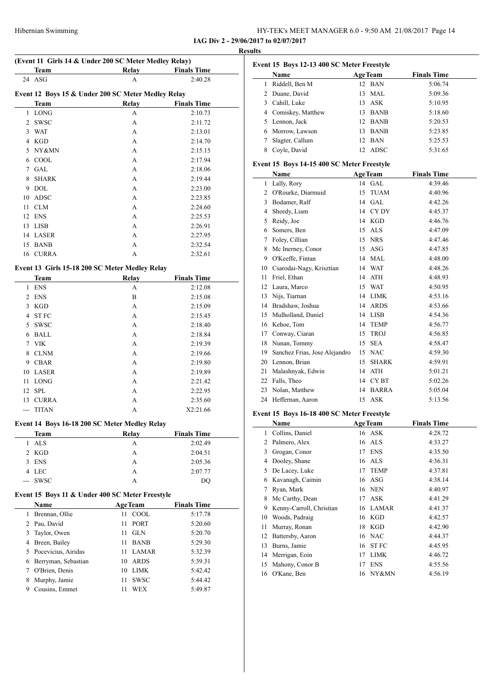| Hibernian Swimming | HY-TEK's MEET MANAGER 6.0 - 9:50 AM 21/08/2017 Page 14 |  |
|--------------------|--------------------------------------------------------|--|
|--------------------|--------------------------------------------------------|--|

**IAG Div 2 - 29/06/2017 to 02/07/2017 Results**

|                | (Event 11 Girls 14 & Under 200 SC Meter Medley Relay)             |                                |                    |  |
|----------------|-------------------------------------------------------------------|--------------------------------|--------------------|--|
|                | Team                                                              | Relay                          | <b>Finals Time</b> |  |
| 24             | ASG                                                               | А                              | 2:40.28            |  |
|                |                                                                   |                                |                    |  |
|                | Event 12 Boys 15 & Under 200 SC Meter Medley Relay<br><b>Team</b> |                                | <b>Finals Time</b> |  |
| 1              | <b>LONG</b>                                                       | <b>Relay</b>                   | 2:10.73            |  |
| $\overline{2}$ |                                                                   | А                              |                    |  |
|                | SWSC                                                              | А                              | 2:11.72            |  |
| 3              | WAT                                                               | A                              | 2:13.01            |  |
|                | 4 KGD                                                             | А                              | 2:14.70            |  |
|                | 5 NY&MN                                                           | A                              | 2:15.15            |  |
|                | 6 COOL                                                            | A                              | 2:17.94            |  |
| $\tau$         | <b>GAL</b>                                                        | A                              | 2:18.06            |  |
| 8              | <b>SHARK</b>                                                      | A                              | 2:19.44            |  |
| 9              | <b>DOL</b>                                                        | A                              | 2:23.00            |  |
| 10             | <b>ADSC</b>                                                       | A                              | 2:23.85            |  |
| 11             | <b>CLM</b>                                                        | A                              | 2:24.60            |  |
| 12             | <b>ENS</b>                                                        | A                              | 2:25.53            |  |
| 13             | <b>LISB</b>                                                       | A                              | 2:26.91            |  |
|                | 14 LASER                                                          | A                              | 2:27.95            |  |
| 15             | BANB                                                              | А                              | 2:32.54            |  |
|                | 16 CURRA                                                          | А                              | 2:32.61            |  |
|                | Event 13 Girls 15-18 200 SC Meter Medley Relay                    |                                |                    |  |
|                | Team                                                              | <b>Relay</b>                   | <b>Finals Time</b> |  |
| 1              | <b>ENS</b>                                                        | А                              | 2:12.08            |  |
| $\overline{2}$ | <b>ENS</b>                                                        | B                              | 2:15.08            |  |
| 3              | KGD                                                               | A                              | 2:15.09            |  |
| 4              | <b>ST FC</b>                                                      | A                              | 2:15.45            |  |
| 5              | <b>SWSC</b>                                                       | A                              | 2:18.40            |  |
| 6              | <b>BALL</b>                                                       | A                              |                    |  |
|                |                                                                   |                                | 2:18.84            |  |
| 7              | VIK                                                               | A                              | 2:19.39            |  |
| 8              | <b>CLNM</b>                                                       | A                              | 2:19.66            |  |
|                | 9 CBAR                                                            | A                              | 2:19.80            |  |
|                | 10 LASER                                                          | A                              | 2:19.89            |  |
| 11             | LONG                                                              | А                              | 2:21.42            |  |
| 12             | SPL                                                               | A                              | 2:22.95            |  |
| 13             | <b>CURRA</b>                                                      | А                              | 2:35.60            |  |
| ---            | <b>TITAN</b>                                                      | А                              | X2:21.66           |  |
|                | Event 14 Boys 16-18 200 SC Meter Medley Relay                     |                                |                    |  |
|                | Team                                                              | <b>Relay</b>                   | <b>Finals Time</b> |  |
| 1              | <b>ALS</b>                                                        | А                              | 2:02.49            |  |
|                | 2 KGD                                                             | А                              | 2:04.51            |  |
| 3              | <b>ENS</b>                                                        | A                              | 2:05.36            |  |
|                | 4 LEC                                                             | A                              | 2:07.77            |  |
|                | <b>SWSC</b>                                                       | A                              | DQ                 |  |
|                |                                                                   |                                |                    |  |
|                | Event 15 Boys 11 & Under 400 SC Meter Freestyle<br>Name           | <b>AgeTeam</b>                 | <b>Finals Time</b> |  |
|                | 1 Brennan, Ollie                                                  | 11 COOL                        | 5:17.78            |  |
|                | 2 Pau, David                                                      | 11<br>PORT                     | 5:20.60            |  |
| 3              | Taylor, Owen                                                      | GLN<br>11                      |                    |  |
|                |                                                                   |                                | 5:20.70            |  |
|                | 4 Breen, Bailey                                                   | <b>BANB</b><br>11              | 5:29.30            |  |
|                | 5 Pocevicius, Airidas                                             | <b>LAMAR</b><br>11             | 5:32.39            |  |
|                |                                                                   | 10 ARDS                        | 5:39.31            |  |
|                | 6 Berryman, Sebastian                                             |                                |                    |  |
|                | 7 O'Brien, Denis                                                  | 10 LIMK                        | 5:42.42            |  |
| 8<br>9         | Murphy, Jamie<br>Cousins, Emmet                                   | SWSC<br>11<br><b>WEX</b><br>11 | 5:44.42<br>5:49.87 |  |

|    | Event 15 Boys 12-13 400 SC Meter Freestyle |     |                |                    |
|----|--------------------------------------------|-----|----------------|--------------------|
|    | Name                                       |     | <b>AgeTeam</b> | <b>Finals Time</b> |
|    | Riddell, Ben M                             |     | 12 BAN         | 5:06.74            |
| 2  | Duane, David                               |     | $13$ MAL       | 5:09.36            |
| 3. | Cahill, Luke                               |     | 13 ASK         | 5:10.95            |
|    | 4 Comiskey, Matthew                        | 13. | <b>BANB</b>    | 5:18.60            |
| 5. | Lennon, Jack                               |     | 12 BANB        | 5:20.53            |
| 6. | Morrow, Lawson                             | 13  | BANB           | 5:23.85            |
|    | Slagter, Callum                            |     | 12 BAN         | 5:25.53            |
|    | Coyle, David                               |     | 12 ADSC        | 5:31.65            |

#### **Event 15 Boys 14-15 400 SC Meter Freestyle**

|    | Name                          |    | <b>AgeTeam</b>   | <b>Finals Time</b> |
|----|-------------------------------|----|------------------|--------------------|
| 1  | Lally, Rory                   | 14 | <b>GAL</b>       | 4:39.46            |
| 2  | O'Rourke, Diarmuid            | 15 | <b>TUAM</b>      | 4:40.96            |
| 3  | Bodamer, Ralf                 | 14 | <b>GAL</b>       | 4:42.26            |
| 4  | Sheedy, Liam                  | 14 | CY DY            | 4:45.37            |
| 5  | Reidy, Joe                    | 14 | <b>KGD</b>       | 4:46.76            |
| 6  | Somers, Ben                   | 15 | ALS              | 4:47.09            |
| 7  | Foley, Cillian                | 15 | <b>NRS</b>       | 4:47.46            |
| 8  | Mc Inerney, Conor             | 15 | <b>ASG</b>       | 4:47.85            |
| 9  | O'Keeffe, Fintan              | 14 | <b>MAL</b>       | 4:48.00            |
| 10 | Csarodai-Nagy, Krisztian      | 14 | <b>WAT</b>       | 4:48.26            |
| 11 | Friel, Ethan                  | 14 | <b>ATH</b>       | 4:48.93            |
| 12 | Laura, Marco                  | 15 | <b>WAT</b>       | 4:50.95            |
| 13 | Nijs, Tiarnan                 | 14 | <b>LIMK</b>      | 4:53.16            |
| 14 | Bradshaw, Joshua              | 14 | <b>ARDS</b>      | 4:53.66            |
| 15 | Mulholland, Daniel            | 14 | <b>LISB</b>      | 4:54.36            |
| 16 | Kehoe, Tom                    | 14 | <b>TEMP</b>      | 4:56.77            |
| 17 | Conway, Ciaran                | 15 | <b>TROJ</b>      | 4:56.85            |
| 18 | Nunan, Tommy                  | 15 | <b>SEA</b>       | 4:58.47            |
| 19 | Sanchez Frias, Jose Alejandro | 15 | <b>NAC</b>       | 4:59.30            |
| 20 | Lennon, Brian                 | 15 | <b>SHARK</b>     | 4:59.91            |
| 21 | Malashnyak, Edwin             | 14 | <b>ATH</b>       | 5:01.21            |
| 22 | Falls, Theo                   | 14 | CY <sub>BT</sub> | 5:02.26            |
| 23 | Nolan, Matthew                | 14 | <b>BARRA</b>     | 5:05.04            |
| 24 | Heffernan, Aaron              | 15 | <b>ASK</b>       | 5:13.56            |

#### **Event 15 Boys 16-18 400 SC Meter Freestyle**

|    | Name                     |    | <b>AgeTeam</b> | <b>Finals Time</b> |
|----|--------------------------|----|----------------|--------------------|
| 1  | Collins, Daniel          |    | 16 ASK         | 4:28.72            |
| 2  | Palmero, Alex            |    | 16 ALS         | 4:33.27            |
| 3  | Grogan, Conor            | 17 | ENS            | 4:35.50            |
| 4  | Dooley, Shane            | 16 | ALS            | 4:36.31            |
| 5  | De Lacey, Luke           | 17 | <b>TEMP</b>    | 4:37.81            |
| 6  | Kavanagh, Caimin         |    | 16 ASG         | 4:38.14            |
| 7  | Ryan, Mark               |    | 16 NEN         | 4:40.97            |
| 8  | Mc Carthy, Dean          | 17 | ASK            | 4:41.29            |
| 9  | Kenny-Carroll, Christian |    | 16 LAMAR       | 4:41.37            |
| 10 | Woods, Padraig           |    | 16 KGD         | 4:42.57            |
| 11 | Murray, Ronan            | 18 | KGD            | 4:42.90            |
| 12 | Battersby, Aaron         |    | 16 NAC         | 4:44.37            |
| 13 | Burns, Jamie             | 16 | <b>STFC</b>    | 4:45.95            |
| 14 | Merrigan, Eoin           | 17 | <b>LIMK</b>    | 4:46.72            |
| 15 | Mahony, Conor B          | 17 | <b>ENS</b>     | 4:55.56            |
| 16 | O'Kane, Ben              |    | 16 NY&MN       | 4:56.19            |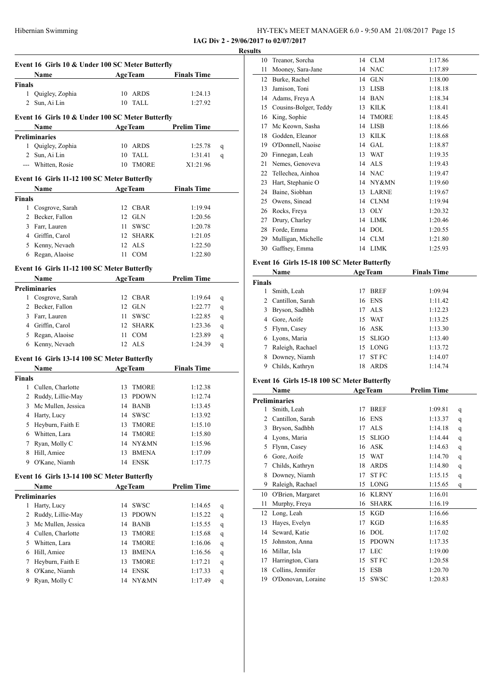| HY-TEK's MEET MANAGER 6.0 - 9:50 AM 21/08/2017 Page 15 |  |  |  |  |  |
|--------------------------------------------------------|--|--|--|--|--|
|--------------------------------------------------------|--|--|--|--|--|

|             | <b>Example 2.1 Age Team</b><br>Name                                   | Event 16 Girls 10 & Under 100 SC Meter Butterfly |                | <b>Finals Time</b> |   |
|-------------|-----------------------------------------------------------------------|--------------------------------------------------|----------------|--------------------|---|
| Finals      |                                                                       |                                                  |                |                    |   |
| 1           | Quigley, Zophia                                                       |                                                  | 10 ARDS        | 1:24.13            |   |
|             | 2 Sun, Ai Lin                                                         |                                                  | 10 TALL        | 1:27.92            |   |
|             |                                                                       |                                                  |                |                    |   |
|             | Event 16 Girls 10 & Under 100 SC Meter Butterfly<br>Name              |                                                  | <b>AgeTeam</b> | <b>Prelim Time</b> |   |
|             | <b>Preliminaries</b>                                                  |                                                  |                |                    |   |
| 1           | Quigley, Zophia                                                       |                                                  | 10 ARDS        | 1:25.78            | q |
|             | 2 Sun, Ai Lin                                                         | 10                                               | TALL           | 1:31.41            | q |
|             | --- Whitten, Rosie                                                    | 10                                               | TMORE          | X1:21.96           |   |
|             |                                                                       |                                                  |                |                    |   |
|             | Event 16 Girls 11-12 100 SC Meter Butterfly<br><b>AgeTeam</b><br>Name |                                                  |                | <b>Finals Time</b> |   |
| Finals      |                                                                       |                                                  |                |                    |   |
|             | 1 Cosgrove, Sarah                                                     |                                                  | 12 CBAR        | 1:19.94            |   |
|             | 2 Becker, Fallon                                                      |                                                  | 12 GLN         | 1:20.56            |   |
|             | 3 Farr, Lauren                                                        |                                                  | 11 SWSC        | 1:20.78            |   |
|             | 4 Griffin, Carol                                                      |                                                  | 12 SHARK       | 1:21.05            |   |
|             | 5 Kenny, Nevaeh                                                       | 12                                               | ALS            | 1:22.50            |   |
|             | 6 Regan, Alaoise                                                      | 11                                               | COM            | 1:22.80            |   |
|             | Event 16 Girls 11-12 100 SC Meter Butterfly                           |                                                  |                |                    |   |
|             | Name                                                                  |                                                  | <b>AgeTeam</b> | <b>Prelim Time</b> |   |
|             | <b>Preliminaries</b>                                                  |                                                  |                |                    |   |
| 1           | Cosgrove, Sarah                                                       |                                                  | 12 CBAR        | 1:19.64            | q |
|             | 2 Becker, Fallon                                                      |                                                  | 12 GLN         | 1:22.77            | q |
|             | 3 Farr, Lauren                                                        |                                                  | 11 SWSC        | 1:22.85            | q |
|             | 4 Griffin, Carol                                                      |                                                  | 12 SHARK       | 1:23.36            | q |
|             | 5 Regan, Alaoise                                                      |                                                  | 11 COM         | 1:23.89            | q |
|             | 6 Kenny, Nevaeh                                                       |                                                  | 12 ALS         | 1:24.39            | q |
|             |                                                                       |                                                  |                |                    |   |
|             |                                                                       |                                                  |                |                    |   |
|             | Event 16 Girls 13-14 100 SC Meter Butterfly<br>Name                   |                                                  |                |                    |   |
|             |                                                                       |                                                  | <b>AgeTeam</b> | <b>Finals Time</b> |   |
|             | 1 Cullen, Charlotte                                                   |                                                  | 13 TMORE       | 1:12.38            |   |
|             | 2 Ruddy, Lillie-May                                                   |                                                  | 13 PDOWN       | 1:12.74            |   |
| 3           | Mc Mullen, Jessica                                                    |                                                  | 14 BANB        | 1:13.45            |   |
|             | 4 Harty, Lucy                                                         |                                                  | 14 SWSC        | 1:13.92            |   |
|             | 5 Heyburn, Faith E                                                    | 13                                               | <b>TMORE</b>   | 1:15.10            |   |
|             | 6 Whitten, Lara                                                       | 14                                               | TMORE          | 1:15.80            |   |
| 7           | Ryan, Molly C                                                         |                                                  | 14 NY&MN       | 1:15.96            |   |
| 8           | Hill, Amiee                                                           | 13                                               | BMENA          | 1:17.09            |   |
| 9.          | O'Kane, Niamh                                                         | 14                                               | ENSK           | 1:17.75            |   |
|             | Event 16 Girls 13-14 100 SC Meter Butterfly                           |                                                  |                |                    |   |
|             | Name                                                                  |                                                  | <b>AgeTeam</b> | <b>Prelim Time</b> |   |
|             | <b>Preliminaries</b>                                                  |                                                  |                |                    |   |
| 1           | Harty, Lucy                                                           | 14                                               | <b>SWSC</b>    | 1:14.65            | q |
| 2           | Ruddy, Lillie-May                                                     | 13                                               | <b>PDOWN</b>   | 1:15.22            | q |
| 3           | Mc Mullen, Jessica                                                    | 14                                               | <b>BANB</b>    | 1:15.55            | q |
|             | 4 Cullen, Charlotte                                                   | 13                                               | TMORE          | 1:15.68            | q |
| 5           | Whitten, Lara                                                         | 14                                               | <b>TMORE</b>   | 1:16.06            | q |
| 6           | Hill, Amiee                                                           |                                                  | 13 BMENA       | 1:16.56            | q |
| Finals<br>7 | Heyburn, Faith E                                                      | 13                                               | <b>TMORE</b>   | 1:17.21            | q |
| 8           | O'Kane, Niamh                                                         | 14                                               | <b>ENSK</b>    | 1:17.33            | q |

| <b>Results</b> |                       |    |              |                                                                                               |
|----------------|-----------------------|----|--------------|-----------------------------------------------------------------------------------------------|
| 10             | Treanor, Sorcha       |    |              | 1:17.86                                                                                       |
| 11             | Mooney, Sara-Jane     |    |              | 1:17.89                                                                                       |
| 12             | Burke, Rachel         |    |              | 1:18.00                                                                                       |
| 13             | Jamison, Toni         | 13 | <b>LISB</b>  | 1:18.18                                                                                       |
| 14             | Adams, Freya A        | 14 | <b>BAN</b>   | 1:18.34                                                                                       |
| 15             | Cousins-Bolger, Teddy | 13 | <b>KILK</b>  | 1:18.41                                                                                       |
| 16             | King, Sophie          | 14 | <b>TMORE</b> | 1:18.45                                                                                       |
| 17             | Mc Keown, Sasha       | 14 | <b>LISB</b>  | 1:18.66                                                                                       |
| 18             | Godden, Eleanor       | 13 | <b>KILK</b>  | 1:18.68                                                                                       |
| 19             | O'Donnell, Naoise     |    |              | 1:18.87                                                                                       |
| 20             | Finnegan, Leah        | 13 |              | 1:19.35                                                                                       |
| 21             | Nemes, Genoveva       |    |              | 1:19.43                                                                                       |
| 22             | Tellechea, Ainhoa     |    |              | 1:19.47                                                                                       |
| 23             | Hart, Stephanie O     |    |              | 1:19.60                                                                                       |
| 24             | Baine, Siobhan        | 13 | LARNE        | 1:19.67                                                                                       |
| 25             | Owens, Sinead         | 14 | <b>CLNM</b>  | 1:19.94                                                                                       |
| 26             | Rocks, Freya          | 13 | <b>OLY</b>   | 1:20.32                                                                                       |
| 27             | Drury, Charley        | 14 | <b>LIMK</b>  | 1:20.46                                                                                       |
| 28             | Forde, Emma           | 14 | <b>DOL</b>   | 1:20.55                                                                                       |
| 29             | Mulligan, Michelle    |    |              | 1:21.80                                                                                       |
| 30             | Gaffney, Emma         | 14 |              | 1:25.93                                                                                       |
|                |                       |    |              | 14 CLM<br>14 NAC<br>14 GLN<br>14 GAL<br>WAT<br>14 ALS<br>14 NAC<br>14 NY&MN<br>14 CLM<br>LIMK |

#### **Event 16 Girls 15-18 100 SC Meter Butterfly**

|               | <b>Name</b>        |    | <b>AgeTeam</b> | <b>Finals Time</b> |  |
|---------------|--------------------|----|----------------|--------------------|--|
| <b>Finals</b> |                    |    |                |                    |  |
|               | Smith, Leah        | 17 | <b>BREF</b>    | 1:09.94            |  |
|               | 2 Cantillon, Sarah |    | 16 ENS         | 1:11.42            |  |
| 3             | Bryson, Sadhbh     | 17 | ALS            | 1:12.23            |  |
| 4             | Gore, Aoife        |    | 15 WAT         | 1:13.25            |  |
| 5             | Flynn, Casey       |    | 16 ASK         | 1:13.30            |  |
|               | 6 Lyons, Maria     |    | 15 SLIGO       | 1:13.40            |  |
| 7             | Raleigh, Rachael   |    | 15 LONG        | 1:13.72            |  |
| 8             | Downey, Niamh      | 17 | <b>ST FC</b>   | 1:14.07            |  |
|               | Childs, Kathryn    | 18 | <b>ARDS</b>    | 1:14.74            |  |

#### **Event 16 Girls 15-18 100 SC Meter Butterfly**

|    | Name                 |    | <b>AgeTeam</b> | <b>Prelim Time</b> |   |
|----|----------------------|----|----------------|--------------------|---|
|    | <b>Preliminaries</b> |    |                |                    |   |
| 1  | Smith, Leah          | 17 | <b>BREF</b>    | 1:09.81            | q |
| 2  | Cantillon, Sarah     | 16 | <b>ENS</b>     | 1:13.37            | q |
| 3  | Bryson, Sadhbh       | 17 | <b>ALS</b>     | 1:14.18            | q |
| 4  | Lyons, Maria         | 15 | <b>SLIGO</b>   | 1:14.44            | q |
| 5  | Flynn, Casey         | 16 | <b>ASK</b>     | 1:14.63            | q |
| 6  | Gore, Aoife          | 15 | <b>WAT</b>     | 1:14.70            | q |
| 7  | Childs, Kathryn      | 18 | <b>ARDS</b>    | 1:14.80            | q |
| 8  | Downey, Niamh        | 17 | <b>STFC</b>    | 1:15.15            | q |
| 9  | Raleigh, Rachael     | 15 | <b>LONG</b>    | 1:15.65            | q |
| 10 | O'Brien, Margaret    | 16 | <b>KLRNY</b>   | 1:16.01            |   |
| 11 | Murphy, Freya        | 16 | <b>SHARK</b>   | 1:16.19            |   |
| 12 | Long, Leah           | 15 | <b>KGD</b>     | 1:16.66            |   |
| 13 | Hayes, Evelyn        | 17 | <b>KGD</b>     | 1:16.85            |   |
| 14 | Seward, Katie        | 16 | <b>DOL</b>     | 1:17.02            |   |
| 15 | Johnston, Anna       | 15 | <b>PDOWN</b>   | 1:17.35            |   |
| 16 | Millar, Isla         | 17 | <b>LEC</b>     | 1:19.00            |   |
| 17 | Harrington, Ciara    | 15 | <b>STFC</b>    | 1:20.58            |   |
| 18 | Collins, Jennifer    | 15 | <b>ESB</b>     | 1:20.70            |   |
| 19 | O'Donovan, Loraine   | 15 | <b>SWSC</b>    | 1:20.83            |   |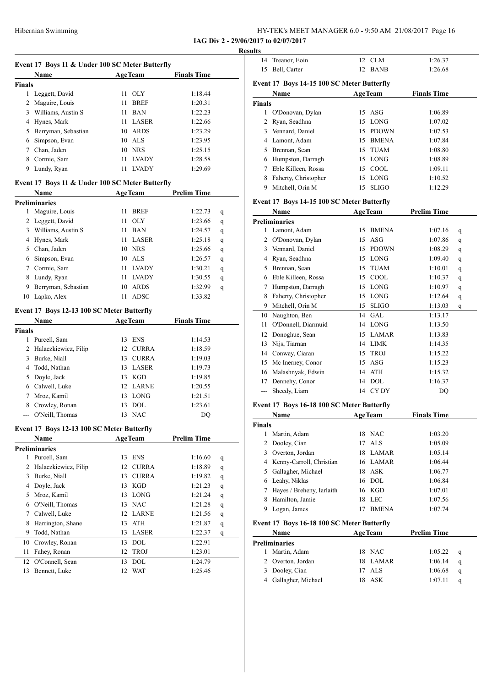|                     | Name                                            | <b>AgeTeam</b>     | <b>Finals Time</b>     |  |
|---------------------|-------------------------------------------------|--------------------|------------------------|--|
| <b>Finals</b>       |                                                 |                    |                        |  |
|                     | 1 Leggett, David                                | 11 OLY             | 1:18.44                |  |
|                     | 2 Maguire, Louis                                | 11<br><b>BREF</b>  | 1:20.31                |  |
|                     | 3 Williams, Austin S                            | 11 BAN             | 1:22.23                |  |
|                     | 4 Hynes, Mark                                   | 11 LASER           | 1:22.66                |  |
|                     | 5 Berryman, Sebastian                           | 10 ARDS            | 1:23.29                |  |
|                     | 6 Simpson, Evan                                 | 10 ALS             | 1:23.95                |  |
|                     | 7 Chan, Jaden                                   | 10 NRS             | 1:25.15                |  |
|                     | 8 Cormie, Sam                                   | 11 LVADY           | 1:28.58                |  |
|                     | 9 Lundy, Ryan                                   | 11 LVADY           | 1:29.69                |  |
|                     | Event 17 Boys 11 & Under 100 SC Meter Butterfly |                    |                        |  |
|                     | Name                                            | <b>AgeTeam</b>     | <b>Prelim Time</b>     |  |
|                     | <b>Preliminaries</b>                            |                    |                        |  |
|                     | 1 Maguire, Louis                                | 11 BREF            | 1:22.73<br>q           |  |
|                     | 2 Leggett, David                                | $11$ OLY           | 1:23.66<br>q           |  |
|                     | 3 Williams, Austin S                            | 11 BAN             | 1:24.57<br>q           |  |
|                     | 4 Hynes, Mark                                   | 11 LASER           | 1:25.18<br>q           |  |
|                     | 5 Chan, Jaden                                   | 10 NRS             | 1:25.66<br>q           |  |
|                     | 6 Simpson, Evan                                 | 10 ALS             | 1:26.57<br>q           |  |
|                     | 7 Cormie, Sam                                   | 11 LVADY           | 1:30.21<br>q           |  |
|                     | 8 Lundy, Ryan                                   | <b>LVADY</b><br>11 | 1:30.55<br>q           |  |
|                     | 9 Berryman, Sebastian                           | 10 ARDS            | 1:32.99<br>q           |  |
|                     | 10 Lapko, Alex                                  | 11 ADSC            | 1:33.82                |  |
|                     | Event 17 Boys 12-13 100 SC Meter Butterfly      |                    |                        |  |
|                     | Name                                            | <b>AgeTeam</b>     | <b>Finals Time</b>     |  |
|                     |                                                 |                    |                        |  |
|                     |                                                 |                    |                        |  |
|                     | 1 Purcell, Sam                                  | 13 ENS             | 1:14.53                |  |
|                     | 2 Halaczkiewicz, Filip                          | 12 CURRA           | 1:18.59                |  |
|                     | 3 Burke, Niall                                  | 13 CURRA           | 1:19.03                |  |
|                     | 4 Todd, Nathan                                  | 13 LASER           | 1:19.73                |  |
|                     | 5 Doyle, Jack                                   | 13 KGD             | 1:19.85                |  |
|                     | 6 Calwell, Luke                                 | 12 LARNE           | 1:20.55                |  |
| 7                   | Mroz, Kamil                                     | 13 LONG            | 1:21.51                |  |
|                     |                                                 | 13 DOL             | 1:23.61                |  |
|                     | 8 Crowley, Ronan<br>O'Neill, Thomas             | 13 NAC             | DQ                     |  |
|                     | Event 17 Boys 12-13 100 SC Meter Butterfly      |                    |                        |  |
|                     | Name                                            | <b>AgeTeam</b>     | <b>Prelim Time</b>     |  |
|                     | <b>Preliminaries</b>                            |                    |                        |  |
|                     | 1 Purcell, Sam                                  | 13 ENS             | 1:16.60<br>q           |  |
|                     | 2 Halaczkiewicz, Filip                          | 12 CURRA           | 1:18.89<br>q           |  |
|                     | 3 Burke, Niall                                  | 13 CURRA           | 1:19.82<br>q           |  |
|                     | 4 Doyle, Jack                                   | KGD<br>13          | 1:21.23<br>q           |  |
|                     | 5 Mroz, Kamil                                   | LONG<br>13         | 1:21.24<br>q           |  |
|                     | 6 O'Neill, Thomas                               | 13 NAC             | 1:21.28<br>q           |  |
| 7                   | Calwell, Luke                                   | 12 LARNE           | 1:21.56<br>$\mathbf q$ |  |
| 8                   | Harrington, Shane                               | ATH<br>13          | 1:21.87<br>q           |  |
| 9                   | Todd, Nathan                                    | <b>LASER</b><br>13 | 1:22.37<br>q           |  |
| 10                  | Crowley, Ronan                                  | DOL<br>13          | 1:22.91                |  |
| 11                  | Fahey, Ronan                                    | 12<br>TROJ         | 1:23.01                |  |
| <b>Finals</b><br>12 | O'Connell, Sean                                 | <b>DOL</b><br>13   | 1:24.79                |  |

| .            |                                            |                |              |                    |   |
|--------------|--------------------------------------------|----------------|--------------|--------------------|---|
| 14           | Treanor, Eoin                              | 12             | CLM          | 1:26.37            |   |
| 15           | Bell, Carter                               | 12             | <b>BANB</b>  | 1:26.68            |   |
|              |                                            |                |              |                    |   |
|              | Event 17 Boys 14-15 100 SC Meter Butterfly |                |              |                    |   |
|              | <b>Name</b>                                | <b>AgeTeam</b> |              | <b>Finals Time</b> |   |
| Finals       |                                            |                |              |                    |   |
| $\mathbf{1}$ | O'Donovan, Dylan                           | 15             | ASG          | 1:06.89            |   |
| 2            | Ryan, Seadhna                              | 15             | <b>LONG</b>  | 1:07.02            |   |
| 3            | Vennard, Daniel                            |                | 15 PDOWN     | 1:07.53            |   |
| 4            | Lamont, Adam                               |                | 15 BMENA     | 1:07.84            |   |
| 5            | Brennan, Sean                              | 15             | <b>TUAM</b>  | 1:08.80            |   |
| 6            | Humpston, Darragh                          | 15 LONG        |              | 1:08.89            |   |
| 7            | Eble Killeen, Rossa                        | 15 COOL        |              | 1:09.11            |   |
| 8            | Faherty, Christopher                       | 15             | LONG         | 1:10.52            |   |
| 9            | Mitchell, Orin M                           | 15             | <b>SLIGO</b> | 1:12.29            |   |
|              | Event 17 Boys 14-15 100 SC Meter Butterfly |                |              |                    |   |
|              | Name                                       | <b>AgeTeam</b> |              | <b>Prelim Time</b> |   |
|              | <b>Preliminaries</b>                       |                |              |                    |   |
| 1            | Lamont, Adam                               | 15             | <b>BMENA</b> | 1:07.16            | q |
| 2            | O'Donovan, Dylan                           | 15             | ASG          | 1:07.86            | q |
| 3            | Vennard, Daniel                            | 15             | <b>PDOWN</b> | 1:08.29            | q |
| 4            | Ryan, Seadhna                              | 15             | LONG         | 1:09.40            | q |
| 5            | Brennan, Sean                              | 15             | <b>TUAM</b>  | 1:10.01            | q |
|              | 6 Eble Killeen, Rossa                      | 15 COOL        |              | 1:10.37            | q |
| 7            | Humpston, Darragh                          | 15             | LONG         | 1:10.97            | q |
| 8            | Faherty, Christopher                       | 15 LONG        |              | 1:12.64            | q |
| 9            | Mitchell, Orin M                           | 15             | <b>SLIGO</b> | 1:13.03            | q |
| 10           | Naughton, Ben                              | 14             | <b>GAL</b>   | 1:13.17            |   |
| 11           | O'Donnell, Diarmuid                        | 14 LONG        |              | 1:13.50            |   |
| 12           | Donoghue, Sean                             | 15             | LAMAR        | 1:13.83            |   |
| 13           | Nijs, Tiarnan                              | 14 LIMK        |              | 1:14.35            |   |
| 14           | Conway, Ciaran                             | 15             | TROJ         | 1:15.22            |   |
| 15           | Mc Inerney, Conor                          | 15             | ASG          | 1:15.23            |   |
| 16           | Malashnyak, Edwin                          | 14             | ATH          | 1:15.32            |   |
| 17           | Dennehy, Conor                             | 14             | <b>DOL</b>   | 1:16.37            |   |
| $---$        | Sheedy, Liam                               | 14 CYDY        |              | <b>DQ</b>          |   |
|              |                                            |                |              |                    |   |
|              | Event 17 Boys 16-18 100 SC Meter Butterfly |                |              |                    |   |
|              |                                            |                |              |                    |   |

|        | Name                      |    | <b>AgeTeam</b> | <b>Finals Time</b> |  |
|--------|---------------------------|----|----------------|--------------------|--|
| Finals |                           |    |                |                    |  |
|        | Martin, Adam              |    | 18 NAC         | 1:03.20            |  |
| 2      | Dooley, Cian              |    | $17$ ALS       | 1:05.09            |  |
| 3      | Overton, Jordan           |    | 18 LAMAR       | 1:05.14            |  |
| 4      | Kenny-Carroll, Christian  |    | 16 LAMAR       | 1:06.44            |  |
| 5.     | Gallagher, Michael        |    | 18 ASK         | 1:06.77            |  |
| 6      | Leahy, Niklas             |    | 16 DOL         | 1:06.84            |  |
|        | Hayes / Breheny, Iarlaith |    | 16 KGD         | 1:07.01            |  |
| 8      | Hamilton, Jamie           | 18 | LEC            | 1:07.56            |  |
|        | Logan, James              | 17 | <b>BMENA</b>   | 1:07.74            |  |

#### **Event 17 Boys 16-18 100 SC Meter Butterfly**

| Name |                      | <b>AgeTeam</b> |          | <b>Prelim Time</b> |   |
|------|----------------------|----------------|----------|--------------------|---|
|      | Preliminaries        |                |          |                    |   |
|      | Martin, Adam         |                | 18 NAC   | 1:05.22            | q |
|      | 2 Overton, Jordan    |                | 18 LAMAR | 1:06.14            | q |
|      | 3 Dooley, Cian       |                | 17 ALS   | 1:06.68            | q |
|      | 4 Gallagher, Michael |                | 18 ASK   | 1:07.11            | a |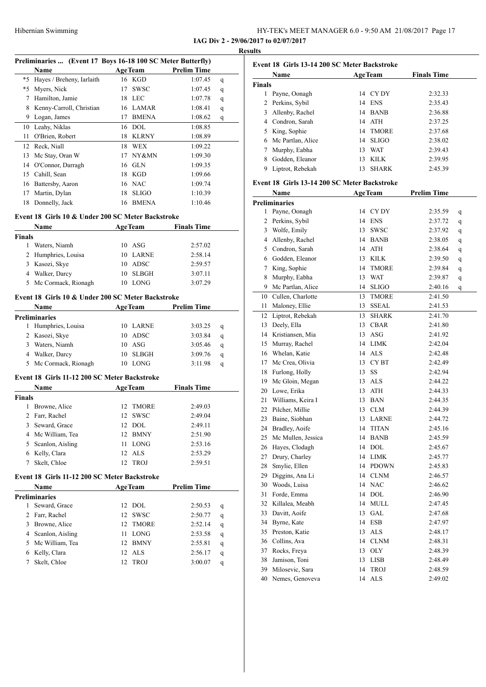|  |  | HY-TEK's MEET MANAGER 6.0 - 9:50 AM 21/08/2017 Page 17 |  |  |  |
|--|--|--------------------------------------------------------|--|--|--|
|  |  |                                                        |  |  |  |

**IAG Div 2 - 29/06/2017 to 02/07/2017 Results**

| Preliminaries  (Event 17 Boys 16-18 100 SC Meter Butterfly) |                                                   |          |                           |                    |        |  |  |  |
|-------------------------------------------------------------|---------------------------------------------------|----------|---------------------------|--------------------|--------|--|--|--|
|                                                             | Name                                              |          | <b>AgeTeam</b>            | <b>Prelim Time</b> |        |  |  |  |
| *5                                                          | Hayes / Breheny, Iarlaith                         |          | 16 KGD                    | 1:07.45            | q      |  |  |  |
| *5                                                          | Myers, Nick                                       | 17       | <b>SWSC</b>               | 1:07.45            | q      |  |  |  |
| 7                                                           | Hamilton, Jamie                                   | 18       | <b>LEC</b>                | 1:07.78            | q      |  |  |  |
| 8                                                           | Kenny-Carroll, Christian                          | 16       | LAMAR                     | 1:08.41            | q      |  |  |  |
|                                                             | 9 Logan, James                                    | 17       | BMENA                     | 1:08.62            | q      |  |  |  |
| 10                                                          | Leahy, Niklas                                     |          | 16 DOL                    | 1:08.85            |        |  |  |  |
| 11                                                          | O'Brien, Robert                                   | 18       | KLRNY                     | 1:08.89            |        |  |  |  |
| 12                                                          | Reck, Niall                                       | 18       | WEX                       | 1:09.22            |        |  |  |  |
| 13                                                          | Mc Stay, Oran W                                   | 17       | NY&MN                     | 1:09.30            |        |  |  |  |
|                                                             | 14 O'Connor, Darragh                              | 16       | GLN                       | 1:09.35            |        |  |  |  |
|                                                             | 15 Cahill, Sean                                   |          | 18 KGD                    | 1:09.66            |        |  |  |  |
|                                                             | 16 Battersby, Aaron                               |          | 16 NAC                    | 1:09.74            |        |  |  |  |
| 17                                                          | Martin, Dylan                                     |          | 18 SLIGO                  | 1:10.39            |        |  |  |  |
| 18                                                          | Donnelly, Jack                                    |          | 16 BMENA                  | 1:10.46            |        |  |  |  |
|                                                             |                                                   |          |                           |                    |        |  |  |  |
|                                                             | Event 18 Girls 10 & Under 200 SC Meter Backstroke |          |                           |                    |        |  |  |  |
|                                                             | Name                                              |          | <b>AgeTeam</b>            | <b>Finals Time</b> |        |  |  |  |
| Finals                                                      |                                                   |          |                           |                    |        |  |  |  |
| $\mathbf{1}$                                                | Waters, Niamh                                     |          | $10$ ASG                  | 2:57.02            |        |  |  |  |
| 2                                                           | Humphries, Louisa                                 | 10       | LARNE                     | 2:58.14            |        |  |  |  |
| 3                                                           | Kasozi, Skye                                      | 10       | ADSC                      | 2:59.57            |        |  |  |  |
|                                                             | 4 Walker, Darcy                                   | 10       | <b>SLBGH</b>              | 3:07.11            |        |  |  |  |
|                                                             | 5 Mc Cormack, Rionagh                             |          | 10 LONG                   | 3:07.29            |        |  |  |  |
|                                                             | Event 18 Girls 10 & Under 200 SC Meter Backstroke |          |                           |                    |        |  |  |  |
|                                                             | Name                                              |          | <b>AgeTeam</b>            | <b>Prelim Time</b> |        |  |  |  |
|                                                             | Preliminaries                                     |          |                           |                    |        |  |  |  |
|                                                             | 1 Humphries, Louisa                               |          | 10 LARNE                  | 3:03.25            | q      |  |  |  |
|                                                             | 2 Kasozi, Skye                                    |          | 10 ADSC                   | 3:03.84            | q      |  |  |  |
|                                                             | 3 Waters, Niamh                                   |          | 10 ASG                    | 3:05.46            | q      |  |  |  |
|                                                             | 4 Walker, Darcy                                   | 10       | SLBGH                     | 3:09.76            | q      |  |  |  |
| 5                                                           | Mc Cormack, Rionagh                               |          | 10 LONG                   | 3:11.98            | q      |  |  |  |
|                                                             |                                                   |          |                           |                    |        |  |  |  |
|                                                             | Event 18 Girls 11-12 200 SC Meter Backstroke      |          |                           |                    |        |  |  |  |
|                                                             | Name                                              |          | <b>AgeTeam</b>            | <b>Finals Time</b> |        |  |  |  |
| Finals                                                      |                                                   |          |                           |                    |        |  |  |  |
| 1                                                           | Browne, Alice                                     | 12       | <b>TMORE</b>              | 2:49.03            |        |  |  |  |
| $\overline{c}$                                              | Farr, Rachel                                      | 12       | <b>SWSC</b>               | 2:49.04            |        |  |  |  |
| 3                                                           | Seward, Grace                                     |          | 12 DOL                    | 2:49.11            |        |  |  |  |
| 4                                                           | Mc William, Tea                                   | 12       | <b>BMNY</b>               | 2:51.90            |        |  |  |  |
| 5                                                           | Scanlon, Aisling                                  | 11       | <b>LONG</b>               | 2:53.16            |        |  |  |  |
| 6                                                           | Kelly, Clara                                      | 12       | <b>ALS</b>                | 2:53.29            |        |  |  |  |
| 7                                                           | Skelt, Chloe                                      | 12       | <b>TROJ</b>               | 2:59.51            |        |  |  |  |
|                                                             | Event 18 Girls 11-12 200 SC Meter Backstroke      |          |                           |                    |        |  |  |  |
|                                                             | Name                                              |          | <b>AgeTeam</b>            | <b>Prelim Time</b> |        |  |  |  |
|                                                             | Preliminaries                                     |          |                           |                    |        |  |  |  |
| 1                                                           | Seward, Grace                                     | 12       | DOL                       | 2:50.53            | q      |  |  |  |
| 2                                                           | Farr, Rachel                                      | 12       | <b>SWSC</b>               | 2:50.77            | q      |  |  |  |
| 3                                                           | Browne, Alice                                     | 12       | <b>TMORE</b>              | 2:52.14            | q      |  |  |  |
| 4                                                           | Scanlon, Aisling                                  | 11       | LONG                      | 2:53.58            | q      |  |  |  |
| 5                                                           | Mc William, Tea                                   | 12       | <b>BMNY</b>               | 2:55.81            | q      |  |  |  |
| 6                                                           |                                                   |          |                           |                    |        |  |  |  |
|                                                             |                                                   |          |                           |                    |        |  |  |  |
| 7                                                           | Kelly, Clara<br>Skelt, Chloe                      | 12<br>12 | <b>ALS</b><br><b>TROJ</b> | 2:56.17<br>3:00.07 | q<br>q |  |  |  |

|               | Name                |    | <b>AgeTeam</b> | <b>Finals Time</b> |
|---------------|---------------------|----|----------------|--------------------|
| <b>Finals</b> |                     |    |                |                    |
|               | Payne, Oonagh       |    | 14 CYDY        | 2:32.33            |
|               | 2 Perkins, Sybil    |    | 14 ENS         | 2:35.43            |
| 3             | Allenby, Rachel     | 14 | <b>BANB</b>    | 2:36.88            |
|               | 4 Condron, Sarah    | 14 | ATH            | 2:37.25            |
|               | 5 King, Sophie      | 14 | <b>TMORE</b>   | 2:37.68            |
|               | 6 Mc Partlan, Alice | 14 | <b>SLIGO</b>   | 2:38.02            |
|               | Murphy, Eabha       | 13 | <b>WAT</b>     | 2:39.43            |
| 8             | Godden, Eleanor     | 13 | <b>KILK</b>    | 2:39.95            |
|               | Liptrot, Rebekah    | 13 | <b>SHARK</b>   | 2:45.39            |

#### **Event 18 Girls 13-14 200 SC Meter Backstroke**

|              | Name                 |    | <b>AgeTeam</b>   | <b>Prelim Time</b> |   |
|--------------|----------------------|----|------------------|--------------------|---|
|              | <b>Preliminaries</b> |    |                  |                    |   |
| $\mathbf{1}$ | Payne, Oonagh        | 14 | CY DY            | 2:35.59            | q |
|              | 2 Perkins, Sybil     | 14 | <b>ENS</b>       | 2:37.72            | q |
| 3            | Wolfe, Emily         | 13 | <b>SWSC</b>      | 2:37.92            | q |
|              | 4 Allenby, Rachel    | 14 | <b>BANB</b>      | 2:38.05            | q |
| 5            | Condron, Sarah       | 14 | ATH              | 2:38.64            | q |
|              | 6 Godden, Eleanor    | 13 | <b>KILK</b>      | 2:39.50            | q |
| $\tau$       | King, Sophie         | 14 | <b>TMORE</b>     | 2:39.84            | q |
| 8            | Murphy, Eabha        | 13 | <b>WAT</b>       | 2:39.87            | q |
| 9            | Mc Partlan, Alice    | 14 | <b>SLIGO</b>     | 2:40.16            | q |
| 10           | Cullen, Charlotte    | 13 | <b>TMORE</b>     | 2:41.50            |   |
| 11           | Maloney, Ellie       | 13 | <b>SSEAL</b>     | 2:41.53            |   |
|              | 12 Liptrot, Rebekah  | 13 | <b>SHARK</b>     | 2:41.70            |   |
| 13           | Deely, Ella          | 13 | <b>CBAR</b>      | 2:41.80            |   |
| 14           | Kristiansen, Mia     | 13 | ASG              | 2:41.92            |   |
| 15           | Murray, Rachel       | 14 | LIMK             | 2:42.04            |   |
| 16           | Whelan, Katie        | 14 | <b>ALS</b>       | 2:42.48            |   |
| 17           | Mc Crea, Olivia      | 13 | CY <sub>BT</sub> | 2:42.49            |   |
| 18           | Furlong, Holly       | 13 | <b>SS</b>        | 2:42.94            |   |
| 19           | Mc Gloin, Megan      | 13 | <b>ALS</b>       | 2:44.22            |   |
| 20           | Lowe, Erika          | 13 | ATH              | 2:44.33            |   |
| 21           | Williams, Keira I    | 13 | BAN              | 2:44.35            |   |
| 22           | Pilcher, Millie      | 13 | <b>CLM</b>       | 2:44.39            |   |
| 23           | Baine, Siobhan       | 13 | LARNE            | 2:44.72            |   |
| 24           | Bradley, Aoife       | 14 | <b>TITAN</b>     | 2:45.16            |   |
| 25           | Mc Mullen, Jessica   | 14 | <b>BANB</b>      | 2:45.59            |   |
| 26           | Hayes, Clodagh       | 14 | DOL              | 2:45.67            |   |
| 27           | Drury, Charley       | 14 | <b>LIMK</b>      | 2:45.77            |   |
| 28           | Smylie, Ellen        | 14 | <b>PDOWN</b>     | 2:45.83            |   |
| 29           | Diggins, Ana Li      | 14 | <b>CLNM</b>      | 2:46.57            |   |
| 30           | Woods, Luisa         | 14 | <b>NAC</b>       | 2:46.62            |   |
| 31           | Forde, Emma          | 14 | <b>DOL</b>       | 2:46.90            |   |
| 32           | Killalea, Meabh      | 14 | MULL             | 2:47.45            |   |
| 33           | Davitt, Aoife        | 13 | GAL              | 2:47.68            |   |
| 34           | Byrne, Kate          | 14 | <b>ESB</b>       | 2:47.97            |   |
| 35           | Preston, Katie       | 13 | <b>ALS</b>       | 2:48.17            |   |
|              | 36 Collins, Ava      | 14 | <b>CLNM</b>      | 2:48.31            |   |
| 37           | Rocks, Freya         | 13 | <b>OLY</b>       | 2:48.39            |   |
| 38           | Jamison, Toni        | 13 | LISB             | 2:48.49            |   |
| 39           | Milosevic, Sara      | 14 | <b>TROJ</b>      | 2:48.59            |   |
| 40           | Nemes, Genoveva      | 14 | <b>ALS</b>       | 2:49.02            |   |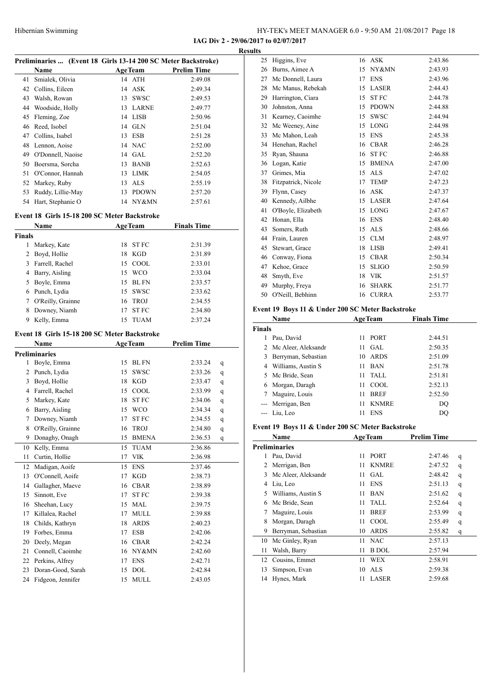**IAG Div 2 - 29/06/2017 to 02/07/2017**

|                |                                                               |    |                |                    | <b>Results</b> |
|----------------|---------------------------------------------------------------|----|----------------|--------------------|----------------|
|                | Preliminaries  (Event 18 Girls 13-14 200 SC Meter Backstroke) |    |                |                    |                |
|                | Name                                                          |    | <b>AgeTeam</b> | <b>Prelim Time</b> |                |
| 41             | Smialek, Olivia                                               |    | 14 ATH         | 2:49.08            |                |
|                | 42 Collins, Eileen                                            |    | 14 ASK         | 2:49.34            |                |
| 43             | Walsh, Rowan                                                  | 13 | <b>SWSC</b>    | 2:49.53            |                |
|                | 44 Woodside, Holly                                            |    | 13 LARNE       | 2:49.77            |                |
| 45             | Fleming, Zoe                                                  |    | 14 LISB        | 2:50.96            |                |
|                | 46 Reed, Isobel                                               |    | 14 GLN         | 2:51.04            |                |
|                | 47 Collins, Isabel                                            | 13 | ESB            | 2:51.28            |                |
|                | 48 Lennon, Aoise                                              |    | 14 NAC         | 2:52.00            |                |
|                | 49 O'Donnell, Naoise                                          |    | 14 GAL         | 2:52.20            |                |
|                | 50 Boersma, Sorcha                                            |    | 13 BANB        | 2:52.63            |                |
|                | 51 O'Connor, Hannah                                           |    | 13 LIMK        | 2:54.05            |                |
|                | 52 Markey, Ruby                                               |    | 13 ALS         | 2:55.19            |                |
|                | 53 Ruddy, Lillie-May                                          |    | 13 PDOWN       | 2:57.20            |                |
|                | 54 Hart, Stephanie O                                          |    | 14 NY&MN       | 2:57.61            |                |
|                | Event 18 Girls 15-18 200 SC Meter Backstroke                  |    |                |                    |                |
|                | <b>Name</b>                                                   |    | <b>AgeTeam</b> | <b>Finals Time</b> |                |
| Finals         |                                                               |    |                |                    |                |
| 1              | Markey, Kate                                                  | 18 | <b>ST FC</b>   | 2:31.39            |                |
| $\overline{2}$ | Boyd, Hollie                                                  | 18 | KGD            | 2:31.89            |                |
|                | 3 Farrell, Rachel                                             |    | 15 COOL        | 2:33.01            |                |
|                | 4 Barry, Aisling                                              |    | 15 WCO         | 2:33.04            |                |
|                | 5 Boyle, Emma                                                 | 15 | <b>BL FN</b>   | 2:33.57            |                |
|                | 6 Punch, Lydia                                                | 15 | SWSC           | 2:33.62            |                |
|                | 7 O'Reilly, Grainne                                           |    | 16 TROJ        | 2:34.55            |                |
| 8              | Downey, Niamh                                                 | 17 | <b>STFC</b>    | 2:34.80            | Ev             |
| 9              | Kelly, Emma                                                   | 15 | TUAM           | 2:37.24            |                |
|                | Event 18 Girls 15-18 200 SC Meter Backstroke                  |    |                |                    | Fir            |
|                | Name                                                          |    | AgeTeam        | <b>Prelim Time</b> |                |
|                | <b>Preliminaries</b>                                          |    |                |                    |                |
|                | 1 Boyle, Emma                                                 | 15 | <b>BL FN</b>   | 2:33.24            | q              |
| $\overline{2}$ | Punch, Lydia                                                  | 15 | <b>SWSC</b>    | 2:33.26            |                |
| 3              | Boyd, Hollie                                                  | 18 | KGD            | 2:33.47            | q              |
|                | 4 Farrell, Rachel                                             | 15 | <b>COOL</b>    |                    | q              |
| 5              | Markey, Kate                                                  |    |                | 2:33.99            | q              |
|                |                                                               | 18 | ST FC          | 2:34.06            | q              |
| 6              | Barry, Aisling                                                | 15 | <b>WCO</b>     | 2:34.34            | q              |
| 7              | Downey, Niamh                                                 | 17 | ST FC          | 2:34.55            | q<br>Ev        |
| 8              | O'Reilly, Grainne                                             | 16 | ${\rm TROJ}$   | 2:34.80            | $\mathbf q$    |
| 9              | Donaghy, Onagh                                                | 15 | <b>BMENA</b>   | 2:36.53            | q              |
| 10             | Kelly, Emma                                                   | 15 | <b>TUAM</b>    | 2:36.86            | Pr             |
| 11             | Curtin, Hollie                                                | 17 | <b>VIK</b>     | 2:36.98            |                |
| 12             | Madigan, Aoife                                                | 15 | <b>ENS</b>     | 2:37.46            |                |
| 13             | O'Connell, Aoife                                              | 17 | <b>KGD</b>     | 2:38.73            |                |
| 14             | Gallagher, Maeve                                              | 16 | <b>CBAR</b>    | 2:38.89            |                |
| 15             | Sinnott, Eve                                                  | 17 | <b>STFC</b>    | 2:39.38            |                |
| 16             | Sheehan, Lucy                                                 | 15 | MAL            | 2:39.75            |                |
| 17             | Killalea, Rachel                                              | 17 | MULL           | 2:39.88            |                |
| 18             | Childs, Kathryn                                               | 18 | <b>ARDS</b>    | 2:40.23            |                |
| 19             | Forbes, Emma                                                  | 17 | <b>ESB</b>     | 2:42.06            |                |
| 20             | Deely, Megan                                                  |    | 16 CBAR        | 2:42.24            |                |
| 21             | Connell, Caoimhe                                              |    | 16 NY&MN       | 2:42.60            |                |
| 22             | Perkins, Alfrey                                               | 17 | <b>ENS</b>     | 2:42.71            |                |
| 23             | Doran-Good, Sarah                                             | 15 | DOL            | 2:42.84            |                |
|                | 24 Fidgeon, Jennifer                                          |    | 15 MULL        | 2:43.05            |                |

| LS |                     |    |              |         |
|----|---------------------|----|--------------|---------|
| 25 | Higgins, Eve        | 16 | <b>ASK</b>   | 2:43.86 |
| 26 | Burns, Aimee A      | 15 | NY&MN        | 2:43.93 |
| 27 | Mc Donnell, Laura   | 17 | <b>ENS</b>   | 2:43.96 |
| 28 | Mc Manus, Rebekah   | 15 | <b>LASER</b> | 2:44.43 |
| 29 | Harrington, Ciara   | 15 | <b>STFC</b>  | 2:44.78 |
| 30 | Johnston, Anna      | 15 | <b>PDOWN</b> | 2:44.88 |
| 31 | Kearney, Caoimhe    | 15 | <b>SWSC</b>  | 2:44.94 |
| 32 | Mc Weeney, Aine     | 15 | <b>LONG</b>  | 2:44.98 |
| 33 | Mc Mahon, Leah      | 15 | <b>ENS</b>   | 2:45.38 |
| 34 | Henehan, Rachel     | 16 | <b>CBAR</b>  | 2:46.28 |
| 35 | Ryan, Shauna        | 16 | <b>STFC</b>  | 2:46.88 |
| 36 | Logan, Katie        | 15 | <b>BMENA</b> | 2:47.00 |
| 37 | Grimes, Mia         | 15 | <b>ALS</b>   | 2:47.02 |
| 38 | Fitzpatrick, Nicole | 17 | <b>TEMP</b>  | 2:47.23 |
| 39 | Flynn, Casey        | 16 | <b>ASK</b>   | 2:47.37 |
| 40 | Kennedy, Ailbhe     | 15 | <b>LASER</b> | 2:47.64 |
| 41 | O'Boyle, Elizabeth  | 15 | <b>LONG</b>  | 2:47.67 |
| 42 | Honan, Ella         | 16 | <b>ENS</b>   | 2:48.40 |
| 43 | Somers, Ruth        | 15 | <b>ALS</b>   | 2:48.66 |
| 44 | Frain, Lauren       | 15 | <b>CLM</b>   | 2:48.97 |
| 45 | Stewart, Grace      | 18 | <b>LISB</b>  | 2:49.41 |
| 46 | Conway, Fiona       | 15 | <b>CBAR</b>  | 2:50.34 |
| 47 | Kehoe, Grace        | 15 | <b>SLIGO</b> | 2:50.59 |
| 48 | Smyth, Eve          | 18 | <b>VIK</b>   | 2:51.57 |
| 49 | Murphy, Freya       | 16 | <b>SHARK</b> | 2:51.77 |
| 50 | O'Neill, Bebhinn    | 16 | <b>CURRA</b> | 2:53.77 |
|    |                     |    |              |         |

#### **Event 19 Boys 11 & Under 200 SC Meter Backstroke**

|               | Name                  |    | <b>AgeTeam</b> | <b>Finals Time</b> |
|---------------|-----------------------|----|----------------|--------------------|
| <b>Finals</b> |                       |    |                |                    |
|               | Pau, David            | 11 | <b>PORT</b>    | 2:44.51            |
|               | 2 Mc Aleer, Aleksandr | 11 | GAL.           | 2:50.35            |
| 3             | Berryman, Sebastian   | 10 | ARDS           | 2:51.09            |
| 4             | Williams, Austin S    | 11 | <b>BAN</b>     | 2:51.78            |
|               | 5 Mc Bride, Sean      | 11 | TALL           | 2:51.81            |
| 6             | Morgan, Daragh        | 11 | COOL.          | 2:52.13            |
|               | Maguire, Louis        | 11 | <b>BREF</b>    | 2:52.50            |
| $\cdots$      | Merrigan, Ben         | 11 | <b>KNMRE</b>   | DO                 |
|               | --- Liu, Leo          | 11 | <b>ENS</b>     | DO                 |

#### **Event 19 Boys 11 & Under 200 SC Meter Backstroke**

|    | Name                 |    | <b>AgeTeam</b> | <b>Prelim Time</b> |   |
|----|----------------------|----|----------------|--------------------|---|
|    | <b>Preliminaries</b> |    |                |                    |   |
| 1  | Pau, David           | 11 | <b>PORT</b>    | 2:47.46            | q |
| 2  | Merrigan, Ben        | 11 | <b>KNMRE</b>   | 2:47.52            | q |
| 3  | Mc Aleer, Aleksandr  | 11 | <b>GAL</b>     | 2:48.42            | q |
| 4  | Liu, Leo             | 11 | <b>ENS</b>     | 2:51.13            | q |
| 5  | Williams, Austin S   | 11 | <b>BAN</b>     | 2:51.62            | q |
| 6  | Mc Bride, Sean       | 11 | <b>TALL</b>    | 2:52.64            | q |
| 7  | Maguire, Louis       | 11 | <b>BREF</b>    | 2:53.99            | q |
| 8  | Morgan, Daragh       | 11 | COOL           | 2:55.49            | q |
| 9  | Berryman, Sebastian  | 10 | <b>ARDS</b>    | 2:55.82            | q |
| 10 | Mc Ginley, Ryan      | 11 | <b>NAC</b>     | 2:57.13            |   |
| 11 | Walsh, Barry         | 11 | <b>B</b> DOL   | 2:57.94            |   |
| 12 | Cousins, Emmet       | 11 | WEX            | 2:58.91            |   |
| 13 | Simpson, Evan        | 10 | <b>ALS</b>     | 2:59.38            |   |
| 14 | Hynes, Mark          | 11 | LASER          | 2:59.68            |   |
|    |                      |    |                |                    |   |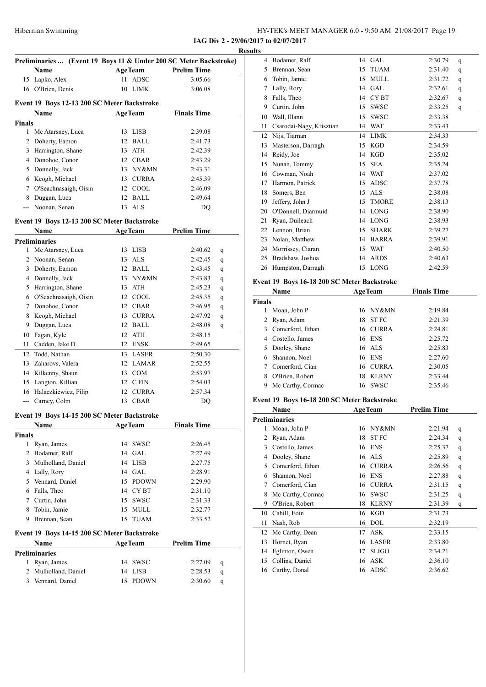|  |  | HY-TEK's MEET MANAGER 6.0 - 9:50 AM 21/08/2017 Page 19 |  |
|--|--|--------------------------------------------------------|--|
|  |  |                                                        |  |

| Preliminaries  (Event 19 Boys 11 & Under 200 SC Meter Backstroke) |                                             |    |                |                    |   |  |
|-------------------------------------------------------------------|---------------------------------------------|----|----------------|--------------------|---|--|
|                                                                   | Name                                        |    | <b>AgeTeam</b> | <b>Prelim Time</b> |   |  |
|                                                                   | 15 Lapko, Alex                              | 11 | <b>ADSC</b>    | 3:05.66            |   |  |
|                                                                   | 16 O'Brien, Denis                           |    | 10 LIMK        | 3:06.08            |   |  |
|                                                                   |                                             |    |                |                    |   |  |
|                                                                   | Event 19 Boys 12-13 200 SC Meter Backstroke |    |                |                    |   |  |
|                                                                   | <b>Name</b>                                 |    | <b>AgeTeam</b> | <b>Finals Time</b> |   |  |
| <b>Finals</b>                                                     |                                             |    |                |                    |   |  |
| 1                                                                 | Mc Atarsney, Luca                           |    | 13 LISB        | 2:39.08            |   |  |
|                                                                   | 2 Doherty, Eamon                            |    | 12 BALL        | 2:41.73            |   |  |
|                                                                   | 3 Harrington, Shane                         |    | 13 ATH         | 2:42.39            |   |  |
|                                                                   | 4 Donohoe, Conor                            |    | 12 CBAR        | 2:43.29            |   |  |
|                                                                   | 5 Donnelly, Jack                            |    | 13 NY&MN       | 2:43.31            |   |  |
|                                                                   | 6 Keogh, Michael                            |    | 13 CURRA       | 2:45.39            |   |  |
| 7                                                                 | O'Seachnasaigh, Oisin                       |    | 12 COOL        | 2:46.09            |   |  |
| 8                                                                 | Duggan, Luca                                |    | 12 BALL        | 2:49.64            |   |  |
|                                                                   | --- Noonan, Senan                           |    | 13 ALS         | DQ                 |   |  |
|                                                                   | Event 19 Boys 12-13 200 SC Meter Backstroke |    |                |                    |   |  |
|                                                                   | <b>Name</b>                                 |    | <b>AgeTeam</b> | <b>Prelim Time</b> |   |  |
|                                                                   | <b>Preliminaries</b>                        |    |                |                    |   |  |
| 1                                                                 | Mc Atarsney, Luca                           | 13 | <b>LISB</b>    | 2:40.62            | q |  |
|                                                                   | 2 Noonan, Senan                             |    | 13 ALS         | 2:42.45            |   |  |
|                                                                   | 3 Doherty, Eamon                            |    | 12 BALL        | 2:43.45            | q |  |
|                                                                   | 4 Donnelly, Jack                            |    | 13 NY&MN       | 2:43.83            | q |  |
|                                                                   | 5 Harrington, Shane                         |    | 13 ATH         | 2:45.23            | q |  |
|                                                                   |                                             |    | 12 COOL        |                    | q |  |
|                                                                   | 6 O'Seachnasaigh, Oisin                     |    |                | 2:45.35            | q |  |
| 7                                                                 | Donohoe, Conor                              |    | 12 CBAR        | 2:46.95            | q |  |
| 8                                                                 | Keogh, Michael                              |    | 13 CURRA       | 2:47.92            | q |  |
| 9                                                                 | Duggan, Luca                                |    | 12 BALL        | 2:48.08            | q |  |
| 10                                                                | Fagan, Kyle                                 |    | 12 ATH         | 2:48.15            |   |  |
|                                                                   | 11 Cadden, Jake D                           |    | 12 ENSK        | 2:49.65            |   |  |
| 12                                                                | Todd, Nathan                                |    | 13 LASER       | 2:50.30            |   |  |
| 13                                                                | Zaharovs, Valera                            |    | 12 LAMAR       | 2:52.55            |   |  |
|                                                                   | 14 Kilkenny, Shaun                          |    | 13 COM         | 2:53.97            |   |  |
| 15                                                                | Langton, Killian                            |    | 12 CFIN        | 2:54.03            |   |  |
| 16                                                                | Halaczkiewicz, Filip                        |    | 12 CURRA       | 2:57.34            |   |  |
| $ -$                                                              | Carney, Colm                                |    | 13 CBAR        | DQ                 |   |  |
|                                                                   | Event 19 Boys 14-15 200 SC Meter Backstroke |    |                |                    |   |  |
|                                                                   | <b>Name</b>                                 |    | <b>AgeTeam</b> | <b>Finals Time</b> |   |  |
| <b>Finals</b>                                                     |                                             |    |                |                    |   |  |
| $\mathbf{1}$                                                      | Ryan, James                                 | 14 | <b>SWSC</b>    | 2:26.45            |   |  |
| 2                                                                 | Bodamer, Ralf                               |    | 14 GAL         | 2:27.49            |   |  |
|                                                                   | 3 Mulholland, Daniel                        |    | 14 LISB        | 2:27.75            |   |  |
| 4                                                                 | Lally, Rory                                 |    | 14 GAL         | 2:28.91            |   |  |
|                                                                   | 5 Vennard, Daniel                           |    | 15 PDOWN       | 2:29.90            |   |  |
|                                                                   | 6 Falls, Theo                               |    | 14 CYBT        | 2:31.10            |   |  |
|                                                                   | 7 Curtin, John                              | 15 | <b>SWSC</b>    | 2:31.33            |   |  |
| 8                                                                 | Tobin, Jamie                                | 15 | MULL           | 2:32.77            |   |  |
| 9                                                                 | Brennan, Sean                               | 15 | <b>TUAM</b>    | 2:33.52            |   |  |
|                                                                   |                                             |    |                |                    |   |  |
|                                                                   | Event 19 Boys 14-15 200 SC Meter Backstroke |    |                |                    |   |  |
|                                                                   | Name                                        |    | <b>AgeTeam</b> | <b>Prelim Time</b> |   |  |
|                                                                   | <b>Preliminaries</b>                        |    |                |                    |   |  |
|                                                                   | 1 Ryan, James                               | 14 | SWSC           | 2:27.09            | q |  |
| 2                                                                 | Mulholland, Daniel                          |    | 14 LISB        | 2:28.53            | q |  |
|                                                                   | 3 Vennard, Daniel                           | 15 | <b>PDOWN</b>   | 2:30.60            | q |  |

| <b>Results</b> |                          |    |              |                         |
|----------------|--------------------------|----|--------------|-------------------------|
| 4              | Bodamer, Ralf            |    | 14 GAL       | 2:30.79<br>$\mathsf{q}$ |
| 5              | Brennan, Sean            | 15 | <b>TUAM</b>  | 2:31.40<br>q            |
| 6              | Tobin, Jamie             | 15 | <b>MULL</b>  | 2:31.72<br>q            |
| 7              | Lally, Rory              | 14 | <b>GAL</b>   | 2:32.61<br>q            |
| 8              | Falls, Theo              | 14 | <b>CYBT</b>  | 2:32.67<br>$\mathsf{q}$ |
| 9              | Curtin, John             | 15 | <b>SWSC</b>  | 2:33.25<br>q            |
| 10             | Wall, Illann             | 15 | <b>SWSC</b>  | 2:33.38                 |
| 11             | Csarodai-Nagy, Krisztian | 14 | <b>WAT</b>   | 2:33.43                 |
| 12             | Nijs, Tiarnan            | 14 | <b>LIMK</b>  | 2:34.33                 |
| 13             | Masterson, Darragh       | 15 | KGD          | 2:34.59                 |
| 14             | Reidy, Joe               | 14 | <b>KGD</b>   | 2:35.02                 |
| 15             | Nunan, Tommy             | 15 | <b>SEA</b>   | 2:35.24                 |
| 16             | Cowman, Noah             | 14 | <b>WAT</b>   | 2:37.02                 |
| 17             | Harmon, Patrick          | 15 | <b>ADSC</b>  | 2:37.78                 |
| 18             | Somers, Ben              | 15 | ALS          | 2:38.08                 |
| 19             | Jeffery, John J          | 15 | <b>TMORE</b> | 2:38.13                 |
| 20             | O'Donnell, Diarmuid      | 14 | <b>LONG</b>  | 2:38.90                 |
| 21             | Ryan, Duileach           | 14 | <b>LONG</b>  | 2:38.93                 |
| 22             | Lennon, Brian            | 15 | <b>SHARK</b> | 2:39.27                 |
| 23             | Nolan, Matthew           | 14 | <b>BARRA</b> | 2:39.91                 |
| 24             | Morrissey, Ciaran        | 15 | <b>WAT</b>   | 2:40.50                 |
| 25             | Bradshaw, Joshua         | 14 | <b>ARDS</b>  | 2:40.63                 |
| 26             | Humpston, Darragh        | 15 | <b>LONG</b>  | 2:42.59                 |
|                |                          |    |              |                         |

#### **Event 19 Boys 16-18 200 SC Meter Backstroke**

| Name                  |    |              | <b>Finals Time</b>                                                               |  |
|-----------------------|----|--------------|----------------------------------------------------------------------------------|--|
| <b>Finals</b>         |    |              |                                                                                  |  |
| Moan, John P          |    |              | 2:19.84                                                                          |  |
| 2 Ryan, Adam          | 18 | <b>ST FC</b> | 2:21.39                                                                          |  |
| Comerford, Ethan<br>3 |    |              | 2:24.81                                                                          |  |
| 4 Costello, James     |    |              | 2:25.72                                                                          |  |
| Dooley, Shane<br>5.   |    |              | 2:25.83                                                                          |  |
| Shannon, Noel         |    |              | 2:27.60                                                                          |  |
| Comerford, Cian       |    |              | 2:30.05                                                                          |  |
| O'Brien, Robert       | 18 | <b>KLRNY</b> | 2:33.44                                                                          |  |
| Mc Carthy, Cormac     | 16 | <b>SWSC</b>  | 2:35.46                                                                          |  |
|                       |    |              | <b>AgeTeam</b><br>16 NY&MN<br>16 CURRA<br>16 ENS<br>16 ALS<br>16 ENS<br>16 CURRA |  |

#### **Event 19 Boys 16-18 200 SC Meter Backstroke**

|    | Name                 | <b>AgeTeam</b>   |              | <b>Prelim Time</b> |   |
|----|----------------------|------------------|--------------|--------------------|---|
|    | <b>Preliminaries</b> |                  |              |                    |   |
|    | Moan, John P         | 16               | NY&MN        | 2:21.94            | q |
| 2  | Ryan, Adam           | 18               | <b>ST FC</b> | 2:24.34            | q |
| 3  | Costello, James      | <b>ENS</b><br>16 |              | 2:25.37            | q |
| 4  | Dooley, Shane        | ALS<br>16        |              | 2:25.89            | q |
| 5  | Comerford, Ethan     | 16               | <b>CURRA</b> | 2:26.56            | q |
| 6  | Shannon, Noel        | <b>ENS</b><br>16 |              | 2:27.88            | q |
| 7  | Comerford, Cian      | 16               | <b>CURRA</b> | 2:31.15            | q |
| 8  | Mc Carthy, Cormac    | 16               | <b>SWSC</b>  | 2:31.25            | q |
| 9  | O'Brien, Robert      | 18               | <b>KLRNY</b> | 2:31.39            | q |
| 10 | Cahill, Eoin         | KGD<br>16        |              | 2:31.73            |   |
| 11 | Nash, Rob            | <b>DOL</b><br>16 |              | 2:32.19            |   |
| 12 | Mc Carthy, Dean      | ASK<br>17        |              | 2:33.15            |   |
| 13 | Hornet, Ryan         | 16               | <b>LASER</b> | 2:33.80            |   |
| 14 | Eglinton, Owen       | 17               | <b>SLIGO</b> | 2:34.21            |   |
| 15 | Collins, Daniel      | ASK<br>16        |              | 2:36.10            |   |
| 16 | Carthy, Donal        | 16               | ADSC         | 2:36.62            |   |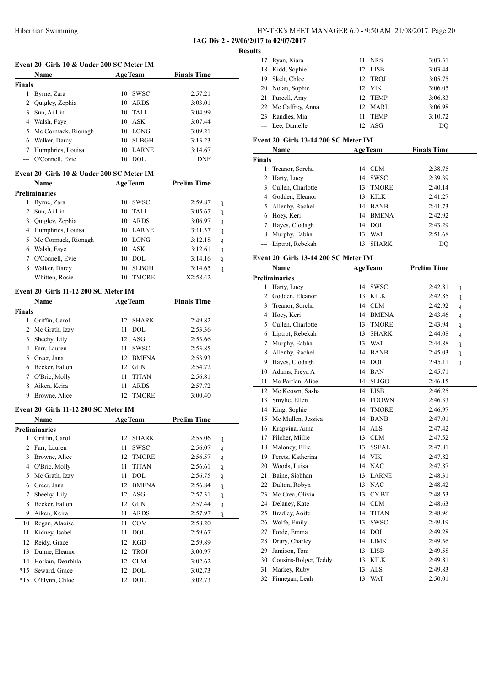**IAG Div 2 - 29/06/2017 to 02/07/2017 Result** 

|               | Event 20 Girls 10 & Under 200 SC Meter IM |                    |                    |   |  |  |  |
|---------------|-------------------------------------------|--------------------|--------------------|---|--|--|--|
|               | Name                                      | <b>AgeTeam</b>     | <b>Finals Time</b> |   |  |  |  |
| <b>Finals</b> |                                           |                    |                    |   |  |  |  |
|               | 1 Byrne, Zara                             | 10 SWSC            | 2:57.21            |   |  |  |  |
|               | 2 Quigley, Zophia                         | 10 ARDS            | 3:03.01            |   |  |  |  |
|               | 3 Sun, Ai Lin                             | 10 TALL            | 3:04.99            |   |  |  |  |
|               | 4 Walsh, Faye                             | 10 ASK             | 3:07.44            |   |  |  |  |
|               | 5 Mc Cormack, Rionagh                     | 10 LONG            | 3:09.21            |   |  |  |  |
|               | 6 Walker, Darcy                           | 10 SLBGH           | 3:13.23            |   |  |  |  |
|               | 7 Humphries, Louisa                       | 10 LARNE           | 3:14.67            |   |  |  |  |
|               | --- O'Connell, Evie                       | 10 DOL             | <b>DNF</b>         |   |  |  |  |
|               | Event 20 Girls 10 & Under 200 SC Meter IM |                    |                    |   |  |  |  |
|               | Name                                      | <b>AgeTeam</b>     | <b>Prelim Time</b> |   |  |  |  |
|               | <b>Preliminaries</b>                      |                    |                    |   |  |  |  |
|               | 1 Byrne, Zara                             | 10 SWSC            | 2:59.87            | q |  |  |  |
|               | 2 Sun, Ai Lin                             | 10 TALL            | 3:05.67            | q |  |  |  |
|               | 3 Quigley, Zophia                         | 10 ARDS            | 3:06.97            | q |  |  |  |
|               | 4 Humphries, Louisa                       | 10 LARNE           | 3:11.37            | q |  |  |  |
|               | 5 Mc Cormack, Rionagh                     | 10 LONG            | 3:12.18            | q |  |  |  |
|               | 6 Walsh, Faye                             | 10 ASK             | 3:12.61            | q |  |  |  |
|               | 7 O'Connell, Evie                         | 10 DOL             | 3:14.16            | q |  |  |  |
|               | 8 Walker, Darcy                           | 10 SLBGH           | 3:14.65            | q |  |  |  |
|               | --- Whitten, Rosie                        | 10 TMORE           | X2:58.42           |   |  |  |  |
|               | Event 20 Girls 11-12 200 SC Meter IM      |                    |                    |   |  |  |  |
|               | Name                                      | <b>AgeTeam</b>     | <b>Finals Time</b> |   |  |  |  |
| <b>Finals</b> |                                           |                    |                    |   |  |  |  |
|               | 1 Griffin, Carol                          | 12<br>SHARK        | 2:49.82            |   |  |  |  |
|               | 2 Mc Grath, Izzy                          | 11<br>DOL          | 2:53.36            |   |  |  |  |
| 3             | Sheehy, Lily                              | 12 ASG             | 2:53.66            |   |  |  |  |
|               | 4 Farr, Lauren                            | 11 SWSC            | 2:53.85            |   |  |  |  |
|               | 5 Greer, Jana                             | 12 BMENA           |                    |   |  |  |  |
|               | 6 Becker, Fallon                          |                    | 2:53.93            |   |  |  |  |
|               |                                           | 12 GLN             | 2:54.72            |   |  |  |  |
|               | 7 O'Bric, Molly                           | 11 TITAN           | 2:56.81            |   |  |  |  |
|               | 8 Aiken, Keira                            | <b>ARDS</b><br>11  | 2:57.72            |   |  |  |  |
|               | 9 Browne, Alice                           | 12 TMORE           | 3:00.40            |   |  |  |  |
|               | Event 20 Girls 11-12 200 SC Meter IM      |                    |                    |   |  |  |  |
|               | Name                                      | <b>AgeTeam</b>     | <b>Prelim Time</b> |   |  |  |  |
|               | <b>Preliminaries</b>                      |                    |                    |   |  |  |  |
| 1             | Griffin, Carol                            | 12<br><b>SHARK</b> | 2:55.06            | q |  |  |  |
| 2             | Farr, Lauren                              | 11<br>SWSC         | 2:56.07            | q |  |  |  |
| 3             | Browne, Alice                             | 12<br>TMORE        | 2:56.57            | q |  |  |  |
|               | 4 O'Bric, Molly                           | 11<br><b>TITAN</b> | 2:56.61            | q |  |  |  |
| 5             | Mc Grath, Izzy                            | 11<br>DOL          | 2:56.75            | q |  |  |  |
| 6             | Greer, Jana                               | 12<br><b>BMENA</b> | 2:56.84            | q |  |  |  |
| 7             | Sheehy, Lily                              | 12<br>ASG          | 2:57.31            | q |  |  |  |
| 8             | Becker, Fallon                            | 12<br><b>GLN</b>   | 2:57.44            | q |  |  |  |
| 9             | Aiken, Keira                              | 11<br>ARDS         | 2:57.97            | q |  |  |  |
| 10            | Regan, Alaoise                            | $\rm{COM}$<br>11   | 2:58.20            |   |  |  |  |
| 11            | Kidney, Isabel                            | 11<br>DOL          | 2:59.67            |   |  |  |  |
| 12            | Reidy, Grace                              | 12<br>KGD          | 2:59.89            |   |  |  |  |
| 13            | Dunne, Eleanor                            | <b>TROJ</b><br>12  | 3:00.97            |   |  |  |  |
| 14            | Horkan, Dearbhla                          | 12<br><b>CLM</b>   | 3:02.62            |   |  |  |  |
| $*15$         | Seward, Grace                             | 12<br>DOL          | 3:02.73            |   |  |  |  |
| $*15$         | O'Flynn, Chloe                            | 12<br><b>DOL</b>   | 3:02.73            |   |  |  |  |
|               |                                           |                    |                    |   |  |  |  |

| ts |                                             |    |             |         |
|----|---------------------------------------------|----|-------------|---------|
| 17 | Ryan, Kiara                                 |    | 11 NRS      | 3:03.31 |
|    | 18 Kidd, Sophie                             |    | 12 LISB     | 3:03.44 |
| 19 | Skelt, Chloe                                |    | 12 TROJ     | 3:05.75 |
|    | 20 Nolan, Sophie                            |    | 12 VIK      | 3:06.05 |
|    | 21 Purcell, Amy                             |    | 12 TEMP     | 3:06.83 |
|    | 22 Mc Caffrey, Anna                         |    | 12 MARL     | 3:06.98 |
|    | 23 Randles, Mia                             | 11 | <b>TEMP</b> | 3:10.72 |
|    | --- Lee, Danielle                           |    | 12 ASG      | DO      |
|    | $1.111$ and $C1.1.12$ and $0.0000$ $M1.1.1$ |    |             |         |

#### **Event 20 Girls 13-14 200 SC Meter IM**

| Name                 |    |              | <b>Finals Time</b>                                                   |  |
|----------------------|----|--------------|----------------------------------------------------------------------|--|
| <b>Finals</b>        |    |              |                                                                      |  |
| Treanor, Sorcha      |    |              | 2:38.75                                                              |  |
| 2 Harty, Lucy        |    |              | 2:39.39                                                              |  |
| 3 Cullen, Charlotte  | 13 | <b>TMORE</b> | 2:40.14                                                              |  |
| 4 Godden, Eleanor    | 13 | KILK         | 2:41.27                                                              |  |
| Allenby, Rachel      |    |              | 2:41.73                                                              |  |
| 6 Hoey, Keri         |    |              | 2:42.92                                                              |  |
| Hayes, Clodagh       |    |              | 2:43.29                                                              |  |
| Murphy, Eabha        | 13 | <b>WAT</b>   | 2:51.68                                                              |  |
| --- Liptrot, Rebekah | 13 | <b>SHARK</b> | DO                                                                   |  |
|                      |    |              | <b>AgeTeam</b><br>14 CLM<br>14 SWSC<br>14 BANB<br>14 BMENA<br>14 DOL |  |

#### **Event 20 Girls 13-14 200 SC Meter IM**

| Name           |                       |    | <b>AgeTeam</b>              | <b>Prelim Time</b> |              |
|----------------|-----------------------|----|-----------------------------|--------------------|--------------|
|                | <b>Preliminaries</b>  |    |                             |                    |              |
| 1              | Harty, Lucy           | 14 | <b>SWSC</b>                 | 2:42.81            | q            |
| $\overline{2}$ | Godden, Eleanor       | 13 | <b>KILK</b>                 | 2:42.85            | q            |
|                | 3 Treanor, Sorcha     | 14 | CLM                         | 2:42.92            | q            |
|                | 4 Hoey, Keri          | 14 | <b>BMENA</b>                | 2:43.46            | q            |
| 5              | Cullen, Charlotte     | 13 | <b>TMORE</b>                | 2:43.94            | q            |
| 6              | Liptrot, Rebekah      | 13 | <b>SHARK</b>                | 2:44.08            | q            |
| 7              | Murphy, Eabha         | 13 | <b>WAT</b>                  | 2:44.88            | q            |
| 8              | Allenby, Rachel       | 14 | <b>BANB</b>                 | 2:45.03            | $\mathbf{q}$ |
| 9              | Hayes, Clodagh        | 14 | DOL                         | 2:45.11            | q            |
| 10             | Adams, Freya A        | 14 | <b>BAN</b>                  | 2:45.71            |              |
| 11             | Mc Partlan, Alice     | 14 | <b>SLIGO</b>                | 2:46.15            |              |
| 12             | Mc Keown, Sasha       | 14 | <b>LISB</b>                 | 2:46.25            |              |
| 13             | Smylie, Ellen         | 14 | PDOWN                       | 2:46.33            |              |
| 14             | King, Sophie          | 14 | <b>TMORE</b>                | 2:46.97            |              |
| 15             | Mc Mullen, Jessica    | 14 | <b>BANB</b>                 | 2:47.01            |              |
| 16             | Krapvina, Anna        | 14 | <b>ALS</b>                  | 2:47.42            |              |
| 17             | Pilcher, Millie       | 13 | <b>CLM</b>                  | 2:47.52            |              |
| 18             | Maloney, Ellie        | 13 | <b>SSEAL</b>                | 2:47.81            |              |
|                | 19 Perets, Katherina  |    | 14 VIK                      | 2:47.82            |              |
| 20             | Woods, Luisa          | 14 | <b>NAC</b>                  | 2:47.87            |              |
| 21             | Baine, Siobhan        | 13 | <b>LARNE</b>                | 2:48.31            |              |
| 22             | Dalton, Robyn         | 13 | <b>NAC</b>                  | 2:48.42            |              |
| 23             | Mc Crea, Olivia       | 13 | CY BT                       | 2:48.53            |              |
|                | 24 Delaney, Kate      | 14 | $\mathop{\rm CLM}\nolimits$ | 2:48.63            |              |
| 25             | Bradley, Aoife        | 14 | <b>TITAN</b>                | 2:48.96            |              |
| 26             | Wolfe, Emily          | 13 | <b>SWSC</b>                 | 2:49.19            |              |
| 27             | Forde, Emma           | 14 | <b>DOL</b>                  | 2:49.28            |              |
| 28             | Drury, Charley        | 14 | <b>LIMK</b>                 | 2:49.36            |              |
| 29             | Jamison, Toni         | 13 | LISB                        | 2:49.58            |              |
| 30             | Cousins-Bolger, Teddy | 13 | KILK                        | 2:49.81            |              |
| 31             | Markey, Ruby          | 13 | <b>ALS</b>                  | 2:49.83            |              |
| 32             | Finnegan, Leah        | 13 | <b>WAT</b>                  | 2:50.01            |              |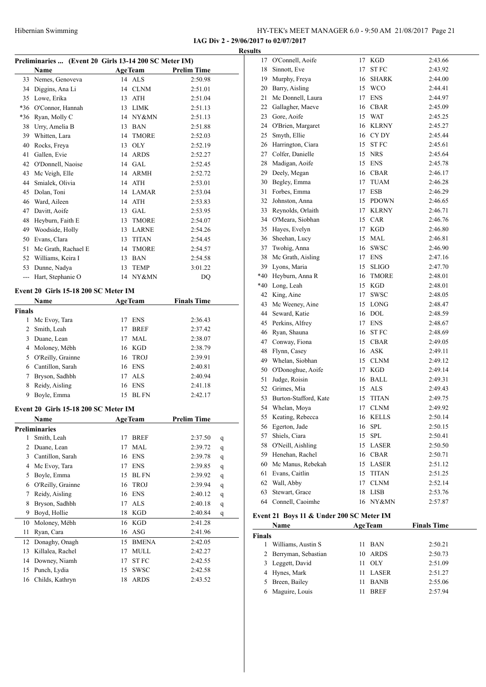**IAG Div 2 - 29/06/2017 to 02/07/2017 Results**

| Preliminaries  (Event 20 Girls 13-14 200 SC Meter IM) |                                      |                |                |                    |              |  |
|-------------------------------------------------------|--------------------------------------|----------------|----------------|--------------------|--------------|--|
|                                                       | Name                                 |                | <b>AgeTeam</b> | <b>Prelim Time</b> |              |  |
| 33                                                    | Nemes, Genoveva                      | 14             | <b>ALS</b>     | 2:50.98            |              |  |
|                                                       | 34 Diggins, Ana Li                   | 14             | <b>CLNM</b>    | 2:51.01            |              |  |
|                                                       | 35 Lowe, Erika                       |                | 13 ATH         | 2:51.04            |              |  |
|                                                       | *36 O'Connor, Hannah                 |                | 13 LIMK        | 2:51.13            |              |  |
| *36                                                   | Ryan, Molly C                        |                | 14 NY&MN       | 2:51.13            |              |  |
| 38                                                    | Urry, Amelia B                       |                | 13 BAN         | 2:51.88            |              |  |
| 39                                                    | Whitten, Lara                        |                | 14 TMORE       | 2:52.03            |              |  |
| 40                                                    | Rocks, Freya                         |                | 13 OLY         | 2:52.19            |              |  |
| 41                                                    | Gallen, Evie                         |                | 14 ARDS        | 2:52.27            |              |  |
|                                                       | 42 O'Donnell, Naoise                 |                | 14 GAL         | 2:52.45            |              |  |
| 43                                                    | Mc Veigh, Elle                       |                | 14 ARMH        | 2:52.72            |              |  |
| 44                                                    | Smialek, Olivia                      |                | 14 ATH         | 2:53.01            |              |  |
| 45                                                    | Dolan, Toni                          |                | 14 LAMAR       | 2:53.04            |              |  |
|                                                       | 46 Ward, Aileen                      |                | 14 ATH         | 2:53.83            |              |  |
| 47                                                    | Davitt, Aoife                        |                | 13 GAL         | 2:53.95            |              |  |
| 48                                                    | Heyburn, Faith E                     |                | 13 TMORE       | 2:54.07            |              |  |
| 49                                                    | Woodside, Holly                      |                | 13 LARNE       | 2:54.26            |              |  |
| 50                                                    | Evans, Clara                         |                | 13 TITAN       | 2:54.45            |              |  |
| 51                                                    | Mc Grath, Rachael E                  |                | 14 TMORE       | 2:54.57            |              |  |
|                                                       | 52 Williams, Keira I                 |                | 13 BAN         | 2:54.58            |              |  |
| 53                                                    | Dunne, Nadya                         | 13             | TEMP           | 3:01.22            |              |  |
| $\overline{\phantom{a}}$                              | Hart, Stephanie O                    |                | 14 NY&MN       | DQ                 |              |  |
|                                                       |                                      |                |                |                    |              |  |
| Event 20 Girls 15-18 200 SC Meter IM                  |                                      |                |                |                    |              |  |
|                                                       | Name                                 |                | <b>AgeTeam</b> | <b>Finals Time</b> |              |  |
| <b>Finals</b>                                         |                                      |                |                |                    |              |  |
| 1                                                     | Mc Evoy, Tara                        | 17             | <b>ENS</b>     | 2:36.43            |              |  |
|                                                       | 2 Smith, Leah                        |                | 17 BREF        | 2:37.42            |              |  |
| 3                                                     | Duane, Lean                          |                | 17 MAL         | 2:38.07            |              |  |
|                                                       | 4 Moloney, Mébh                      |                | 16 KGD         | 2:38.79            |              |  |
|                                                       | 5 O'Reilly, Grainne                  |                | 16 TROJ        | 2:39.91            |              |  |
|                                                       | 6 Cantillon, Sarah                   |                | 16 ENS         | 2:40.81            |              |  |
| 7                                                     | Bryson, Sadhbh                       |                | 17 ALS         | 2:40.94            |              |  |
| 8                                                     | Reidy, Aisling                       |                | 16 ENS         | 2:41.18            |              |  |
| 9                                                     | Boyle, Emma                          |                | 15 BL FN       | 2:42.17            |              |  |
|                                                       | Event 20 Girls 15-18 200 SC Meter IM |                |                |                    |              |  |
|                                                       | Name                                 | <b>AgeTeam</b> |                | <b>Prelim Time</b> |              |  |
|                                                       | <b>Preliminaries</b>                 |                |                |                    |              |  |
| 1                                                     | Smith, Leah                          | 17             | <b>BREF</b>    | 2:37.50            | q            |  |
| 2                                                     | Duane, Lean                          | 17             | MAL            | 2:39.72            | $\mathbf{q}$ |  |
| $\mathbf{3}$                                          | Cantillon, Sarah                     |                | 16 ENS         | 2:39.78            | q            |  |
| $\overline{4}$                                        | Mc Evoy, Tara                        | 17             | ENS            | 2:39.85            | q            |  |
| 5                                                     | Boyle, Emma                          | 15             | <b>BLFN</b>    | 2:39.92            | $\mathbf{q}$ |  |
| 6                                                     | O'Reilly, Grainne                    | 16             | <b>TROJ</b>    | 2:39.94            | $\mathbf{q}$ |  |
| 7                                                     | Reidy, Aisling                       | 16             | <b>ENS</b>     | 2:40.12            | q            |  |
| 8                                                     | Bryson, Sadhbh                       | 17             | <b>ALS</b>     | 2:40.18            | $\mathbf{q}$ |  |
| 9                                                     | Boyd, Hollie                         | 18             | <b>KGD</b>     | 2:40.84            | q            |  |
| 10                                                    | Moloney, Mébh                        | 16             | <b>KGD</b>     | 2:41.28            |              |  |
| 11                                                    | Ryan, Cara                           | 16             | ASG            | 2:41.96            |              |  |
| 12                                                    | Donaghy, Onagh                       | 15             | <b>BMENA</b>   | 2:42.05            |              |  |
| 13                                                    | Killalea, Rachel                     | 17             | <b>MULL</b>    | 2:42.27            |              |  |
| 14                                                    | Downey, Niamh                        | 17             | ST FC          | 2:42.55            |              |  |
| 15                                                    | Punch, Lydia                         | 15             | SWSC           | 2:42.58            |              |  |
| 16                                                    | Childs, Kathryn                      | 18             | <b>ARDS</b>    | 2:43.52            |              |  |

| աւտ           |                                          |    |                |                    |
|---------------|------------------------------------------|----|----------------|--------------------|
|               | 17 O'Connell, Aoife                      | 17 | <b>KGD</b>     | 2:43.66            |
|               | 18 Sinnott, Eve                          | 17 | ST FC          | 2:43.92            |
|               | 19 Murphy, Freya                         | 16 | SHARK          | 2:44.00            |
|               | 20 Barry, Aisling                        |    | 15 WCO         | 2:44.41            |
|               | 21 Mc Donnell, Laura                     |    | 17 ENS         | 2:44.97            |
|               | 22 Gallagher, Maeve                      |    | 16 CBAR        | 2:45.09            |
|               | 23 Gore, Aoife                           |    | 15 WAT         | 2:45.25            |
|               | 24 O'Brien, Margaret                     |    | 16 KLRNY       | 2:45.27            |
|               | 25 Smyth, Ellie                          |    | 16 CYDY        | 2:45.44            |
|               | 26 Harrington, Ciara                     |    | 15 STFC        | 2:45.61            |
|               | 27 Colfer, Danielle                      |    | 15 NRS         | 2:45.64            |
|               | 28 Madigan, Aoife                        |    | 15 ENS         | 2:45.78            |
|               | 29 Deely, Megan                          |    | 16 CBAR        | 2:46.17            |
|               | 30 Begley, Emma                          |    | 17 TUAM        | 2:46.28            |
|               | 31 Forbes, Emma                          |    | 17 ESB         | 2:46.29            |
|               | 32 Johnston, Anna                        |    | 15 PDOWN       | 2:46.65            |
|               | 33 Reynolds, Orlaith                     |    | 17 KLRNY       | 2:46.71            |
|               | 34 O'Meara, Siobhan                      |    | 15 CAR         | 2:46.76            |
|               | 35 Hayes, Evelyn                         |    | 17 KGD         | 2:46.80            |
|               | 36 Sheehan, Lucy                         |    | 15 MAL         | 2:46.81            |
|               | 37 Twohig, Anna                          |    | 16 SWSC        | 2:46.90            |
|               | 38 Mc Grath, Aisling                     |    | 17 ENS         | 2:47.16            |
|               | 39 Lyons, Maria                          |    | 15 SLIGO       | 2:47.70            |
|               | *40 Heyburn, Anna R                      |    | 16 TMORE       | 2:48.01            |
|               | *40 Long, Leah                           |    | 15 KGD         | 2:48.01            |
|               | 42 King, Aine                            | 17 | SWSC           | 2:48.05            |
|               | 43 Mc Weeney, Aine                       |    | 15 LONG        | 2:48.47            |
|               | 44 Seward, Katie                         |    | 16 DOL         | 2:48.59            |
|               | 45 Perkins, Alfrey                       |    | 17 ENS         | 2:48.67            |
|               | 46 Ryan, Shauna                          |    | 16 STFC        | 2:48.69            |
|               | 47 Conway, Fiona                         |    | 15 CBAR        | 2:49.05            |
|               | 48 Flynn, Casey                          |    | 16 ASK         | 2:49.11            |
|               | 49 Whelan, Siobhan                       |    | 15 CLNM        | 2:49.12            |
|               | 50 O'Donoghue, Aoife                     |    | 17 KGD         | 2:49.14            |
| 51            | Judge, Roisin                            |    | 16 BALL        | 2:49.31            |
|               | 52 Grimes, Mia                           |    | 15 ALS         | 2:49.43            |
|               | 53 Burton-Stafford, Kate                 |    | 15 TITAN       | 2:49.75            |
|               | 54 Whelan, Moya                          |    | 17 CLNM        | 2:49.92            |
|               | 55 Keating, Rebecca                      |    | 16 KELLS       | 2:50.14            |
|               | 56 Egerton, Jade                         |    | 16 SPL         | 2:50.15            |
| 57            | Shiels, Ciara                            | 15 | <b>SPL</b>     | 2:50.41            |
|               | 58 O'Neill, Aishling                     | 15 | LASER          | 2:50.50            |
|               | 59 Henehan, Rachel                       |    | 16 CBAR        | 2:50.71            |
|               | 60 Mc Manus, Rebekah                     |    | 15 LASER       | 2:51.12            |
|               | 61 Evans, Caitlin                        | 15 | <b>TITAN</b>   | 2:51.25            |
|               | 62 Wall, Abby                            | 17 | <b>CLNM</b>    | 2:52.14            |
|               | 63 Stewart, Grace                        | 18 | <b>LISB</b>    | 2:53.76            |
|               | 64 Connell, Caoimhe                      | 16 | NY&MN          | 2:57.87            |
|               |                                          |    |                |                    |
|               | Event 21 Boys 11 & Under 200 SC Meter IM |    |                |                    |
|               | Name                                     |    | <b>AgeTeam</b> | <b>Finals Time</b> |
| <b>Finals</b> |                                          |    |                |                    |

| `inals |                       |     |             |         |
|--------|-----------------------|-----|-------------|---------|
|        | Williams, Austin S    |     | 11 BAN      | 2:50.21 |
|        | 2 Berryman, Sebastian |     | 10 ARDS     | 2:50.73 |
|        | 3 Leggett, David      |     | 11 OLY      | 2:51.09 |
|        | 4 Hynes, Mark         |     | 11 LASER    | 2:51.27 |
|        | 5 Breen, Bailey       | 11. | <b>BANB</b> | 2:55.06 |
|        | 6 Maguire, Louis      |     | <b>BREF</b> | 2:57.94 |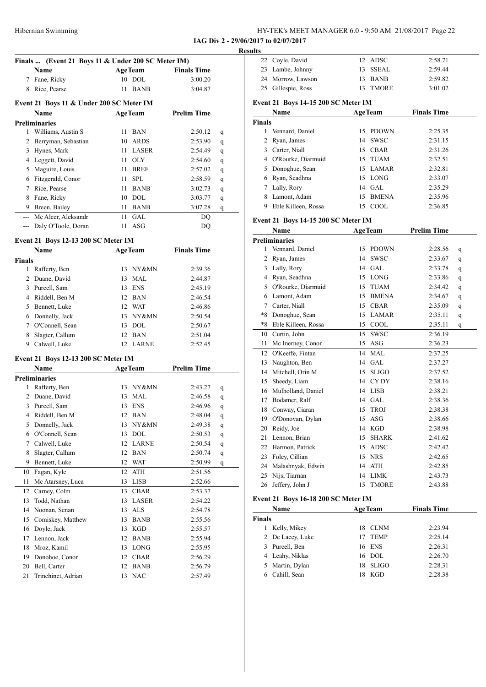| HY-TEK's MEET MANAGER 6.0 - 9:50 AM 21/08/2017 Page 22 |  |
|--------------------------------------------------------|--|
|--------------------------------------------------------|--|

**IAG Div 2 - 29/06/2017 to 02/07/2017**

|                |                                                    |    |                |                    | <b>Result</b> |
|----------------|----------------------------------------------------|----|----------------|--------------------|---------------|
|                | Finals  (Event 21 Boys 11 & Under 200 SC Meter IM) |    |                |                    |               |
|                | Name                                               |    | <b>AgeTeam</b> | <b>Finals Time</b> |               |
|                | 7 Fane, Ricky                                      |    | 10 DOL         | 3:00.20            |               |
|                | 8 Rice, Pearse                                     | 11 | BANB           | 3:04.87            |               |
|                | Event 21 Boys 11 & Under 200 SC Meter IM           |    |                |                    |               |
|                | Name                                               |    | <b>AgeTeam</b> | <b>Prelim Time</b> |               |
|                | <b>Preliminaries</b>                               |    |                |                    |               |
|                | 1 Williams, Austin S                               |    | 11 BAN         | 2:50.12            | q             |
| $\overline{2}$ | Berryman, Sebastian                                | 10 | ARDS           | 2:53.90            | q             |
|                | 3 Hynes, Mark                                      | 11 | LASER          | 2:54.49            | q             |
|                | 4 Leggett, David                                   | 11 | <b>OLY</b>     | 2:54.60            | q             |
|                | 5 Maguire, Louis                                   | 11 | <b>BREF</b>    | 2:57.02            | q             |
|                | 6 Fitzgerald, Conor                                | 11 | <b>SPL</b>     | 2:58.59            | q             |
|                | 7 Rice, Pearse                                     | 11 | <b>BANB</b>    | 3:02.73            | q             |
| 8              | Fane, Ricky                                        | 10 | DOL            | 3:03.77            | q             |
|                | 9 Breen, Bailey                                    | 11 | <b>BANB</b>    | 3:07.28            | q             |
|                | --- Mc Aleer, Aleksandr                            | 11 | <b>GAL</b>     | DQ                 |               |
|                | --- Daly O'Toole, Doran                            |    | $11$ ASG       | DQ                 |               |
|                |                                                    |    |                |                    |               |
|                | Event 21 Boys 12-13 200 SC Meter IM                |    |                |                    |               |
|                | Name                                               |    | AgeTeam        | <b>Finals Time</b> |               |
| <b>Finals</b>  |                                                    |    |                |                    |               |
|                | 1 Rafferty, Ben                                    |    | 13 NY&MN       | 2:39.36            |               |
|                | 2 Duane, David                                     |    | 13 MAL         | 2:44.87            |               |
|                | 3 Purcell, Sam                                     |    | 13 ENS         | 2:45.19            |               |
|                | 4 Riddell, Ben M                                   |    | 12 BAN         | 2:46.54            |               |
|                | 5 Bennett, Luke                                    |    | 12 WAT         | 2:46.86            |               |
|                | 6 Donnelly, Jack                                   |    | 13 NY&MN       | 2:50.54            |               |
|                | 7 O'Connell, Sean                                  |    | 13 DOL         | 2:50.67            |               |
| 8              | Slagter, Callum                                    |    | 12 BAN         | 2:51.04            |               |
|                | 9 Calwell, Luke                                    |    | 12 LARNE       | 2:52.45            |               |
|                | Event 21 Boys 12-13 200 SC Meter IM                |    |                |                    |               |
|                | Name                                               |    | <b>AgeTeam</b> | <b>Prelim Time</b> |               |
|                | <b>Preliminaries</b>                               |    |                |                    |               |
|                | 1 Rafferty, Ben                                    |    | 13 NY&MN       | 2:43.27            | q             |
| 2              | Duane, David                                       | 13 | MAL            | 2:46.58            | q             |
|                | 3 Purcell, Sam                                     |    | 13 ENS         | 2:46.96            | q             |
| 4              | Riddell, Ben M                                     | 12 | <b>BAN</b>     | 2:48.04            | q             |
| 5              | Donnelly, Jack                                     | 13 | NY&MN          | 2:49.38            | q             |
| 6              | O'Connell, Sean                                    | 13 | <b>DOL</b>     | 2:50.53            | $\mathbf q$   |
| 7              | Calwell, Luke                                      | 12 | <b>LARNE</b>   | 2:50.54            | q             |
| 8              | Slagter, Callum                                    | 12 | <b>BAN</b>     | 2:50.74            | q             |
| 9              | Bennett, Luke                                      | 12 | WAT            | 2:50.99            | q             |
| 10             | Fagan, Kyle                                        | 12 | ATH            | 2:51.56            |               |
| 11             | Mc Atarsney, Luca                                  | 13 | LISB           | 2:52.66            |               |
| 12             | Carney, Colm                                       | 13 | CBAR           | 2:53.37            |               |
| 13             | Todd, Nathan                                       | 13 | LASER          | 2:54.22            |               |
| 14             | Noonan, Senan                                      | 13 | ALS            | 2:54.78            |               |
|                | 15 Comiskey, Matthew                               | 13 | <b>BANB</b>    | 2:55.56            |               |
| 16             | Doyle, Jack                                        | 13 | <b>KGD</b>     | 2:55.57            |               |
| 17             | Lennon, Jack                                       | 12 | <b>BANB</b>    | 2:55.94            |               |
| 18             | Mroz, Kamil                                        | 13 | LONG           | 2:55.95            |               |
| 19             | Donohoe, Conor                                     | 12 | CBAR           | 2:56.29            |               |
| 20             | Bell, Carter                                       | 12 | <b>BANB</b>    | 2:56.79            |               |
| 21             | Trinchinet, Adrian                                 |    | 13 NAC         | 2:57.49            |               |
|                |                                                    |    |                |                    |               |

| ults          |                                     |                |             |                    |
|---------------|-------------------------------------|----------------|-------------|--------------------|
|               | 22 Coyle, David                     |                | 12 ADSC     | 2:58.71            |
|               | 23 Lambe, Johnny                    | 13.            | SSEAL       | 2:59.44            |
|               | 24 Morrow, Lawson                   | 13.            | <b>BANB</b> | 2:59.82            |
|               | 25 Gillespie, Ross                  |                | 13 TMORE    | 3:01.02            |
|               | Event 21 Boys 14-15 200 SC Meter IM |                |             |                    |
| Name          |                                     | <b>AgeTeam</b> |             | <b>Finals Time</b> |
| <b>Finals</b> |                                     |                |             |                    |
|               | $1 \times 1$                        |                | 15.0001171  | 0.25.25            |

|   | 1 Vennard, Daniel    | 15 PDOWN | 2:25.35 |
|---|----------------------|----------|---------|
|   | 2 Ryan, James        | 14 SWSC  | 2:31.15 |
| 3 | Carter, Niall        | 15 CBAR  | 2:31.26 |
|   | 4 O'Rourke, Diarmuid | 15 TUAM  | 2:32.51 |
|   | 5 Donoghue, Sean     | 15 LAMAR | 2:32.81 |
|   | 6 Ryan, Seadhna      | 15 LONG  | 2:33.07 |
|   | 7 Lally, Rory        | $14$ GAL | 2:35.29 |
|   | Lamont, Adam         | 15 BMENA | 2:35.96 |
| 9 | Eble Killeen, Rossa  | 15 COOL  | 2:36.85 |

#### **Event 21 Boys 14-15 200 SC Meter IM**

|      | Name                 | <b>AgeTeam</b> |              | <b>Prelim Time</b> |   |
|------|----------------------|----------------|--------------|--------------------|---|
|      | <b>Preliminaries</b> |                |              |                    |   |
| 1    | Vennard, Daniel      | 15             | <b>PDOWN</b> | 2:28.56            | q |
| 2    | Ryan, James          | 14             | <b>SWSC</b>  | 2:33.67            | q |
| 3    | Lally, Rory          | 14             | GAL          | 2:33.78            | q |
| 4    | Ryan, Seadhna        | 15             | <b>LONG</b>  | 2:33.86            | q |
| 5    | O'Rourke, Diarmuid   | 15             | <b>TUAM</b>  | 2:34.42            | q |
| 6    | Lamont, Adam         | 15             | <b>BMENA</b> | 2:34.67            | q |
| 7    | Carter, Niall        | 15             | <b>CBAR</b>  | 2:35.09            | q |
| $*8$ | Donoghue, Sean       | 15             | <b>LAMAR</b> | 2:35.11            | q |
| $*8$ | Eble Killeen, Rossa  | 15             | COOL         | 2:35.11            | q |
| 10   | Curtin, John         | 15             | <b>SWSC</b>  | 2:36.19            |   |
| 11   | Mc Inerney, Conor    | 15             | ASG          | 2:36.23            |   |
| 12   | O'Keeffe, Fintan     | 14             | <b>MAL</b>   | 2:37.25            |   |
| 13   | Naughton, Ben        | 14             | GAL          | 2:37.27            |   |
| 14   | Mitchell, Orin M     | 15             | <b>SLIGO</b> | 2:37.52            |   |
| 15   | Sheedy, Liam         | 14             | CY DY        | 2:38.16            |   |
| 16   | Mulholland, Daniel   | 14             | <b>LISB</b>  | 2:38.21            |   |
| 17   | Bodamer, Ralf        | 14             | <b>GAL</b>   | 2:38.36            |   |
| 18   | Conway, Ciaran       | 15             | <b>TROJ</b>  | 2:38.38            |   |
| 19   | O'Donovan, Dylan     | 15             | <b>ASG</b>   | 2:38.66            |   |
| 20   | Reidy, Joe           | 14             | KGD          | 2:38.98            |   |
| 21   | Lennon, Brian        | 15             | <b>SHARK</b> | 2:41.62            |   |
| 22   | Harmon, Patrick      | 15             | <b>ADSC</b>  | 2:42.42            |   |
| 23   | Foley, Cillian       | 15             | <b>NRS</b>   | 2:42.65            |   |
| 24   | Malashnyak, Edwin    | 14             | <b>ATH</b>   | 2:42.85            |   |
| 25   | Nijs, Tiarnan        | 14             | <b>LIMK</b>  | 2:43.73            |   |
| 26   | Jeffery, John J      | 15             | <b>TMORE</b> | 2:43.88            |   |

#### **Event 21 Boys 16-18 200 SC Meter IM**

|               | EVERY 21 DOYS 10-10 200 BC MERCI 1M |                |             |                    |  |  |  |  |
|---------------|-------------------------------------|----------------|-------------|--------------------|--|--|--|--|
|               | Name                                | <b>AgeTeam</b> |             | <b>Finals Time</b> |  |  |  |  |
| <b>Finals</b> |                                     |                |             |                    |  |  |  |  |
| 1             | Kelly, Mikey                        |                | 18 CLNM     | 2:23.94            |  |  |  |  |
|               | 2 De Lacey, Luke                    | 17             | <b>TEMP</b> | 2:25.14            |  |  |  |  |
| 3             | Purcell, Ben                        |                | 16 ENS      | 2:26.31            |  |  |  |  |
|               | 4 Leahy, Niklas                     |                | 16 DOL      | 2:26.70            |  |  |  |  |
|               | 5 Martin, Dylan                     | 18.            | SLIGO       | 2:28.31            |  |  |  |  |
| 6             | Cahill, Sean                        | 18             | KGD         | 2:28.38            |  |  |  |  |
|               |                                     |                |             |                    |  |  |  |  |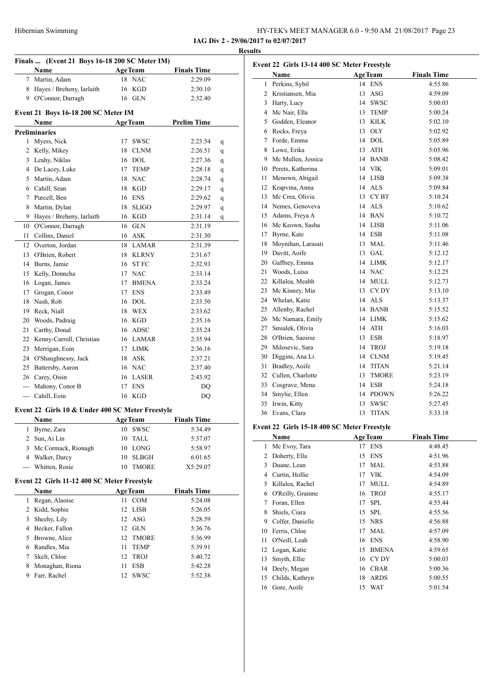| HY-TEK's MEET MANAGER 6.0 - 9:50 AM 21/08/2017 Page 23 |  |
|--------------------------------------------------------|--|
| IAG Div 2 - 29/06/2017 to 02/07/2017                   |  |

**Results**

|                | Name                                             | AgeTeam            | <b>Finals Time</b> |
|----------------|--------------------------------------------------|--------------------|--------------------|
|                | 7 Martin, Adam                                   | <b>NAC</b><br>18   | 2:29.09            |
|                | 8 Hayes / Breheny, Iarlaith                      | KGD<br>16          | 2:30.10            |
|                | 9 O'Connor, Darragh                              | 16 GLN             | 2:32.40            |
|                | Event 21 Boys 16-18 200 SC Meter IM              |                    |                    |
|                | Name                                             | <b>AgeTeam</b>     | <b>Prelim Time</b> |
|                | <b>Preliminaries</b>                             |                    |                    |
|                | 1 Myers, Nick                                    | SWSC<br>17         | 2:23.54            |
|                | 2 Kelly, Mikey                                   | 18 CLNM            | 2:26.51            |
|                | 3 Leahy, Niklas                                  | 16 DOL             | 2:27.36            |
|                | 4 De Lacey, Luke                                 | 17 TEMP            | 2:28.18            |
|                | 5 Martin, Adam                                   | 18 NAC             | 2:28.74            |
|                | 6 Cahill, Sean                                   | 18 KGD             | 2:29.17            |
|                | 7 Purcell, Ben                                   | 16 ENS             | 2:29.62            |
|                | 8 Martin, Dylan                                  | <b>SLIGO</b><br>18 | 2:29.97            |
|                | 9 Hayes / Breheny, Iarlaith                      | 16 KGD             | 2:31.14            |
| 10             | O'Connor, Darragh                                | 16 GLN             | 2:31.19            |
| 11             | Collins, Daniel                                  | 16 ASK             | 2:31.30            |
|                | 12 Overton, Jordan                               | 18 LAMAR           | 2:31.39            |
|                | 13 O'Brien, Robert                               | 18 KLRNY           | 2:31.67            |
|                | 14 Burns, Jamie                                  | 16 STFC            | 2:32.93            |
|                | 15 Kelly, Donncha                                | 17 NAC             | 2:33.14            |
|                | 16 Logan, James                                  | 17 BMENA           | 2:33.24            |
|                | 17 Grogan, Conor                                 | 17 ENS             | 2:33.49            |
|                | 18 Nash, Rob                                     | 16 DOL             | 2:33.50            |
|                | 19 Reck, Niall                                   | 18 WEX             | 2:33.62            |
|                | 20 Woods, Padraig                                | 16 KGD             | 2:35.16            |
|                | 21 Carthy, Donal                                 | 16 ADSC            | 2:35.24            |
|                | 22 Kenny-Carroll, Christian                      | 16 LAMAR           | 2:35.94            |
|                | 23 Merrigan, Eoin                                | 17 LIMK            | 2:36.16            |
|                |                                                  |                    |                    |
|                | 24 O'Shaughnessy, Jack                           | 18 ASK             | 2:37.21            |
|                | 25 Battersby, Aaron                              | 16 NAC             | 2:37.40            |
|                | 26 Carey, Oisin                                  | 16 LASER           | 2:43.92            |
|                | --- Mahony, Conor B                              | 17 ENS             | DQ                 |
|                | --- Cahill, Eoin                                 | 16 KGD             | DQ                 |
|                | Event 22 Girls 10 & Under 400 SC Meter Freestyle |                    |                    |
|                | <b>Name</b>                                      | <b>AgeTeam</b>     | <b>Finals Time</b> |
| 1              | Byrne, Zara                                      | 10<br><b>SWSC</b>  | 5:34.49            |
| 2              | Sun, Ai Lin                                      | 10<br>TALL         | 5:37.07            |
| 3              | Mc Cormack, Rionagh                              | 10<br>LONG         | 5:58.97            |
| 4              | Walker, Darcy                                    | 10<br>SLBGH        | 6:01.65            |
| ---            | Whitten, Rosie                                   | <b>TMORE</b><br>10 | X5:29.07           |
|                | Event 22 Girls 11-12 400 SC Meter Freestyle      |                    |                    |
|                | <b>Name</b>                                      | <b>AgeTeam</b>     | <b>Finals Time</b> |
| 1              | Regan, Alaoise                                   | COM<br>11          | 5:24.08            |
| $\overline{2}$ | Kidd, Sophie                                     | 12<br>LISB         | 5:26.05            |
| 3              | Sheehy, Lily                                     | 12<br>ASG          | 5:28.59            |
|                | 4 Becker, Fallon                                 | 12 GLN             | 5:36.76            |
|                | 5 Browne, Alice                                  | 12<br><b>TMORE</b> | 5:36.99            |
| 6              | Randles, Mia                                     | 11<br><b>TEMP</b>  | 5:39.91            |
| 7              | Skelt, Chloe                                     | 12<br><b>TROJ</b>  | 5:40.72            |
| 8              | Monaghan, Riona                                  | 11<br>ESB          | 5:42.28            |
| 9              | Farr, Rachel                                     | <b>SWSC</b><br>12  | 5:52.38            |
|                |                                                  |                    |                    |

|                | Event 22 Girls 13-14 400 SC Meter Freestyle<br>Name |    | <b>AgeTeam</b> | <b>Finals Time</b> |
|----------------|-----------------------------------------------------|----|----------------|--------------------|
|                | 1 Perkins, Sybil                                    |    | 14 ENS         | 4:55.86            |
|                | 2 Kristiansen, Mia                                  | 13 | ASG            | 4:59.09            |
|                | 3 Harty, Lucy                                       |    | 14 SWSC        | 5:00.03            |
|                | 4 Mc Nair, Ella                                     |    | 13 TEMP        | 5:00.24            |
|                | 5 Godden, Eleanor                                   |    | 13 KILK        | 5:02.10            |
|                | 6 Rocks, Freya                                      |    | 13 OLY         | 5:02.92            |
|                | 7 Forde, Emma                                       |    | 14 DOL         | 5:05.89            |
|                | 8 Lowe, Erika                                       |    | 13 ATH         | 5:05.96            |
|                | 9 Mc Mullen, Jessica                                |    | 14 BANB        | 5:08.42            |
|                | 10 Perets, Katherina                                |    | 14 VIK         | 5:09.01            |
| 11 -           | Menown, Abigail                                     |    | 14 LISB        | 5:09.38            |
|                | 12 Krapvina, Anna                                   |    | 14 ALS         | 5:09.84            |
|                | 13 Mc Crea, Olivia                                  |    | 13 CYBT        | 5:10.24            |
|                | 14 Nemes, Genoveva                                  |    | 14 ALS         | 5:10.62            |
|                | 15 Adams, Freya A                                   |    | 14 BAN         | 5:10.72            |
|                | 16 Mc Keown, Sasha                                  |    | 14 LISB        | 5:11.06            |
|                | 17 Byrne, Kate                                      |    | 14 ESB         | 5:11.08            |
| 18             | Moynihan, Larasati                                  |    | 13 MAL         | 5:11.46            |
|                | 19 Davitt, Aoife                                    |    | 13 GAL         | 5:12.12            |
| 20             | Gaffney, Emma                                       |    | 14 LIMK        | 5:12.17            |
| 21             | Woods, Luisa                                        |    | 14 NAC         | 5:12.25            |
|                | 22 Killalea, Meabh                                  |    | 14 MULL        | 5:12.73            |
| 23             | Mc Kinney, Mia                                      |    | 13 CYDY        | 5:13.10            |
| 24             | Whelan, Katie                                       |    | 14 ALS         | 5:13.37            |
|                | 25 Allenby, Rachel                                  |    | 14 BANB        | 5:15.52            |
|                | 26 Mc Namara, Emily                                 |    | 14 LIMK        | 5:15.62            |
| 27             | Smialek, Olivia                                     |    | 14 ATH         | 5:16.03            |
|                | 28 O'Brien, Saoirse                                 |    | 13 ESB         | 5:18.97            |
|                | 29 Milosevic, Sara                                  |    | 14 TROJ        | 5:19.18            |
|                | 30 Diggins, Ana Li                                  |    | 14 CLNM        | 5:19.45            |
| 31             | Bradley, Aoife                                      |    | 14 TITAN       | 5:21.14            |
|                | 32 Cullen, Charlotte                                |    | 13 TMORE       | 5:23.19            |
|                | 33 Cosgrave, Mena                                   |    | 14 ESB         | 5:24.18            |
| 34             | Smylie, Ellen                                       |    | 14 PDOWN       | 5:26.22            |
|                | 35 Irwin, Kitty                                     | 13 | SWSC           | 5:27.45            |
|                | 36 Evans, Clara                                     | 13 | <b>TITAN</b>   | 5:33.18            |
|                | Event 22 Girls 15-18 400 SC Meter Freestyle         |    |                |                    |
|                | Name                                                |    | <b>AgeTeam</b> | <b>Finals Time</b> |
|                | 1 Mc Evoy, Tara                                     |    | 17 ENS         | 4:48.45            |
|                | 2 Doherty, Ella                                     | 15 | <b>ENS</b>     | 4:51.96            |
|                | 3 Duane, Lean                                       |    | 17 MAL         | 4:53.88            |
| $\overline{A}$ | $C = 11.11$                                         |    | 17.37T         | 1.5100             |

| Event 22 Girls 15-18 400 SC Meter Freestyle |  |  |  |  |
|---------------------------------------------|--|--|--|--|
|                                             |  |  |  |  |

|    | Name              |    | <b>AgeTeam</b> | <b>Finals Time</b> |  |
|----|-------------------|----|----------------|--------------------|--|
| 1  | Mc Evoy, Tara     | 17 | <b>ENS</b>     | 4:48.45            |  |
| 2  | Doherty, Ella     | 15 | <b>ENS</b>     | 4:51.96            |  |
| 3  | Duane, Lean       | 17 | MAL            | 4:53.88            |  |
| 4  | Curtin, Hollie    | 17 | VIK            | 4:54.09            |  |
| 5  | Killalea, Rachel  | 17 | <b>MULL</b>    | 4:54.89            |  |
| 6  | O'Reilly, Grainne | 16 | <b>TROJ</b>    | 4:55.17            |  |
| 7  | Foran, Ellen      | 17 | <b>SPL</b>     | 4:55.44            |  |
| 8  | Shiels, Ciara     | 15 | <b>SPL</b>     | 4:55.56            |  |
| 9  | Colfer, Danielle  |    | 15 NRS         | 4:56.88            |  |
| 10 | Ferris, Chloe     | 17 | MAL            | 4:57.09            |  |
| 11 | O'Neill, Leah     | 16 | <b>ENS</b>     | 4:58.90            |  |
| 12 | Logan, Katie      | 15 | <b>BMENA</b>   | 4:59.65            |  |
| 13 | Smyth, Ellie      |    | 16 CYDY        | 5:00.03            |  |
| 14 | Deely, Megan      | 16 | <b>CBAR</b>    | 5:00.36            |  |
| 15 | Childs, Kathryn   | 18 | <b>ARDS</b>    | 5:00.55            |  |
| 16 | Gore, Aoife       | 15 | WAT            | 5:01.54            |  |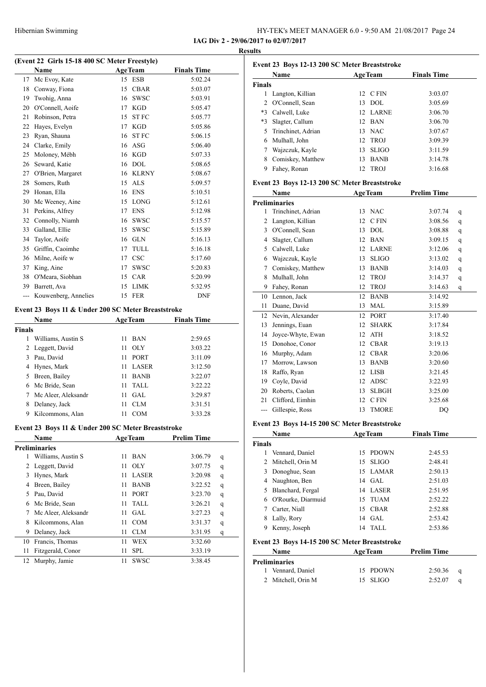| HY-TEK's MEET MANAGER 6.0 - 9:50 AM 21/08/2017 Page 24 |  |
|--------------------------------------------------------|--|
| IAG Div 2 - 29/06/2017 to 02/07/2017                   |  |

**Results**

#### **(Event 22 Girls 15-18 400 SC Meter Freestyle)**

| $\frac{1}{2}$ only to to too be mean incerned. |                      |                  |              |                    |  |  |
|------------------------------------------------|----------------------|------------------|--------------|--------------------|--|--|
|                                                | Name                 | <b>AgeTeam</b>   |              | <b>Finals Time</b> |  |  |
| 17                                             | Mc Evoy, Kate        | 15 ESB           |              | 5:02.24            |  |  |
| 18                                             | Conway, Fiona        | 15               | <b>CBAR</b>  | 5:03.07            |  |  |
| 19                                             | Twohig, Anna         | 16               | <b>SWSC</b>  | 5:03.91            |  |  |
| 20                                             | O'Connell, Aoife     | 17               | <b>KGD</b>   | 5:05.47            |  |  |
| 21                                             | Robinson, Petra      | 15               | <b>STFC</b>  | 5:05.77            |  |  |
| 22                                             | Hayes, Evelyn        | 17               | <b>KGD</b>   | 5:05.86            |  |  |
| 23                                             | Ryan, Shauna         | 16               | <b>STFC</b>  | 5:06.15            |  |  |
| 24                                             | Clarke, Emily        | 16               | <b>ASG</b>   | 5:06.40            |  |  |
| 25                                             | Moloney, Mébh        | 16               | KGD          | 5:07.33            |  |  |
| 26                                             | Seward, Katie        | 16               | <b>DOL</b>   | 5:08.65            |  |  |
| 27                                             | O'Brien, Margaret    | 16               | <b>KLRNY</b> | 5:08.67            |  |  |
| 28                                             | Somers, Ruth         | 15               | <b>ALS</b>   | 5:09.57            |  |  |
| 29                                             | Honan, Ella          | 16               | <b>ENS</b>   | 5:10.51            |  |  |
| 30                                             | Mc Weeney, Aine      | 15               | <b>LONG</b>  | 5:12.61            |  |  |
| 31                                             | Perkins, Alfrey      | 17               | <b>ENS</b>   | 5:12.98            |  |  |
| 32                                             | Connolly, Niamh      | 16               | <b>SWSC</b>  | 5:15.57            |  |  |
| 33                                             | Galland, Ellie       | 15               | <b>SWSC</b>  | 5:15.89            |  |  |
| 34                                             | Taylor, Aoife        | 16               | <b>GLN</b>   | 5:16.13            |  |  |
| 35                                             | Griffin, Caoimhe     | 17               | TULL         | 5:16.18            |  |  |
| 36                                             | Milne, Aoife w       | 17               | <b>CSC</b>   | 5:17.60            |  |  |
| 37                                             | King, Aine           | 17               | <b>SWSC</b>  | 5:20.83            |  |  |
| 38                                             | O'Meara, Siobhan     | 15               | <b>CAR</b>   | 5:20.99            |  |  |
| 39                                             | Barrett, Ava         | 15               | <b>LIMK</b>  | 5:32.95            |  |  |
| ---                                            | Kouwenberg, Annelies | <b>FER</b><br>15 |              | <b>DNF</b>         |  |  |

#### **Event 23 Boys 11 & Under 200 SC Meter Breaststroke**

|        | <b>Name</b>         | <b>AgeTeam</b>    | <b>Finals Time</b> |
|--------|---------------------|-------------------|--------------------|
| Finals |                     |                   |                    |
| 1      | Williams, Austin S  | <b>BAN</b><br>11  | 2:59.65            |
| 2      | Leggett, David      | -OLY<br>11        | 3:03.22            |
| 3      | Pau, David          | <b>PORT</b><br>11 | 3:11.09            |
| 4      | Hynes, Mark         | LASER<br>11       | 3:12.50            |
| 5      | Breen, Bailey       | <b>BANB</b><br>11 | 3:22.07            |
| 6      | Mc Bride, Sean      | TALL<br>11        | 3:22.22            |
|        | Mc Aleer, Aleksandr | GAL.<br>11        | 3:29.87            |
| 8      | Delaney, Jack       | CLM<br>11         | 3:31.51            |
| 9      | Kilcommons, Alan    | <b>COM</b>        | 3:33.28            |

#### **Event 23 Boys 11 & Under 200 SC Meter Breaststroke**

|    | <b>Name</b>          | <b>AgeTeam</b> |             | <b>Prelim Time</b> |   |
|----|----------------------|----------------|-------------|--------------------|---|
|    | <b>Preliminaries</b> |                |             |                    |   |
| 1  | Williams, Austin S   | 11             | <b>BAN</b>  | 3:06.79            | q |
| 2  | Leggett, David       | 11             | <b>OLY</b>  | 3:07.75            | q |
| 3  | Hynes, Mark          | 11             | LASER       | 3:20.98            | q |
| 4  | Breen, Bailey        | 11             | <b>BANB</b> | 3:22.52            | q |
| 5  | Pau, David           | 11             | <b>PORT</b> | 3:23.70            | q |
| 6  | Mc Bride, Sean       | 11             | TALL        | 3:26.21            | q |
| 7  | Mc Aleer, Aleksandr  | 11             | GAL.        | 3:27.23            | q |
| 8  | Kilcommons, Alan     | 11             | <b>COM</b>  | 3:31.37            | q |
| 9  | Delaney, Jack        | 11             | <b>CLM</b>  | 3:31.95            | q |
| 10 | Francis, Thomas      | 11             | WEX         | 3:32.60            |   |
| 11 | Fitzgerald, Conor    | 11             | SPL         | 3:33.19            |   |
| 12 | Murphy, Jamie        | 11             | <b>SWSC</b> | 3:38.45            |   |

|               | Event 23 Boys 12-13 200 SC Meter Breaststroke |                |              |                    |  |  |  |
|---------------|-----------------------------------------------|----------------|--------------|--------------------|--|--|--|
|               | Name                                          | <b>AgeTeam</b> |              | <b>Finals Time</b> |  |  |  |
| <b>Finals</b> |                                               |                |              |                    |  |  |  |
|               | Langton, Killian                              |                | 12 C FIN     | 3:03.07            |  |  |  |
| 2             | O'Connell, Sean                               | 13.            | DOL.         | 3:05.69            |  |  |  |
| $*3$          | Calwell, Luke                                 |                | 12 LARNE     | 3:06.70            |  |  |  |
| $*3$          | Slagter, Callum                               |                | 12 BAN       | 3:06.70            |  |  |  |
| 5             | Trinchinet, Adrian                            |                | 13 NAC       | 3:07.67            |  |  |  |
| 6             | Mulhall, John                                 |                | 12 TROJ      | 3:09.39            |  |  |  |
|               | Wajzczuk, Kayle                               | 13             | <b>SLIGO</b> | 3:11.59            |  |  |  |
| 8             | Comiskey, Matthew                             | 13             | <b>BANB</b>  | 3:14.78            |  |  |  |
| 9             | Fahey, Ronan                                  | 12.            | <b>TROJ</b>  | 3:16.68            |  |  |  |

#### **Event 23 Boys 12-13 200 SC Meter Breaststroke**

|     | Name                 |    | <b>AgeTeam</b> | <b>Prelim Time</b> |   |
|-----|----------------------|----|----------------|--------------------|---|
|     | <b>Preliminaries</b> |    |                |                    |   |
| 1   | Trinchinet, Adrian   | 13 | <b>NAC</b>     | 3:07.74            | q |
| 2   | Langton, Killian     | 12 | C FIN          | 3:08.56            | q |
| 3   | O'Connell, Sean      | 13 | <b>DOL</b>     | 3:08.88            | q |
| 4   | Slagter, Callum      | 12 | <b>BAN</b>     | 3:09.15            | q |
| 5   | Calwell, Luke        | 12 | <b>LARNE</b>   | 3:12.06            | q |
| 6   | Wajzczuk, Kayle      | 13 | <b>SLIGO</b>   | 3:13.02            | q |
| 7   | Comiskey, Matthew    | 13 | <b>BANB</b>    | 3:14.03            | q |
| 8   | Mulhall, John        | 12 | <b>TROJ</b>    | 3:14.37            | q |
| 9   | Fahey, Ronan         | 12 | <b>TROJ</b>    | 3:14.63            | q |
| 10  | Lennon, Jack         | 12 | <b>BANB</b>    | 3:14.92            |   |
| 11  | Duane, David         | 13 | <b>MAL</b>     | 3:15.89            |   |
| 12  | Nevin, Alexander     | 12 | <b>PORT</b>    | 3:17.40            |   |
| 13  | Jennings, Euan       | 12 | <b>SHARK</b>   | 3:17.84            |   |
| 14  | Joyce-Whyte, Ewan    | 12 | <b>ATH</b>     | 3:18.52            |   |
| 15  | Donohoe, Conor       | 12 | <b>CBAR</b>    | 3:19.13            |   |
| 16  | Murphy, Adam         | 12 | <b>CBAR</b>    | 3:20.06            |   |
| 17  | Morrow, Lawson       | 13 | <b>BANB</b>    | 3:20.60            |   |
| 18  | Raffo, Ryan          | 12 | <b>LISB</b>    | 3:21.45            |   |
| 19  | Coyle, David         | 12 | <b>ADSC</b>    | 3:22.93            |   |
| 20  | Roberts, Caolan      | 13 | <b>SLBGH</b>   | 3:25.00            |   |
| 21  | Clifford, Eimhin     | 12 | C FIN          | 3:25.68            |   |
| --- | Gillespie, Ross      | 13 | <b>TMORE</b>   | DO                 |   |

#### **Event 23 Boys 14-15 200 SC Meter Breaststroke**

|        | Name               |     | <b>AgeTeam</b> | <b>Finals Time</b> |  |
|--------|--------------------|-----|----------------|--------------------|--|
| Finals |                    |     |                |                    |  |
|        | Vennard, Daniel    |     | 15 PDOWN       | 2:45.53            |  |
|        | 2 Mitchell, Orin M |     | 15 SLIGO       | 2:48.41            |  |
| 3      | Donoghue, Sean     |     | 15 LAMAR       | 2:50.13            |  |
| 4      | Naughton, Ben      |     | $14$ GAL       | 2:51.03            |  |
| 5      | Blanchard, Fergal  |     | 14 LASER       | 2:51.95            |  |
| 6      | O'Rourke, Diarmuid | 15. | TUAM           | 2:52.22            |  |
|        | Carter, Niall      |     | 15 CBAR        | 2:52.88            |  |
| 8      | Lally, Rory        |     | 14 GAL         | 2:53.42            |  |
| 9      | Kenny, Joseph      | 14  | <b>TALL</b>    | 2:53.86            |  |

#### **Event 23 Boys 14-15 200 SC Meter Breaststroke**

| <b>Name</b>          | <b>AgeTeam</b> | <b>Prelim Time</b> |  |
|----------------------|----------------|--------------------|--|
| <b>Preliminaries</b> |                |                    |  |
| 1 Vennard, Daniel    | 15 PDOWN       | 2:50.36<br>a       |  |
| 2 Mitchell, Orin M   | 15 SLIGO       | 2:52.07            |  |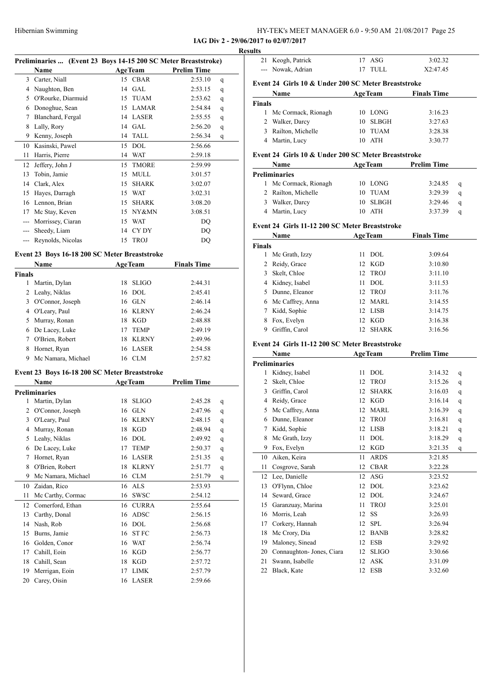| HY-TEK's MEET MANAGER 6.0 - 9:50 AM 21/08/2017 Page 25 |  |
|--------------------------------------------------------|--|
|--------------------------------------------------------|--|

**IAG Div 2 - 29/06/2017 to 02/07/2017**

|               | Preliminaries  (Event 23 Boys 14-15 200 SC Meter Breaststroke) |    |                |                    |             |
|---------------|----------------------------------------------------------------|----|----------------|--------------------|-------------|
|               | Name                                                           |    | <b>AgeTeam</b> | <b>Prelim Time</b> |             |
|               | 3 Carter, Niall                                                |    | 15 CBAR        | 2:53.10            | q           |
|               | 4 Naughton, Ben                                                |    | 14 GAL         | 2:53.15            | q           |
|               | 5 O'Rourke, Diarmuid                                           |    | 15 TUAM        | 2:53.62            | q           |
|               | 6 Donoghue, Sean                                               |    | 15 LAMAR       | 2:54.84            | q           |
|               | 7 Blanchard, Fergal                                            |    | 14 LASER       | 2:55.55            | q           |
|               | 8 Lally, Rory                                                  |    | 14 GAL         | 2:56.20            | q           |
|               | 9 Kenny, Joseph                                                | 14 | TALL           | 2:56.34            | q           |
|               | 10 Kasinski, Pawel                                             | 15 | <b>DOL</b>     | 2:56.66            |             |
| 11            | Harris, Pierre                                                 |    | 14 WAT         | 2:59.18            |             |
|               | 12 Jeffery, John J                                             | 15 | <b>TMORE</b>   | 2:59.99            |             |
| 13            | Tobin, Jamie                                                   |    | 15 MULL        | 3:01.57            |             |
|               | 14 Clark, Alex                                                 |    | 15 SHARK       | 3:02.07            |             |
|               | 15 Hayes, Darragh                                              |    | 15 WAT         | 3:02.31            |             |
|               | 16 Lennon, Brian                                               |    | 15 SHARK       | 3:08.20            |             |
|               | 17 Mc Stay, Keven                                              |    | 15 NY&MN       | 3:08.51            |             |
|               |                                                                |    |                |                    |             |
|               | --- Morrissey, Ciaran                                          | 15 | WAT            | DQ                 |             |
|               | --- Sheedy, Liam                                               |    | 14 CYDY        | DQ                 |             |
|               | --- Reynolds, Nicolas                                          | 15 | <b>TROJ</b>    | DQ                 |             |
|               | Event 23 Boys 16-18 200 SC Meter Breaststroke                  |    |                |                    |             |
|               | Name                                                           |    | <b>AgeTeam</b> | <b>Finals Time</b> |             |
| <b>Finals</b> |                                                                |    |                |                    |             |
| 1             | Martin, Dylan                                                  | 18 | <b>SLIGO</b>   | 2:44.31            |             |
|               | 2 Leahy, Niklas                                                |    | 16 DOL         | 2:45.41            |             |
|               | 3 O'Connor, Joseph                                             |    | 16 GLN         | 2:46.14            |             |
|               | 4 O'Leary, Paul                                                |    | 16 KLRNY       | 2:46.24            |             |
|               | 5 Murray, Ronan                                                |    | 18 KGD         | 2:48.88            |             |
|               | 6 De Lacey, Luke                                               |    | 17 TEMP        | 2:49.19            |             |
|               | 7 O'Brien, Robert                                              | 18 | KLRNY          | 2:49.96            |             |
|               |                                                                | 16 | LASER          | 2:54.58            |             |
| 9             | 8 Hornet, Ryan<br>Mc Namara, Michael                           |    | 16 CLM         | 2:57.82            |             |
|               |                                                                |    |                |                    |             |
|               | Event 23 Boys 16-18 200 SC Meter Breaststroke                  |    |                |                    |             |
|               | Name                                                           |    | <b>AgeTeam</b> | <b>Prelim Time</b> |             |
|               | <b>Preliminaries</b>                                           |    |                |                    |             |
| 1             | Martin, Dylan                                                  | 18 | <b>SLIGO</b>   | 2:45.28            | q           |
| 2             | O'Connor, Joseph                                               | 16 | <b>GLN</b>     | 2:47.96            | q           |
| 3             | O'Leary, Paul                                                  |    | 16 KLRNY       | 2:48.15            | q           |
| 4             | Murray, Ronan                                                  | 18 | KGD            | 2:48.94            | q           |
| 5             | Leahy, Niklas                                                  | 16 | <b>DOL</b>     | 2:49.92            | q           |
| 6             | De Lacey, Luke                                                 | 17 | <b>TEMP</b>    | 2:50.37            | $\mathbf q$ |
| 7             | Hornet, Ryan                                                   | 16 | LASER          | 2:51.35            | $\mathbf q$ |
| 8             | O'Brien, Robert                                                | 18 | <b>KLRNY</b>   | 2:51.77            | q           |
| 9             | Mc Namara, Michael                                             | 16 | CLM            | 2:51.79            | q           |
|               | Zaidan, Rico                                                   | 16 | <b>ALS</b>     | 2:53.93            |             |
|               |                                                                | 16 | <b>SWSC</b>    | 2:54.12            |             |
| 10            |                                                                |    |                |                    |             |
| 11            | Mc Carthy, Cormac                                              |    |                |                    |             |
| 12            | Comerford, Ethan                                               | 16 | <b>CURRA</b>   | 2:55.64            |             |
| 13            | Carthy, Donal                                                  | 16 | <b>ADSC</b>    | 2:56.15            |             |
| 14            | Nash, Rob                                                      | 16 | DOL            | 2:56.68            |             |
| 15            | Burns, Jamie                                                   | 16 | <b>STFC</b>    | 2:56.73            |             |
| 16            | Golden, Conor                                                  | 16 | <b>WAT</b>     | 2:56.74            |             |
| 17            | Cahill, Eoin                                                   | 16 | KGD            | 2:56.77            |             |
| 18            | Cahill, Sean                                                   | 18 | KGD            | 2:57.72            |             |
| 19            | Merrigan, Eoin<br>Carey, Oisin                                 | 17 | <b>LIMK</b>    | 2:57.79            |             |

| esults |                   |         |          |  |  |  |
|--------|-------------------|---------|----------|--|--|--|
|        | 21 Keogh, Patrick | 17 ASG  | 3:02.32  |  |  |  |
|        | --- Nowak, Adrian | 17 TULL | X2:47.45 |  |  |  |

# **Event 24 Girls 10 & Under 200 SC Meter Breaststroke**

| <b>Name</b>             | <b>AgeTeam</b> | <b>Finals Time</b> |
|-------------------------|----------------|--------------------|
| Finals                  |                |                    |
| 1 Mc Cormack, Rionagh   | 10 LONG        | 3:16.23            |
| 2 Walker, Darcy         | 10 SLBGH       | 3:27.63            |
| Railton, Michelle<br>3. | TUAM<br>10     | 3:28.38            |
| 4 Martin, Lucy          | ATH<br>10      | 3:30.77            |

#### **Event 24 Girls 10 & Under 200 SC Meter Breaststroke**

| <b>Name</b> |                       | <b>AgeTeam</b> | Prelim Time |   |
|-------------|-----------------------|----------------|-------------|---|
|             | <b>Preliminaries</b>  |                |             |   |
|             | 1 Mc Cormack, Rionagh | 10 LONG        | 3:24.85     | q |
|             | 2 Railton, Michelle   | 10 TUAM        | 3:29.39     | a |
| 3.          | Walker, Darcy         | 10 SLBGH       | 3:29.46     | a |
|             | 4 Martin, Lucy        | 10 ATH         | 3:37.39     | a |

#### **Event 24 Girls 11-12 200 SC Meter Breaststroke**

|               | Name               |    | <b>AgeTeam</b> | <b>Finals Time</b> |  |
|---------------|--------------------|----|----------------|--------------------|--|
| <b>Finals</b> |                    |    |                |                    |  |
|               | Mc Grath, Izzy     |    | $11$ DOL       | 3:09.64            |  |
|               | 2 Reidy, Grace     |    | 12 KGD         | 3:10.80            |  |
| 3             | Skelt, Chloe       |    | 12 TROJ        | 3:11.10            |  |
|               | 4 Kidney, Isabel   | 11 | DOL.           | 3:11.53            |  |
| 5.            | Dunne, Eleanor     |    | 12 TROJ        | 3:11.76            |  |
|               | 6 Mc Caffrey, Anna |    | 12 MARL        | 3:14.55            |  |
|               | Kidd, Sophie       |    | 12 LISB        | 3:14.75            |  |
| 8             | Fox, Evelyn        |    | 12 KGD         | 3:16.38            |  |
|               | Griffin, Carol     | 12 | SHARK          | 3:16.56            |  |

#### **Event 24 Girls 11-12 200 SC Meter Breaststroke**

|    | Name                      | <b>AgeTeam</b> |              | <b>Prelim Time</b> |   |
|----|---------------------------|----------------|--------------|--------------------|---|
|    | <b>Preliminaries</b>      |                |              |                    |   |
| 1  | Kidney, Isabel            | 11             | <b>DOL</b>   | 3:14.32            | q |
| 2  | Skelt, Chloe              | 12             | <b>TROJ</b>  | 3:15.26            | q |
| 3  | Griffin, Carol            | 12             | <b>SHARK</b> | 3:16.03            | q |
| 4  | Reidy, Grace              | 12             | <b>KGD</b>   | 3:16.14            | q |
| 5  | Mc Caffrey, Anna          | 12             | <b>MARL</b>  | 3:16.39            | q |
| 6  | Dunne, Eleanor            | 12             | <b>TROJ</b>  | 3:16.81            | q |
| 7  | Kidd, Sophie              | 12             | <b>LISB</b>  | 3:18.21            | q |
| 8  | Mc Grath, Izzy            | 11             | <b>DOL</b>   | 3:18.29            | q |
| 9  | Fox, Evelyn               | 12             | <b>KGD</b>   | 3:21.35            | q |
| 10 | Aiken, Keira              | 11             | <b>ARDS</b>  | 3:21.85            |   |
| 11 | Cosgrove, Sarah           | 12             | <b>CBAR</b>  | 3:22.28            |   |
| 12 | Lee, Danielle             | 12             | <b>ASG</b>   | 3:23.52            |   |
| 13 | O'Flynn, Chloe            | 12             | <b>DOL</b>   | 3:23.62            |   |
| 14 | Seward, Grace             | 12             | <b>DOL</b>   | 3:24.67            |   |
| 15 | Garanzuay, Marina         | 11             | <b>TROJ</b>  | 3:25.01            |   |
| 16 | Morris, Leah              | 12             | <b>SS</b>    | 3:26.93            |   |
| 17 | Corkery, Hannah           | 12             | <b>SPL</b>   | 3:26.94            |   |
| 18 | Mc Crory, Dia             | 12             | <b>BANB</b>  | 3:28.82            |   |
| 19 | Maloney, Sinead           | 12             | <b>ESB</b>   | 3:29.92            |   |
| 20 | Connaughton- Jones, Ciara | 12             | <b>SLIGO</b> | 3:30.66            |   |
| 21 | Swann, Isabelle           | 12             | <b>ASK</b>   | 3:31.09            |   |
| 22 | Black, Kate               | 12             | <b>ESB</b>   | 3:32.60            |   |
|    |                           |                |              |                    |   |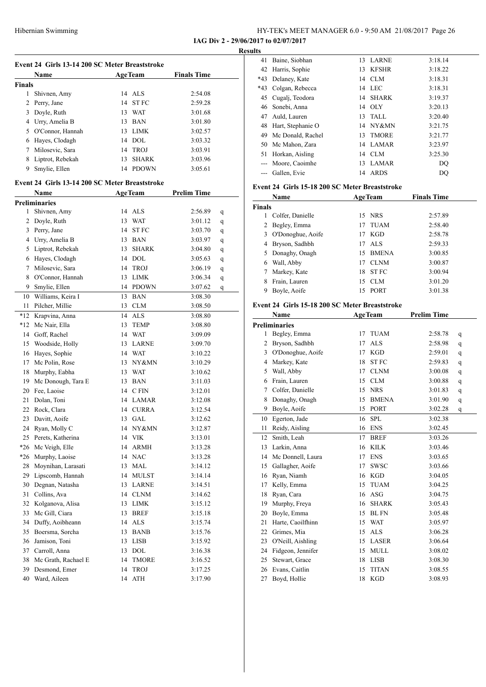| HY-TEK's MEET MANAGER 6.0 - 9:50 AM 21/08/2017 Page 26 |  |
|--------------------------------------------------------|--|
| IAG Div 2 - 29/06/2017 to 02/07/2017                   |  |

41 Baine, Siobhan 13 LARNE 3:18.14

**Results**

| Event 24 Girls 13-14 200 SC Meter Breaststroke |                                                |    |                      |                    |   |  |
|------------------------------------------------|------------------------------------------------|----|----------------------|--------------------|---|--|
|                                                | Name                                           |    | <b>AgeTeam</b>       | <b>Finals Time</b> |   |  |
| <b>Finals</b>                                  |                                                |    |                      |                    |   |  |
| $\mathbf{1}$                                   | Shivnen, Amy                                   |    | 14 ALS               | 2:54.08            |   |  |
| $\overline{2}$                                 | Perry, Jane                                    | 14 | <b>STFC</b>          | 2:59.28            |   |  |
| 3                                              | Doyle, Ruth                                    |    | 13 WAT               | 3:01.68            |   |  |
|                                                | 4 Urry, Amelia B                               |    | 13 BAN               | 3:01.80            |   |  |
|                                                | 5 O'Connor, Hannah                             |    | 13 LIMK              | 3:02.57            |   |  |
|                                                | 6 Hayes, Clodagh                               |    | 14 DOL               | 3:03.32            |   |  |
| 7                                              | Milosevic, Sara                                |    | 14 TROJ              | 3:03.91            |   |  |
|                                                | 8 Liptrot, Rebekah                             | 13 | <b>SHARK</b>         | 3:03.96            |   |  |
| 9                                              | Smylie, Ellen                                  |    | 14 PDOWN             | 3:05.61            |   |  |
|                                                |                                                |    |                      |                    |   |  |
|                                                | Event 24 Girls 13-14 200 SC Meter Breaststroke |    |                      |                    |   |  |
|                                                | Name                                           |    | <b>AgeTeam</b>       | <b>Prelim Time</b> |   |  |
|                                                | <b>Preliminaries</b>                           |    |                      |                    |   |  |
| 1.                                             | Shivnen, Amy                                   |    | 14 ALS               | 2:56.89            | q |  |
|                                                | 2 Doyle, Ruth                                  | 13 | <b>WAT</b>           | 3:01.12            | q |  |
|                                                | 3 Perry, Jane                                  | 14 | <b>STFC</b>          | 3:03.70            | q |  |
|                                                | 4 Urry, Amelia B                               |    | 13 BAN               | 3:03.97            | q |  |
|                                                | 5 Liptrot, Rebekah                             | 13 | <b>SHARK</b>         | 3:04.80            | q |  |
|                                                | 6 Hayes, Clodagh                               |    | 14 DOL               | 3:05.63            | q |  |
|                                                | 7 Milosevic, Sara                              |    | 14 TROJ              | 3:06.19            | q |  |
|                                                | 8 O'Connor, Hannah                             |    | 13 LIMK              | 3:06.34            | q |  |
| 9                                              | Smylie, Ellen                                  |    | 14 PDOWN             | 3:07.62            | q |  |
| 10                                             | Williams, Keira I                              |    | 13 BAN               | 3:08.30            |   |  |
| 11                                             | Pilcher, Millie                                |    | 13 CLM               | 3:08.50            |   |  |
| *12                                            | Krapvina, Anna                                 |    | 14 ALS               | 3:08.80            |   |  |
|                                                | *12 Mc Nair, Ella                              | 13 | <b>TEMP</b>          | 3:08.80            |   |  |
|                                                | 14 Goff, Rachel                                |    | 14 WAT               | 3:09.09            |   |  |
|                                                | 15 Woodside, Holly                             |    | 13 LARNE             | 3:09.70            |   |  |
|                                                | 16 Hayes, Sophie                               |    | 14 WAT               | 3:10.22            |   |  |
|                                                | 17 Mc Polin, Rose                              |    | 13 NY&MN             | 3:10.29            |   |  |
|                                                | 18 Murphy, Eabha                               |    | 13 WAT               | 3:10.62            |   |  |
|                                                | 19 Mc Donough, Tara E                          |    | 13 BAN               | 3:11.03            |   |  |
|                                                | 20 Fee, Laoise                                 |    | 14 CFIN              | 3:12.01            |   |  |
| 21                                             | Dolan, Toni                                    |    | 14 LAMAR             | 3:12.08            |   |  |
| 22                                             | Rock, Clara                                    |    | 14 CURRA             | 3:12.54            |   |  |
| 23                                             | Davitt, Aoife                                  | 13 | <b>GAL</b>           | 3:12.62            |   |  |
|                                                | 24 Ryan, Molly C                               |    | 14 NY&MN             | 3:12.87            |   |  |
| 25                                             | Perets, Katherina                              |    | 14 VIK               | 3:13.01            |   |  |
| $*26$                                          | Mc Veigh, Elle                                 | 14 | <b>ARMH</b>          | 3:13.28            |   |  |
| $*26$                                          | Murphy, Laoise                                 |    | 14 NAC               | 3:13.28            |   |  |
| 28                                             | Moynihan, Larasati                             | 13 | MAL                  | 3:14.12            |   |  |
| 29                                             | Lipscomb, Hannah                               | 14 | <b>MULST</b>         | 3:14.14            |   |  |
| 30                                             | Degnan, Natasha                                | 13 | <b>LARNE</b>         | 3:14.51            |   |  |
| 31                                             | Collins, Ava                                   | 14 | CLNM                 | 3:14.62            |   |  |
| 32                                             | Kolganova, Alisa                               | 13 | <b>LIMK</b>          | 3:15.12            |   |  |
| 33                                             | Mc Gill, Ciara                                 | 13 | <b>BREF</b>          | 3:15.18            |   |  |
| 34                                             | Duffy, Aoibheann                               | 14 | <b>ALS</b>           | 3:15.74            |   |  |
| 35                                             | Boersma, Sorcha                                |    | 13 BANB              | 3:15.76            |   |  |
| 36                                             | Jamison, Toni                                  | 13 | LISB                 | 3:15.92            |   |  |
|                                                | 37 Carroll, Anna                               | 13 | DOL                  | 3:16.38            |   |  |
| 38                                             | Mc Grath, Rachael E                            | 14 | <b>TMORE</b>         | 3:16.52            |   |  |
| 39                                             | Desmond, Emer                                  | 14 | TROJ                 | 3:17.25            |   |  |
|                                                | 40 Ward, Aileen                                | 14 | $\operatorname{ATH}$ | 3:17.90            |   |  |

| 42     | Harris, Sophie                                 |    | 13 KFSHR       | 3:18.22            |   |
|--------|------------------------------------------------|----|----------------|--------------------|---|
| *43    | Delaney, Kate                                  |    | 14 CLM         | 3:18.31            |   |
| *43    | Colgan, Rebecca                                |    | 14 LEC         | 3:18.31            |   |
|        | 45 Cugalj, Teodora                             |    | 14 SHARK       | 3:19.37            |   |
|        | 46 Sonebi, Anna                                |    | 14 OLY         | 3:20.13            |   |
|        | 47 Auld, Lauren                                |    | 13 TALL        | 3:20.40            |   |
| 48     | Hart, Stephanie O                              |    | 14 NY&MN       | 3:21.75            |   |
|        | 49 Mc Donald, Rachel                           |    | 13 TMORE       | 3:21.77            |   |
| 50     | Mc Mahon, Zara                                 |    | 14 LAMAR       | 3:23.97            |   |
| 51     | Horkan, Aisling                                |    | 14 CLM         | 3:25.30            |   |
|        | --- Moore, Caoimhe                             |    | 13 LAMAR       | DQ                 |   |
|        | --- Gallen, Evie                               |    | 14 ARDS        | DQ                 |   |
|        | Event 24 Girls 15-18 200 SC Meter Breaststroke |    |                |                    |   |
|        |                                                |    |                |                    |   |
|        | Name                                           |    | <b>AgeTeam</b> | <b>Finals Time</b> |   |
| Finals |                                                |    |                |                    |   |
|        | 1 Colfer, Danielle                             |    | 15 NRS         | 2:57.89            |   |
| 2      | Begley, Emma                                   |    | 17 TUAM        | 2:58.40            |   |
| 3      | O'Donoghue, Aoife                              |    | 17 KGD         | 2:58.78            |   |
| 4      | Bryson, Sadhbh                                 |    | 17 ALS         | 2:59.33            |   |
| 5      | Donaghy, Onagh                                 |    | 15 BMENA       | 3:00.85            |   |
| 6      | Wall, Abby                                     |    | 17 CLNM        | 3:00.87            |   |
| $\tau$ | Markey, Kate                                   |    | 18 STFC        | 3:00.94            |   |
| 8      | Frain, Lauren                                  |    | 15 CLM         | 3:01.20            |   |
| 9      | Boyle, Aoife                                   | 15 | PORT           | 3:01.38            |   |
|        | Event 24 Girls 15-18 200 SC Meter Breaststroke |    |                |                    |   |
|        | Name                                           |    | <b>AgeTeam</b> | <b>Prelim Time</b> |   |
|        |                                                |    |                |                    |   |
|        | <b>Preliminaries</b>                           |    |                |                    |   |
| 1      | Begley, Emma                                   |    | 17 TUAM        | 2:58.78            | q |
| 2      | Bryson, Sadhbh                                 |    | 17 ALS         | 2:58.98            | q |
| 3      | O'Donoghue, Aoife                              |    | 17 KGD         | 2:59.01            | q |
| 4      | Markey, Kate                                   | 18 | <b>STFC</b>    | 2:59.83            | q |
| 5      | Wall, Abby                                     |    | 17 CLNM        | 3:00.08            | q |
|        | 6 Frain, Lauren                                |    | 15 CLM         | 3:00.88            | q |
|        | 7 Colfer, Danielle                             |    | 15 NRS         | 3:01.83            | q |
| 8      | Donaghy, Onagh                                 |    | 15 BMENA       | 3:01.90            | q |
| 9      | Boyle, Aoife                                   |    | 15 PORT        | 3:02.28            | q |
| 10     | Egerton, Jade                                  | 16 | <b>SPL</b>     | 3:02.38            |   |
| 11     | Reidy, Aisling                                 | 16 | <b>ENS</b>     | 3:02.45            |   |
| 12     | Smith, Leah                                    | 17 | <b>BREF</b>    | 3:03.26            |   |
| 13     | Larkin, Anna                                   | 16 | KILK           | 3:03.46            |   |
| 14     | Mc Donnell, Laura                              | 17 | <b>ENS</b>     | 3:03.65            |   |
| 15     | Gallagher, Aoife                               | 17 | <b>SWSC</b>    | 3:03.66            |   |
| 16     | Ryan, Niamh                                    | 16 | KGD            | 3:04.05            |   |
| 17     | Kelly, Emma                                    | 15 | <b>TUAM</b>    | 3:04.25            |   |
| 18     | Ryan, Cara                                     | 16 | ASG            | 3:04.75            |   |
| 19     | Murphy, Freya                                  | 16 | <b>SHARK</b>   | 3:05.43            |   |
| 20     | Boyle, Emma                                    | 15 | BL FN          | 3:05.48            |   |
| 21     | Harte, Caoilfhinn                              | 15 | <b>WAT</b>     | 3:05.97            |   |
| 22     | Grimes, Mia                                    | 15 | ALS            | 3:06.28            |   |
| 23     | O'Neill, Aishling                              |    | 15 LASER       | 3:06.64            |   |
| 24     | Fidgeon, Jennifer                              | 15 | MULL           | 3:08.02            |   |
| 25     | Stewart, Grace                                 | 18 | <b>LISB</b>    | 3:08.30            |   |
| 26     | Evans, Caitlin                                 | 15 | <b>TITAN</b>   | 3:08.55            |   |
| 27     | Boyd, Hollie                                   | 18 | <b>KGD</b>     | 3:08.93            |   |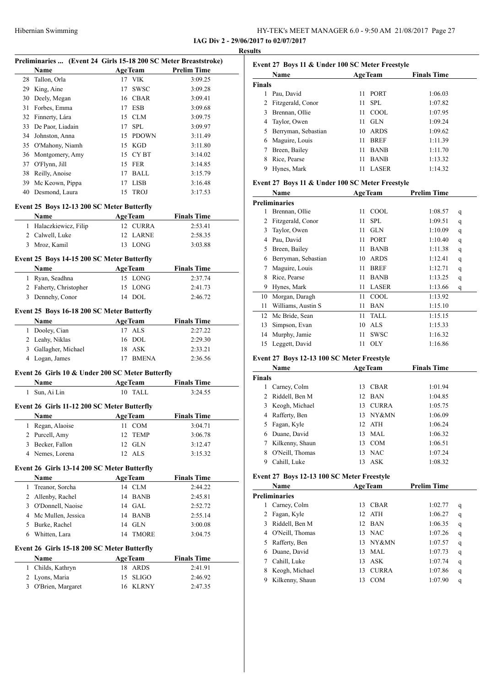| HY-TEK's MEET MANAGER 6.0 - 9:50 AM 21/08/2017 Page 27 |  |
|--------------------------------------------------------|--|
| IAG Div 2 - 29/06/2017 to 02/07/2017                   |  |

**Results**

| Preliminaries  (Event 24 Girls 15-18 200 SC Meter Breaststroke) |                                                  |    |                           |                               |  |
|-----------------------------------------------------------------|--------------------------------------------------|----|---------------------------|-------------------------------|--|
|                                                                 | Name                                             |    | <b>AgeTeam</b>            | <b>Prelim Time</b>            |  |
| 28                                                              | Tallon, Orla                                     |    | 17 VIK                    | 3:09.25                       |  |
|                                                                 | 29 King, Aine                                    | 17 | <b>SWSC</b>               | 3:09.28                       |  |
|                                                                 | 30 Deely, Megan                                  |    | 16 CBAR                   | 3:09.41                       |  |
| 31                                                              | Forbes, Emma                                     |    | 17 ESB                    | 3:09.68                       |  |
|                                                                 | 32 Finnerty, Lára                                |    | 15 CLM                    | 3:09.75                       |  |
| 33                                                              | De Paor, Liadain                                 |    | 17 SPL                    | 3:09.97                       |  |
|                                                                 | 34 Johnston, Anna                                |    | 15 PDOWN                  | 3:11.49                       |  |
|                                                                 | 35 O'Mahony, Niamh                               |    | 15 KGD                    | 3:11.80                       |  |
|                                                                 | 36 Montgomery, Amy                               |    | 15 CYBT                   | 3:14.02                       |  |
|                                                                 | 37 O'Flynn, Jill                                 |    | 15 FER                    | 3:14.85                       |  |
|                                                                 | 38 Reilly, Anoise                                |    | 17 BALL                   | 3:15.79                       |  |
|                                                                 | 39 Mc Keown, Pippa                               |    | 17 LISB                   | 3:16.48                       |  |
|                                                                 | 40 Desmond, Laura                                | 15 | <b>TROJ</b>               | 3:17.53                       |  |
|                                                                 | Event 25 Boys 12-13 200 SC Meter Butterfly       |    |                           |                               |  |
|                                                                 | <b>Name</b>                                      |    | <b>AgeTeam</b>            | <b>Finals Time</b>            |  |
|                                                                 | 1 Halaczkiewicz, Filip                           |    | 12 CURRA                  | 2:53.41                       |  |
|                                                                 | 2 Calwell, Luke                                  | 12 | LARNE                     | 2:58.35                       |  |
|                                                                 | 3 Mroz, Kamil                                    |    | 13 LONG                   | 3:03.88                       |  |
|                                                                 | Event 25 Boys 14-15 200 SC Meter Butterfly       |    |                           |                               |  |
|                                                                 | Name                                             |    | <b>AgeTeam</b>            | <b>Finals Time</b>            |  |
|                                                                 | 1 Ryan, Seadhna                                  |    | 15 LONG                   | 2:37.74                       |  |
|                                                                 | 2 Faherty, Christopher                           |    | 15 LONG                   | 2:41.73                       |  |
| 3                                                               | Dennehy, Conor                                   |    | 14 DOL                    | 2:46.72                       |  |
|                                                                 |                                                  |    |                           |                               |  |
|                                                                 | Event 25 Boys 16-18 200 SC Meter Butterfly       |    |                           |                               |  |
|                                                                 | Name                                             |    | <b>AgeTeam</b>            | <b>Finals Time</b>            |  |
|                                                                 | 1 Dooley, Cian                                   |    | 17 ALS<br>16 DOL          | 2:27.22<br>2:29.30            |  |
|                                                                 | 2 Leahy, Niklas<br>3 Gallagher, Michael          |    | 18 ASK                    | 2:33.21                       |  |
| 4                                                               | Logan, James                                     |    | 17 BMENA                  | 2:36.56                       |  |
|                                                                 |                                                  |    |                           |                               |  |
|                                                                 | Event 26 Girls 10 & Under 200 SC Meter Butterfly |    |                           |                               |  |
| 1                                                               | Name<br>Sun, Ai Lin                              |    | <b>AgeTeam</b><br>10 TALL | <b>Finals Time</b><br>3:24.55 |  |
|                                                                 |                                                  |    |                           |                               |  |
|                                                                 | Event 26 Girls 11-12 200 SC Meter Butterfly      |    |                           |                               |  |
|                                                                 | Name                                             |    | AgeTeam                   | <b>Finals Time</b>            |  |
| 1                                                               | Regan, Alaoise                                   |    | 11 COM                    | 3:04.71                       |  |
| $\overline{c}$                                                  | Purcell, Amy                                     | 12 | <b>TEMP</b>               | 3:06.78                       |  |
| 3                                                               | Becker, Fallon                                   | 12 | <b>GLN</b>                | 3:12.47                       |  |
|                                                                 | 4 Nemes, Lorena                                  | 12 | ALS                       | 3:15.32                       |  |
|                                                                 | Event 26 Girls 13-14 200 SC Meter Butterfly      |    |                           |                               |  |
|                                                                 | Name                                             |    | <b>AgeTeam</b>            | <b>Finals Time</b>            |  |
| 1                                                               | Treanor, Sorcha                                  |    | 14 CLM                    | 2:44.22                       |  |
| 2                                                               | Allenby, Rachel                                  |    | 14 BANB                   | 2:45.81                       |  |
|                                                                 | 3 O'Donnell, Naoise                              |    | 14 GAL                    | 2:52.72                       |  |
|                                                                 | 4 Mc Mullen, Jessica                             | 14 | <b>BANB</b>               | 2:55.14                       |  |
|                                                                 | 5 Burke, Rachel                                  | 14 | <b>GLN</b>                | 3:00.08                       |  |
| 6                                                               | Whitten, Lara                                    | 14 | <b>TMORE</b>              | 3:04.75                       |  |
|                                                                 | Event 26 Girls 15-18 200 SC Meter Butterfly      |    |                           |                               |  |
|                                                                 | Name                                             |    | <b>AgeTeam</b>            | <b>Finals Time</b>            |  |
| 1                                                               | Childs, Kathryn                                  | 18 | <b>ARDS</b>               | 2:41.91                       |  |
|                                                                 | 2 Lyons, Maria                                   | 15 | <b>SLIGO</b>              | 2:46.92                       |  |
|                                                                 | 3 O'Brien, Margaret                              | 16 | <b>KLRNY</b>              | 2:47.35                       |  |
|                                                                 |                                                  |    |                           |                               |  |

|               | Name                |    | <b>AgeTeam</b> | <b>Finals Time</b> |
|---------------|---------------------|----|----------------|--------------------|
| <b>Finals</b> |                     |    |                |                    |
|               | Pau, David          |    | 11 PORT        | 1:06.03            |
|               | Fitzgerald, Conor   |    | $11$ SPL       | 1:07.82            |
|               | Brennan, Ollie      |    | $11$ COOL      | 1:07.95            |
| 4             | Taylor, Owen        | 11 | <b>GLN</b>     | 1:09.24            |
|               | Berryman, Sebastian | 10 | ARDS           | 1:09.62            |
| 6             | Maguire, Louis      | 11 | <b>BREF</b>    | 1:11.39            |
|               | Breen, Bailey       | 11 | <b>BANB</b>    | 1:11.70            |
| 8             | Rice, Pearse        | 11 | <b>BANB</b>    | 1:13.32            |
|               | Hynes, Mark         | 11 | <b>LASER</b>   | 1:14.32            |
|               |                     |    |                |                    |

#### **Event 27 Boys 11 & Under 100 SC Meter Freestyle**

|    | Name                 | <b>AgeTeam</b> |              | <b>Prelim Time</b> |   |
|----|----------------------|----------------|--------------|--------------------|---|
|    | <b>Preliminaries</b> |                |              |                    |   |
| 1  | Brennan, Ollie       | 11             | COOL         | 1:08.57            | q |
| 2  | Fitzgerald, Conor    | 11             | <b>SPL</b>   | 1:09.51            | q |
| 3  | Taylor, Owen         | 11             | <b>GLN</b>   | 1:10.09            | q |
| 4  | Pau, David           | 11             | PORT         | 1:10.40            | q |
| 5  | Breen, Bailey        | 11             | <b>BANB</b>  | 1:11.38            | q |
| 6  | Berryman, Sebastian  | 10             | <b>ARDS</b>  | 1:12.41            | q |
| 7  | Maguire, Louis       | 11             | <b>BREF</b>  | 1:12.71            | q |
| 8  | Rice, Pearse         | 11             | <b>BANB</b>  | 1:13.25            | q |
| 9  | Hynes, Mark          | 11             | <b>LASER</b> | 1:13.66            | q |
| 10 | Morgan, Daragh       | 11             | COOL         | 1:13.92            |   |
| 11 | Williams, Austin S   | 11             | <b>BAN</b>   | 1:15.10            |   |
| 12 | Mc Bride, Sean       | 11             | TALL         | 1:15.15            |   |
| 13 | Simpson, Evan        | 10             | <b>ALS</b>   | 1:15.33            |   |
| 14 | Murphy, Jamie        | 11             | <b>SWSC</b>  | 1:16.32            |   |
| 15 | Leggett, David       | 11             | OLY          | 1:16.86            |   |
|    |                      |                |              |                    |   |

#### **Event 27 Boys 12-13 100 SC Meter Freestyle**

| Name          |                  |    | <b>AgeTeam</b> | <b>Finals Time</b> |  |
|---------------|------------------|----|----------------|--------------------|--|
| <b>Finals</b> |                  |    |                |                    |  |
| 1             | Carney, Colm     | 13 | CBAR           | 1:01.94            |  |
|               | 2 Riddell, Ben M |    | 12 BAN         | 1:04.85            |  |
| 3.            | Keogh, Michael   | 13 | <b>CURRA</b>   | 1:05.75            |  |
| 4             | Rafferty, Ben    | 13 | NY&MN          | 1:06.09            |  |
| 5.            | Fagan, Kyle      |    | 12 ATH         | 1:06.24            |  |
| 6.            | Duane, David     | 13 | MAL.           | 1:06.32            |  |
| 7             | Kilkenny, Shaun  | 13 | <b>COM</b>     | 1:06.51            |  |
| 8             | O'Neill, Thomas  | 13 | <b>NAC</b>     | 1:07.24            |  |
| 9             | Cahill, Luke     | 13 | ASK            | 1:08.32            |  |

#### **Event 27 Boys 12-13 100 SC Meter Freestyle**

|    | <b>Name</b>          | <b>AgeTeam</b> |              | <b>Prelim Time</b> |   |
|----|----------------------|----------------|--------------|--------------------|---|
|    | <b>Preliminaries</b> |                |              |                    |   |
| 1  | Carney, Colm         | 13             | <b>CBAR</b>  | 1:02.77            | q |
| 2  | Fagan, Kyle          |                | $12$ ATH     | 1:06.27            | q |
| 3  | Riddell, Ben M       |                | 12 BAN       | 1:06.35            | q |
| 4  | O'Neill, Thomas      |                | 13 NAC       | 1:07.26            | q |
| 5. | Rafferty, Ben        |                | 13 NY&MN     | 1:07.57            | q |
| 6  | Duane, David         | 13             | MAL.         | 1:07.73            | q |
|    | Cahill, Luke         | 13             | ASK          | 1:07.74            | q |
| 8  | Keogh, Michael       | 13             | <b>CURRA</b> | 1:07.86            | q |
| 9  | Kilkenny, Shaun      | 13             | COM          | 1:07.90            | q |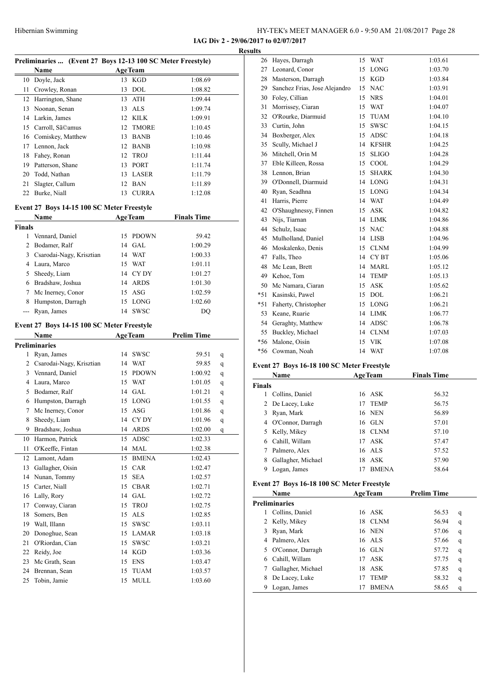**IAG Div 2 - 29/06/2017 to 02/07/2017**

|               |                                                             |    |                      |                    | <b>Results</b> |
|---------------|-------------------------------------------------------------|----|----------------------|--------------------|----------------|
|               | Preliminaries  (Event 27 Boys 12-13 100 SC Meter Freestyle) |    |                      |                    |                |
|               | Name                                                        |    | <b>AgeTeam</b>       |                    |                |
|               | 10 Doyle, Jack                                              |    | 13 KGD               | 1:08.69            |                |
|               | 11 Crowley, Ronan                                           |    | 13 DOL               | 1:08.82            |                |
|               | 12 Harrington, Shane                                        |    | 13 ATH               | 1:09.44            |                |
|               | 13 Noonan, Senan                                            |    | 13 ALS               | 1:09.74            |                |
|               | 14 Larkin, James                                            |    | 12 KILK              | 1:09.91            |                |
|               | 15 Carroll, Sã©amus                                         |    | 12 TMORE             | 1:10.45            |                |
|               | 16 Comiskey, Matthew                                        |    | 13 BANB              | 1:10.46            |                |
|               | 17 Lennon, Jack                                             |    | 12 BANB              | 1:10.98            |                |
|               | 18 Fahey, Ronan                                             | 12 | TROJ<br>13 PORT      | 1:11.44            |                |
|               | 19 Patterson, Shane                                         |    |                      | 1:11.74            |                |
|               | 20 Todd, Nathan                                             |    | 13 LASER             | 1:11.79            |                |
|               | 21 Slagter, Callum                                          |    | 12 BAN               | 1:11.89            |                |
|               | 22 Burke, Niall                                             |    | 13 CURRA             | 1:12.08            |                |
|               | Event 27 Boys 14-15 100 SC Meter Freestyle                  |    |                      |                    |                |
|               | Name                                                        |    | <b>AgeTeam</b>       | <b>Finals Time</b> |                |
| Finals        |                                                             |    |                      |                    |                |
|               | 1 Vennard, Daniel                                           |    | 15 PDOWN             | 59.42              |                |
|               | 2 Bodamer, Ralf                                             |    | 14 GAL               | 1:00.29            |                |
|               | 3 Csarodai-Nagy, Krisztian                                  |    | 14 WAT               | 1:00.33            |                |
|               | 4 Laura, Marco                                              |    | 15 WAT               | 1:01.11            |                |
|               | 5 Sheedy, Liam                                              |    | 14 CYDY              | 1:01.27            |                |
|               | 6 Bradshaw, Joshua                                          |    | 14 ARDS              | 1:01.30            |                |
|               | 7 Mc Inerney, Conor                                         |    | 15 ASG               | 1:02.59            |                |
|               | 8 Humpston, Darragh                                         |    | 15 LONG              | 1:02.60            |                |
| $\frac{1}{2}$ | Ryan, James                                                 |    | 14 SWSC              | DQ                 |                |
|               | Event 27 Boys 14-15 100 SC Meter Freestyle                  |    |                      |                    |                |
|               | Name                                                        |    | <b>AgeTeam</b>       | <b>Prelim Time</b> |                |
|               | Preliminaries                                               |    |                      |                    |                |
|               | 1 Ryan, James                                               |    | 14 SWSC              | 59.51              | q              |
|               | 2 Csarodai-Nagy, Krisztian                                  |    | 14 WAT               | 59.85              | q<br>Ev        |
|               | 3 Vennard, Daniel                                           |    | 15 PDOWN             | 1:00.92            | q              |
|               | 4 Laura, Marco                                              |    | 15 WAT               | 1:01.05            | q              |
|               | 5 Bodamer, Ralf                                             |    | 14 GAL               | 1:01.21            | q              |
|               | 6 Humpston, Darragh                                         |    | 15 LONG              | 1:01.55            | q              |
|               | 7 Mc Inerney, Conor                                         |    | 15 ASG               | 1:01.86            | $\mathbf q$    |
| 8             | Sheedy, Liam                                                | 14 | CY DY                | 1:01.96            | q              |
| 9.            | Bradshaw, Joshua                                            | 14 | <b>ARDS</b>          | 1:02.00            | q              |
| 10            | Harmon, Patrick                                             | 15 | ADSC                 | 1:02.33            |                |
| 11            | O'Keeffe, Fintan                                            | 14 | MAL                  | 1:02.38            |                |
| 12            | Lamont, Adam                                                | 15 | <b>BMENA</b>         | 1:02.43            |                |
| 13            | Gallagher, Oisin                                            | 15 | CAR                  | 1:02.47            |                |
| 14            | Nunan, Tommy                                                | 15 | <b>SEA</b>           | 1:02.57            |                |
| 15            | Carter, Niall                                               | 15 | <b>CBAR</b>          | 1:02.71            |                |
| 16            | Lally, Rory                                                 | 14 | $\operatorname{GAL}$ | 1:02.72            |                |
| 17            | Conway, Ciaran                                              | 15 | TROJ                 | 1:02.75            |                |
| 18            | Somers, Ben                                                 | 15 | <b>ALS</b>           | 1:02.85            |                |
| 19            | Wall, Illann                                                | 15 | SWSC                 | 1:03.11            |                |
| 20            | Donoghue, Sean                                              | 15 | LAMAR                | 1:03.18            |                |
| 21            | O'Riordan, Cian                                             | 15 | <b>SWSC</b>          | 1:03.21            |                |
| 22            | Reidy, Joe                                                  | 14 | KGD                  | 1:03.36            |                |
| 23            | Mc Grath, Sean                                              | 15 | <b>ENS</b>           | 1:03.47            |                |
| 24            | Brennan, Sean                                               | 15 | TUAM                 | 1:03.57            |                |
| 25            | Tobin, Jamie                                                | 15 | MULL                 | 1:03.60            |                |

| IJ    |                               |    |                  |         |
|-------|-------------------------------|----|------------------|---------|
| 26    | Hayes, Darragh                | 15 | <b>WAT</b>       | 1:03.61 |
| 27    | Leonard, Conor                | 15 | LONG             | 1:03.70 |
| 28    | Masterson, Darragh            | 15 | <b>KGD</b>       | 1:03.84 |
| 29    | Sanchez Frias, Jose Alejandro | 15 | <b>NAC</b>       | 1:03.91 |
| 30    | Foley, Cillian                | 15 | <b>NRS</b>       | 1:04.01 |
| 31    | Morrissey, Ciaran             | 15 | <b>WAT</b>       | 1:04.07 |
|       | 32 O'Rourke, Diarmuid         | 15 | TUAM             | 1:04.10 |
| 33    | Curtin, John                  | 15 | <b>SWSC</b>      | 1:04.15 |
| 34    | Boxberger, Alex               | 15 | ADSC             | 1:04.18 |
| 35    | Scully, Michael J             | 14 | <b>KFSHR</b>     | 1:04.25 |
| 36    | Mitchell, Orin M              | 15 | SLIGO            | 1:04.28 |
| 37    | Eble Killeen, Rossa           | 15 | COOL             | 1:04.29 |
|       | 38 Lennon, Brian              | 15 | <b>SHARK</b>     | 1:04.30 |
|       | 39 O'Donnell, Diarmuid        | 14 | LONG             | 1:04.31 |
| 40    | Ryan, Seadhna                 | 15 | <b>LONG</b>      | 1:04.34 |
| 41    | Harris, Pierre                | 14 | <b>WAT</b>       | 1:04.49 |
|       | 42 O'Shaughnessy, Finnen      | 15 | <b>ASK</b>       | 1:04.82 |
| 43    | Nijs, Tiarnan                 | 14 | LIMK             | 1:04.86 |
| 44    | Schulz, Isaac                 | 15 | <b>NAC</b>       | 1:04.88 |
| 45    | Mulholland, Daniel            | 14 | LISB             | 1:04.96 |
| 46    | Moskalenko, Denis             | 15 | <b>CLNM</b>      | 1:04.99 |
| 47    | Falls, Theo                   | 14 | CY <sub>BT</sub> | 1:05.06 |
| 48    | Mc Lean, Brett                | 14 | MARL             | 1:05.12 |
|       | 49 Kehoe, Tom                 | 14 | TEMP             | 1:05.13 |
| 50    | Mc Namara, Ciaran             | 15 | <b>ASK</b>       | 1:05.62 |
|       | *51 Kasinski, Pawel           | 15 | <b>DOL</b>       | 1:06.21 |
|       | *51 Faherty, Christopher      | 15 | LONG             | 1:06.21 |
|       | 53 Keane, Ruarie              | 14 | LIMK             | 1:06.77 |
| 54    | Geraghty, Matthew             | 14 | ADSC             | 1:06.78 |
|       | 55 Buckley, Michael           | 14 | <b>CLNM</b>      | 1:07.03 |
| $*56$ | Malone, Oisín                 | 15 | VIK              | 1:07.08 |
| $*56$ | Cowman, Noah                  | 14 | WAT              | 1:07.08 |
|       |                               |    |                  |         |

#### **Event 27 Boys 16-18 100 SC Meter Freestyle**

|               | Name               |    | <b>AgeTeam</b> | <b>Finals Time</b> |
|---------------|--------------------|----|----------------|--------------------|
| <b>Finals</b> |                    |    |                |                    |
|               | Collins, Daniel    |    | 16 ASK         | 56.32              |
|               | 2 De Lacey, Luke   |    | 17 TEMP        | 56.75              |
| 3             | Ryan, Mark         |    | 16 NEN         | 56.89              |
| 4             | O'Connor, Darragh  |    | $16$ GLN       | 57.01              |
|               | 5 Kelly, Mikey     | 18 | CLNM           | 57.10              |
| 6.            | Cahill, Willam     |    | 17 ASK         | 57.47              |
|               | Palmero, Alex      |    | 16 ALS         | 57.52              |
| 8             | Gallagher, Michael | 18 | ASK            | 57.90              |
|               | Logan, James       | 17 | <b>BMENA</b>   | 58.64              |
|               |                    |    |                |                    |

#### **Event 27 Boys 16-18 100 SC Meter Freestyle**

|    | Name                 | <b>AgeTeam</b>     | <b>Prelim Time</b> |
|----|----------------------|--------------------|--------------------|
|    | <b>Preliminaries</b> |                    |                    |
|    | Collins, Daniel      | 16 ASK             | 56.53<br>q         |
|    | 2 Kelly, Mikey       | <b>CLNM</b><br>18  | 56.94<br>q         |
| 3. | Ryan, Mark           | 16 NEN             | 57.06<br>q         |
| 4  | Palmero, Alex        | 16 ALS             | 57.66<br>q         |
| 5. | O'Connor, Darragh    | $16$ GLN           | 57.72<br>q         |
| 6  | Cahill, Willam       | ASK<br>17          | 57.75<br>q         |
|    | Gallagher, Michael   | 18<br>ASK          | 57.85<br>q         |
| 8  | De Lacey, Luke       | <b>TEMP</b>        | 58.32<br>q         |
|    | Logan, James         | <b>BMENA</b><br>17 | 58.65<br>q         |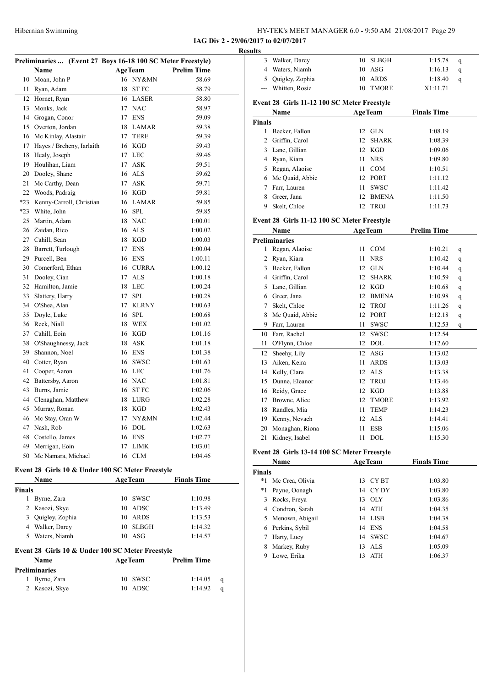| HY-TEK's MEET MANAGER 6.0 - 9:50 AM 21/08/2017 Page 29 |
|--------------------------------------------------------|
|--------------------------------------------------------|

**IAG Div 2 - 29/06/2017 to 02/07/2017**

|               |                                                             |    |                   |                    | <b>Results</b> |
|---------------|-------------------------------------------------------------|----|-------------------|--------------------|----------------|
|               | Preliminaries  (Event 27 Boys 16-18 100 SC Meter Freestyle) |    |                   |                    |                |
|               | Name                                                        |    | <b>AgeTeam</b>    | <b>Prelim Time</b> |                |
|               | 10 Moan, John P                                             | 18 | 16 NY&MN<br>ST FC | 58.69              |                |
| 11            | Ryan, Adam                                                  |    | 16 LASER          | 58.79              |                |
| 12            | Hornet, Ryan                                                |    |                   | 58.80              | Eve            |
| 13            | Monks, Jack                                                 |    | 17 NAC            | 58.97              |                |
| 14            | Grogan, Conor                                               | 17 | <b>ENS</b>        | 59.09              | Fin            |
|               | 15 Overton, Jordan                                          |    | 18 LAMAR          | 59.38              |                |
|               | 16 Mc Kinlay, Alastair                                      | 17 | <b>TERE</b>       | 59.39              |                |
| 17            | Hayes / Breheny, Iarlaith                                   |    | 16 KGD            | 59.43              |                |
| 18            | Healy, Joseph                                               |    | 17 LEC            | 59.46              |                |
| 19            | Houlihan, Liam                                              | 17 | <b>ASK</b>        | 59.51              |                |
|               | 20 Dooley, Shane                                            |    | 16 ALS            | 59.62              |                |
| 21            | Mc Carthy, Dean                                             | 17 | ASK               | 59.71              |                |
|               | 22 Woods, Padraig                                           |    | 16 KGD            | 59.81              |                |
|               | *23 Kenny-Carroll, Christian                                |    | 16 LAMAR          | 59.85              |                |
| *23           | White, John                                                 |    | 16 SPL            | 59.85              |                |
| 25            | Martin, Adam                                                |    | 18 NAC            | 1:00.01            | Eve            |
|               | 26 Zaidan, Rico                                             |    | 16 ALS            | 1:00.02            |                |
|               | 27 Cahill, Sean                                             |    | 18 KGD            | 1:00.03            | Pre            |
|               | 28 Barrett, Turlough                                        | 17 | <b>ENS</b>        | 1:00.04            |                |
|               | 29 Purcell, Ben                                             |    | 16 ENS            | 1:00.11            |                |
|               | 30 Comerford, Ethan                                         |    | 16 CURRA          | 1:00.12            |                |
| 31            | Dooley, Cian                                                | 17 | <b>ALS</b>        | 1:00.18            |                |
|               | 32 Hamilton, Jamie                                          | 18 | LEC               | 1:00.24            |                |
| 33            | Slattery, Harry                                             | 17 | <b>SPL</b>        | 1:00.28            |                |
|               | 34 O'Shea, Alan                                             | 17 | <b>KLRNY</b>      | 1:00.63            |                |
| 35            | Doyle, Luke                                                 | 16 | <b>SPL</b>        | 1:00.68            |                |
|               | 36 Reck, Niall                                              |    | 18 WEX            | 1:01.02            |                |
| 37            | Cahill, Eoin                                                |    | 16 KGD            | 1:01.16            |                |
| 38            | O'Shaughnessy, Jack                                         | 18 | <b>ASK</b>        | 1:01.18            |                |
|               | 39 Shannon, Noel                                            |    | 16 ENS            | 1:01.38            |                |
| 40            | Cotter, Ryan                                                | 16 | <b>SWSC</b>       | 1:01.63            |                |
| 41            | Cooper, Aaron                                               |    | 16 LEC            | 1:01.76            |                |
|               | 42 Battersby, Aaron                                         |    | 16 NAC            | 1:01.81            |                |
| 43            | Burns, Jamie                                                | 16 | ST FC             | 1:02.06            |                |
| 44            | Clenaghan, Matthew                                          | 18 | LURG              | 1:02.28            |                |
| 45            | Murray, Ronan                                               | 18 | <b>KGD</b>        | 1:02.43            |                |
| 46            | Mc Stay, Oran W                                             |    | 17 NY&MN          | 1:02.44            |                |
| 47            | Nash, Rob                                                   | 16 | DOL               | 1:02.63            |                |
| 48            | Costello, James                                             |    | 16 ENS            | 1:02.77            |                |
|               | 49 Merrigan, Eoin                                           | 17 | <b>LIMK</b>       | 1:03.01            |                |
|               | 50 Mc Namara, Michael                                       |    | 16 CLM            | 1:04.46            | Eve            |
|               |                                                             |    |                   |                    |                |
|               | Event 28 Girls 10 & Under 100 SC Meter Freestyle            |    |                   |                    | Fin            |
|               | Name                                                        |    | <b>AgeTeam</b>    | <b>Finals Time</b> |                |
| <b>Finals</b> |                                                             |    |                   |                    |                |
|               | 1 Byrne, Zara                                               | 10 | SWSC              | 1:10.98            |                |
|               | 2 Kasozi, Skye                                              | 10 | <b>ADSC</b>       | 1:13.49            |                |
| 3             | Quigley, Zophia                                             | 10 | <b>ARDS</b>       | 1:13.53            |                |
|               | 4 Walker, Darcy                                             | 10 | <b>SLBGH</b>      | 1:14.32            |                |
| 5             | Waters, Niamh                                               | 10 | ASG               | 1:14.57            |                |

#### **Event 28 Girls 10 & Under 100 SC Meter Freestyle**

| Name                 | <b>AgeTeam</b> | <b>Prelim Time</b>      |  |
|----------------------|----------------|-------------------------|--|
| <b>Preliminaries</b> |                |                         |  |
| 1 Byrne, Zara        | 10 SWSC        | 1:14.05<br>$\alpha$     |  |
| 2 Kasozi, Skye       | 10 ADSC        | 1:14.92<br><sub>a</sub> |  |

| 3      | Walker, Darcy                               | 10 | <b>SLBGH</b>   | 1:15.78            | q |
|--------|---------------------------------------------|----|----------------|--------------------|---|
| 4      | Waters, Niamh                               | 10 | ASG            | 1:16.13            | q |
| 5      | Quigley, Zophia                             | 10 | <b>ARDS</b>    | 1:18.40            | q |
|        | Whitten, Rosie                              | 10 | <b>TMORE</b>   | X1:11.71           |   |
|        | Event 28 Girls 11-12 100 SC Meter Freestyle |    |                |                    |   |
|        | Name                                        |    | <b>AgeTeam</b> | <b>Finals Time</b> |   |
| Finals |                                             |    |                |                    |   |
| 1      | Becker, Fallon                              | 12 | <b>GLN</b>     | 1:08.19            |   |
| 2      | Griffin, Carol                              | 12 | <b>SHARK</b>   | 1:08.39            |   |
| 3      | Lane, Gillian                               | 12 | KGD            | 1:09.06            |   |
| 4      | Ryan, Kiara                                 | 11 | <b>NRS</b>     | 1:09.80            |   |
| 5      | Regan, Alaoise                              | 11 | <b>COM</b>     | 1:10.51            |   |
| 6      | Mc Quaid, Abbie                             | 12 | <b>PORT</b>    | 1:11.12            |   |
| 7      | Farr, Lauren                                | 11 | <b>SWSC</b>    | 1:11.42            |   |
| 8      | Greer, Jana                                 | 12 | <b>BMENA</b>   | 1:11.50            |   |
| 9      | Skelt, Chloe                                | 12 | <b>TROJ</b>    | 1:11.73            |   |
|        |                                             |    |                |                    |   |

#### **Event 28 Girls 11-12 100 SC Meter Freestyle**

|    | Name                 |    | <b>AgeTeam</b> | <b>Prelim Time</b> |   |
|----|----------------------|----|----------------|--------------------|---|
|    | <b>Preliminaries</b> |    |                |                    |   |
| 1  | Regan, Alaoise       | 11 | COM            | 1:10.21            | q |
| 2  | Ryan, Kiara          | 11 | <b>NRS</b>     | 1:10.42            | q |
| 3  | Becker, Fallon       | 12 | <b>GLN</b>     | 1:10.44            | q |
| 4  | Griffin, Carol       | 12 | <b>SHARK</b>   | 1:10.59            | q |
| 5  | Lane, Gillian        | 12 | <b>KGD</b>     | 1:10.68            | q |
| 6  | Greer, Jana          | 12 | <b>BMENA</b>   | 1:10.98            | q |
| 7  | Skelt, Chloe         | 12 | <b>TROJ</b>    | 1:11.26            | q |
| 8  | Mc Quaid, Abbie      | 12 | <b>PORT</b>    | 1:12.18            | q |
| 9  | Farr, Lauren         | 11 | <b>SWSC</b>    | 1:12.53            | q |
| 10 | Farr, Rachel         | 12 | <b>SWSC</b>    | 1:12.54            |   |
| 11 | O'Flynn, Chloe       | 12 | <b>DOL</b>     | 1:12.60            |   |
| 12 | Sheehy, Lily         | 12 | <b>ASG</b>     | 1:13.02            |   |
| 13 | Aiken, Keira         | 11 | <b>ARDS</b>    | 1:13.03            |   |
| 14 | Kelly, Clara         | 12 | <b>ALS</b>     | 1:13.38            |   |
| 15 | Dunne, Eleanor       | 12 | <b>TROJ</b>    | 1:13.46            |   |
| 16 | Reidy, Grace         | 12 | <b>KGD</b>     | 1:13.88            |   |
| 17 | Browne, Alice        | 12 | <b>TMORE</b>   | 1:13.92            |   |
| 18 | Randles, Mia         | 11 | <b>TEMP</b>    | 1:14.23            |   |
| 19 | Kenny, Nevaeh        | 12 | <b>ALS</b>     | 1:14.41            |   |
| 20 | Monaghan, Riona      | 11 | <b>ESB</b>     | 1:15.06            |   |
| 21 | Kidney, Isabel       | 11 | <b>DOL</b>     | 1:15.30            |   |

#### **Event 28 Girls 13-14 100 SC Meter Freestyle**

|               | <b>Name</b>      | <b>AgeTeam</b> |             | <b>Finals Time</b> |  |
|---------------|------------------|----------------|-------------|--------------------|--|
| <b>Finals</b> |                  |                |             |                    |  |
| *1            | Mc Crea, Olivia  | 13             | CY BT       | 1:03.80            |  |
| *1            | Payne, Oonagh    | 14             | CY DY       | 1:03.80            |  |
| 3             | Rocks, Freya     | 13             | -OLY        | 1:03.86            |  |
| 4             | Condron, Sarah   |                | 14 ATH      | 1:04.35            |  |
| 5.            | Menown, Abigail  |                | 14 LISB     | 1:04.38            |  |
|               | 6 Perkins, Sybil | 14             | ENS         | 1:04.58            |  |
|               | Harty, Lucy      | 14             | <b>SWSC</b> | 1:04.67            |  |
| 8             | Markey, Ruby     | 13             | ALS         | 1:05.09            |  |
| 9             | Lowe, Erika      | 13             | ATH         | 1:06.37            |  |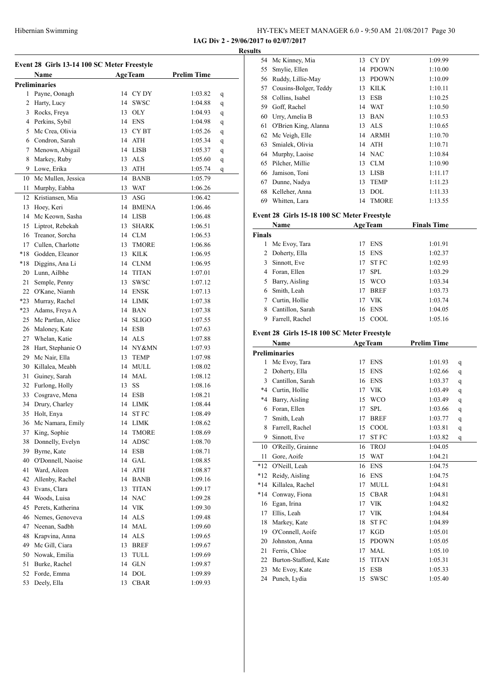| HY-TEK's MEET MANAGER 6.0 - 9:50 AM 21/08/2017 Page 30 |  |
|--------------------------------------------------------|--|
| IAG Div 2 - 29/06/2017 to 02/07/2017                   |  |

**Results**

| Event 28 Girls 13-14 100 SC Meter Freestyle |                                  |          |                               |                    |   |  |
|---------------------------------------------|----------------------------------|----------|-------------------------------|--------------------|---|--|
|                                             | Name                             |          | <b>AgeTeam</b>                | <b>Prelim Time</b> |   |  |
|                                             | <b>Preliminaries</b>             |          |                               |                    |   |  |
| 1                                           | Payne, Oonagh                    |          | 14 CYDY                       | 1:03.82            | q |  |
|                                             | 2 Harty, Lucy                    |          | 14 SWSC                       | 1:04.88            | q |  |
| 3                                           | Rocks, Freya                     |          | 13 OLY                        | 1:04.93            | q |  |
|                                             | 4 Perkins, Sybil                 |          | 14 ENS                        | 1:04.98            | q |  |
| 5                                           | Mc Crea, Olivia                  |          | 13 CYBT                       | 1:05.26            | q |  |
|                                             | 6 Condron, Sarah                 |          | 14 ATH                        | 1:05.34            | q |  |
| 7                                           | Menown, Abigail                  |          | 14 LISB                       | 1:05.37            | q |  |
| 8                                           | Markey, Ruby                     |          | 13 ALS                        | 1:05.60            | q |  |
|                                             | 9 Lowe, Erika                    |          | 13 ATH                        | 1:05.74            | q |  |
| 10                                          | Mc Mullen, Jessica               |          | 14 BANB                       | 1:05.79            |   |  |
| 11                                          | Murphy, Eabha                    |          | 13 WAT                        | 1:06.26            |   |  |
| 12                                          | Kristiansen, Mia                 |          | $13$ ASG                      | 1:06.42            |   |  |
| 13                                          | Hoey, Keri                       |          | 14 BMENA                      | 1:06.46            |   |  |
| 14                                          | Mc Keown, Sasha                  |          | 14 LISB                       | 1:06.48            |   |  |
| 15                                          | Liptrot, Rebekah                 | 13       | <b>SHARK</b>                  | 1:06.51            |   |  |
| 16                                          | Treanor, Sorcha                  |          | 14 CLM                        | 1:06.53            |   |  |
|                                             | 17 Cullen, Charlotte             |          | 13 TMORE                      | 1:06.86            |   |  |
| $*18$                                       | Godden, Eleanor                  |          | 13 KILK                       | 1:06.95            |   |  |
| $*18$                                       | Diggins, Ana Li                  |          | 14 CLNM                       | 1:06.95            |   |  |
| 20                                          | Lunn, Ailbhe                     |          | 14 TITAN                      | 1:07.01            |   |  |
| 21                                          | Semple, Penny                    | 13       | <b>SWSC</b>                   | 1:07.12            |   |  |
|                                             | 22 O'Kane, Niamh                 |          | 14 ENSK                       | 1:07.13            |   |  |
|                                             | *23 Murray, Rachel               |          | 14 LIMK                       | 1:07.38            |   |  |
|                                             | *23 Adams, Freya A               |          | 14 BAN                        | 1:07.38            |   |  |
| 25                                          | Mc Partlan, Alice                |          | 14 SLIGO                      | 1:07.55            |   |  |
|                                             | 26 Maloney, Kate                 |          | 14 ESB                        | 1:07.63            |   |  |
|                                             | 27 Whelan, Katie                 |          | 14 ALS                        | 1:07.88            |   |  |
| 28                                          | Hart, Stephanie O                |          | 14 NY&MN                      | 1:07.93            |   |  |
| 29                                          | Mc Nair, Ella                    |          | 13 TEMP                       | 1:07.98            |   |  |
|                                             | 30 Killalea, Meabh               |          | 14 MULL                       | 1:08.02            |   |  |
| 31                                          | Guiney, Sarah                    |          | 14 MAL                        | 1:08.12            |   |  |
| 32                                          | Furlong, Holly                   |          | 13 SS                         | 1:08.16            |   |  |
| 33                                          | Cosgrave, Mena                   |          | 14 ESB                        | 1:08.21            |   |  |
| 34                                          | Drury, Charley                   | 14       | <b>LIMK</b>                   | 1:08.44            |   |  |
| 35                                          | Holt, Enya                       | 14       | <b>STFC</b>                   | 1:08.49            |   |  |
|                                             |                                  |          |                               |                    |   |  |
| 36                                          | Mc Namara, Emily<br>King, Sophie | 14       | <b>LIMK</b>                   | 1:08.62<br>1:08.69 |   |  |
| 37<br>38                                    | Donnelly, Evelyn                 | 14<br>14 | TMORE<br>ADSC                 | 1:08.70            |   |  |
| 39                                          | Byrne, Kate                      | 14       | <b>ESB</b>                    |                    |   |  |
| 40                                          | O'Donnell, Naoise                |          | 14 GAL                        | 1:08.71<br>1:08.85 |   |  |
| 41                                          | Ward, Aileen                     |          |                               |                    |   |  |
|                                             |                                  | 14       | ATH                           | 1:08.87            |   |  |
| 42                                          | Allenby, Rachel                  | 14       | <b>BANB</b>                   | 1:09.16            |   |  |
| 43                                          | Evans, Clara                     | 13       | $\ensuremath{\mathsf{TITAN}}$ | 1:09.17            |   |  |
| 44                                          | Woods, Luisa                     |          | 14 NAC                        | 1:09.28            |   |  |
| 45                                          | Perets, Katherina                |          | 14 VIK                        | 1:09.30            |   |  |
| 46                                          | Nemes, Genoveva                  |          | 14 ALS                        | 1:09.48            |   |  |
| 47                                          | Neenan, Sadbh                    | 14       | <b>MAL</b>                    | 1:09.60            |   |  |
| 48                                          | Krapvina, Anna                   | 14       | <b>ALS</b>                    | 1:09.65            |   |  |
| 49                                          | Mc Gill, Ciara                   | 13       | <b>BREF</b>                   | 1:09.67            |   |  |
| 50                                          | Nowak, Emilia                    | 13       | TULL                          | 1:09.69            |   |  |
| 51                                          | Burke, Rachel                    | 14       | <b>GLN</b>                    | 1:09.87            |   |  |
| 52                                          | Forde, Emma                      | 14       | <b>DOL</b>                    | 1:09.89            |   |  |
| 53                                          | Deely, Ella                      | 13       | <b>CBAR</b>                   | 1:09.93            |   |  |

| ults          |                                             |    |                |                    |  |  |
|---------------|---------------------------------------------|----|----------------|--------------------|--|--|
| 54            | Mc Kinney, Mia                              | 13 | CY DY          | 1:09.99            |  |  |
| 55            | Smylie, Ellen                               | 14 | <b>PDOWN</b>   | 1:10.00            |  |  |
| 56            | Ruddy, Lillie-May                           | 13 | <b>PDOWN</b>   | 1:10.09            |  |  |
| 57            | Cousins-Bolger, Teddy                       | 13 | <b>KILK</b>    | 1:10.11            |  |  |
| 58            | Collins, Isabel                             | 13 | <b>ESB</b>     | 1:10.25            |  |  |
| 59            | Goff, Rachel                                | 14 | <b>WAT</b>     | 1:10.50            |  |  |
| 60            | Urry, Amelia B                              | 13 | <b>BAN</b>     | 1:10.53            |  |  |
| 61            | O'Brien King, Alanna                        | 13 | <b>ALS</b>     | 1:10.65            |  |  |
| 62            | Mc Veigh, Elle                              | 14 | <b>ARMH</b>    | 1:10.70            |  |  |
| 63            | Smialek, Olivia                             | 14 | <b>ATH</b>     | 1:10.71            |  |  |
| 64            | Murphy, Laoise                              | 14 | <b>NAC</b>     | 1:10.84            |  |  |
| 65            | Pilcher, Millie                             | 13 | <b>CLM</b>     | 1:10.90            |  |  |
| 66            | Jamison, Toni                               | 13 | <b>LISB</b>    | 1:11.17            |  |  |
| 67            | Dunne, Nadya                                | 13 | <b>TEMP</b>    | 1:11.23            |  |  |
| 68            | Kelleher, Anna                              | 13 | <b>DOL</b>     | 1:11.33            |  |  |
| 69            | Whitten, Lara                               | 14 | <b>TMORE</b>   | 1:13.55            |  |  |
|               | Event 28 Girls 15-18 100 SC Meter Freestyle |    |                |                    |  |  |
|               | Name                                        |    | <b>AgeTeam</b> | <b>Finals Time</b> |  |  |
| <b>Finals</b> |                                             |    |                |                    |  |  |
| 1             | Mc Evoy, Tara                               | 17 | <b>ENS</b>     | 1:01.91            |  |  |
| 2             | Doherty, Ella                               | 15 | <b>ENS</b>     | 1:02.37            |  |  |

|   | 2 Doherty, Ella  |    | 15 ENS      | 1:02.37 |
|---|------------------|----|-------------|---------|
| 3 | Sinnott, Eve     | 17 | <b>STFC</b> | 1:02.93 |
|   | 4 Foran, Ellen   | 17 | - SPL       | 1:03.29 |
|   | 5 Barry, Aisling | 15 | <b>WCO</b>  | 1:03.34 |
|   | Smith, Leah      | 17 | <b>BREF</b> | 1:03.73 |
|   | Curtin, Hollie   | 17 | <b>VIK</b>  | 1:03.74 |
|   | Cantillon, Sarah |    | 16 ENS      | 1:04.05 |
|   | Farrell, Rachel  |    | COOL.       | 1:05.16 |

#### **Event 28 Girls 15-18 100 SC Meter Freestyle**

|         | <b>Name</b>           |    | <b>AgeTeam</b> | <b>Prelim Time</b> |   |
|---------|-----------------------|----|----------------|--------------------|---|
|         | <b>Preliminaries</b>  |    |                |                    |   |
| 1       | Mc Evoy, Tara         | 17 | <b>ENS</b>     | 1:01.93            | q |
| 2       | Doherty, Ella         | 15 | <b>ENS</b>     | 1:02.66            | q |
| 3       | Cantillon, Sarah      | 16 | <b>ENS</b>     | 1:03.37            | q |
| $*4$    | Curtin, Hollie        | 17 | <b>VIK</b>     | 1:03.49            | q |
| $*_{4}$ | Barry, Aisling        | 15 | <b>WCO</b>     | 1:03.49            | q |
| 6       | Foran, Ellen          | 17 | <b>SPL</b>     | 1:03.66            | q |
| 7       | Smith, Leah           | 17 | <b>BREF</b>    | 1:03.77            | q |
| 8       | Farrell, Rachel       | 15 | COOL           | 1:03.81            | q |
| 9       | Sinnott, Eve          | 17 | <b>STFC</b>    | 1:03.82            | q |
| 10      | O'Reilly, Grainne     | 16 | <b>TROJ</b>    | 1:04.05            |   |
| 11      | Gore, Aoife           | 15 | <b>WAT</b>     | 1:04.21            |   |
| $*12$   | O'Neill, Leah         | 16 | <b>ENS</b>     | 1:04.75            |   |
| $*12$   | Reidy, Aisling        | 16 | <b>ENS</b>     | 1:04.75            |   |
| $*14$   | Killalea, Rachel      | 17 | <b>MULL</b>    | 1:04.81            |   |
| $*14$   | Conway, Fiona         | 15 | <b>CBAR</b>    | 1:04.81            |   |
| 16      | Egan, Irina           | 17 | <b>VIK</b>     | 1:04.82            |   |
| 17      | Ellis, Leah           | 17 | <b>VIK</b>     | 1:04.84            |   |
| 18      | Markey, Kate          | 18 | <b>STFC</b>    | 1:04.89            |   |
| 19      | O'Connell, Aoife      | 17 | <b>KGD</b>     | 1:05.01            |   |
| 20      | Johnston, Anna        | 15 | <b>PDOWN</b>   | 1:05.05            |   |
| 21      | Ferris, Chloe         | 17 | <b>MAL</b>     | 1:05.10            |   |
| 22      | Burton-Stafford, Kate | 15 | <b>TITAN</b>   | 1:05.31            |   |
| 23      | Mc Evoy, Kate         | 15 | <b>ESB</b>     | 1:05.33            |   |
| 24      | Punch, Lydia          | 15 | <b>SWSC</b>    | 1:05.40            |   |
|         |                       |    |                |                    |   |